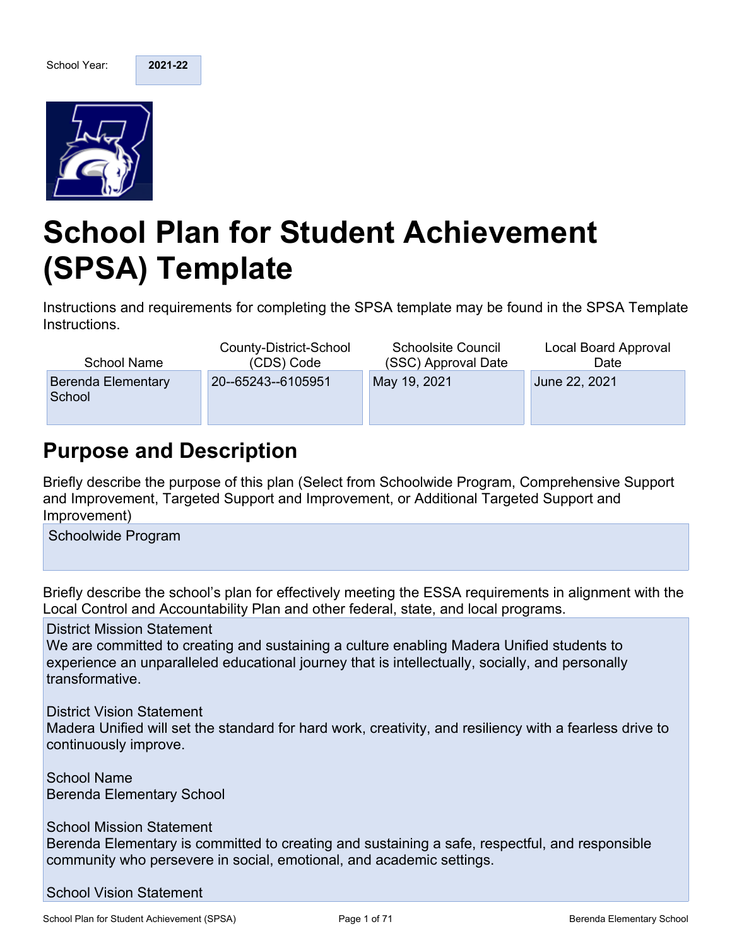

# **School Plan for Student Achievement (SPSA) Template**

Instructions and requirements for completing the SPSA template may be found in the SPSA Template Instructions.

| <b>School Name</b>           | County-District-School | <b>Schoolsite Council</b> | Local Board Approval |
|------------------------------|------------------------|---------------------------|----------------------|
|                              | (CDS) Code             | (SSC) Approval Date       | Date                 |
| Berenda Elementary<br>School | 20--65243--6105951     | May 19, 2021              | June 22, 2021        |

## **Purpose and Description**

Briefly describe the purpose of this plan (Select from Schoolwide Program, Comprehensive Support and Improvement, Targeted Support and Improvement, or Additional Targeted Support and Improvement)

Schoolwide Program

Briefly describe the school's plan for effectively meeting the ESSA requirements in alignment with the Local Control and Accountability Plan and other federal, state, and local programs.

District Mission Statement

We are committed to creating and sustaining a culture enabling Madera Unified students to experience an unparalleled educational journey that is intellectually, socially, and personally transformative.

District Vision Statement

Madera Unified will set the standard for hard work, creativity, and resiliency with a fearless drive to continuously improve.

School Name Berenda Elementary School

School Mission Statement

Berenda Elementary is committed to creating and sustaining a safe, respectful, and responsible community who persevere in social, emotional, and academic settings.

School Vision Statement

School Plan for Student Achievement (SPSA) Page 1 of 71 Page 1 of 71 Berenda Elementary School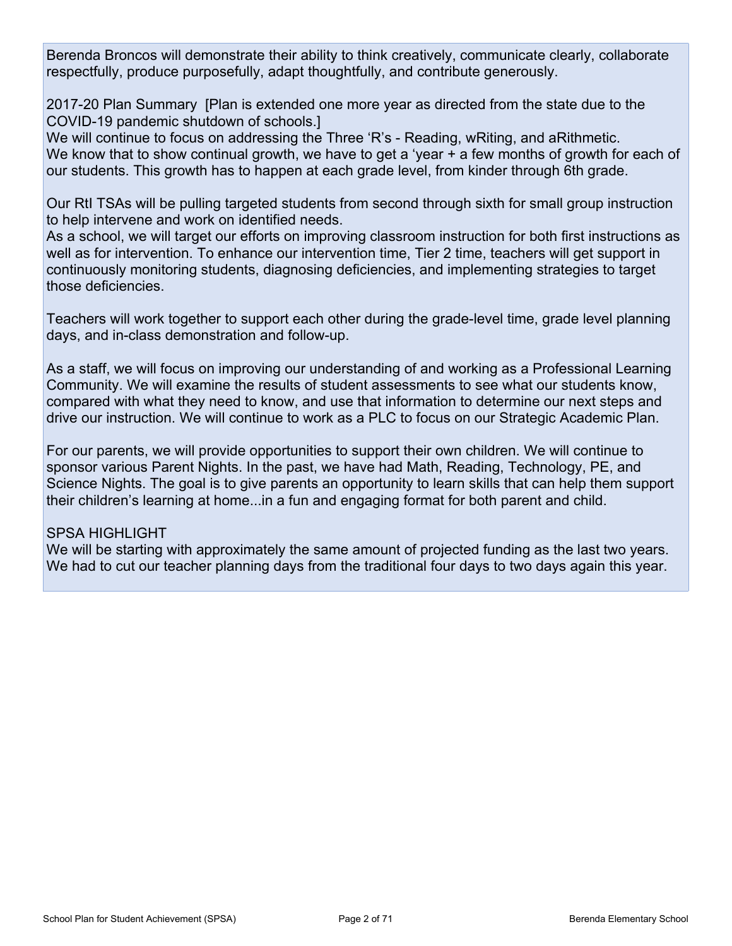Berenda Broncos will demonstrate their ability to think creatively, communicate clearly, collaborate respectfully, produce purposefully, adapt thoughtfully, and contribute generously.

2017-20 Plan Summary [Plan is extended one more year as directed from the state due to the COVID-19 pandemic shutdown of schools.]

We will continue to focus on addressing the Three 'R's - Reading, wRiting, and aRithmetic. We know that to show continual growth, we have to get a 'year + a few months of growth for each of our students. This growth has to happen at each grade level, from kinder through 6th grade.

Our RtI TSAs will be pulling targeted students from second through sixth for small group instruction to help intervene and work on identified needs.

As a school, we will target our efforts on improving classroom instruction for both first instructions as well as for intervention. To enhance our intervention time, Tier 2 time, teachers will get support in continuously monitoring students, diagnosing deficiencies, and implementing strategies to target those deficiencies.

Teachers will work together to support each other during the grade-level time, grade level planning days, and in-class demonstration and follow-up.

As a staff, we will focus on improving our understanding of and working as a Professional Learning Community. We will examine the results of student assessments to see what our students know, compared with what they need to know, and use that information to determine our next steps and drive our instruction. We will continue to work as a PLC to focus on our Strategic Academic Plan.

For our parents, we will provide opportunities to support their own children. We will continue to sponsor various Parent Nights. In the past, we have had Math, Reading, Technology, PE, and Science Nights. The goal is to give parents an opportunity to learn skills that can help them support their children's learning at home...in a fun and engaging format for both parent and child.

#### SPSA HIGHLIGHT

We will be starting with approximately the same amount of projected funding as the last two years. We had to cut our teacher planning days from the traditional four days to two days again this year.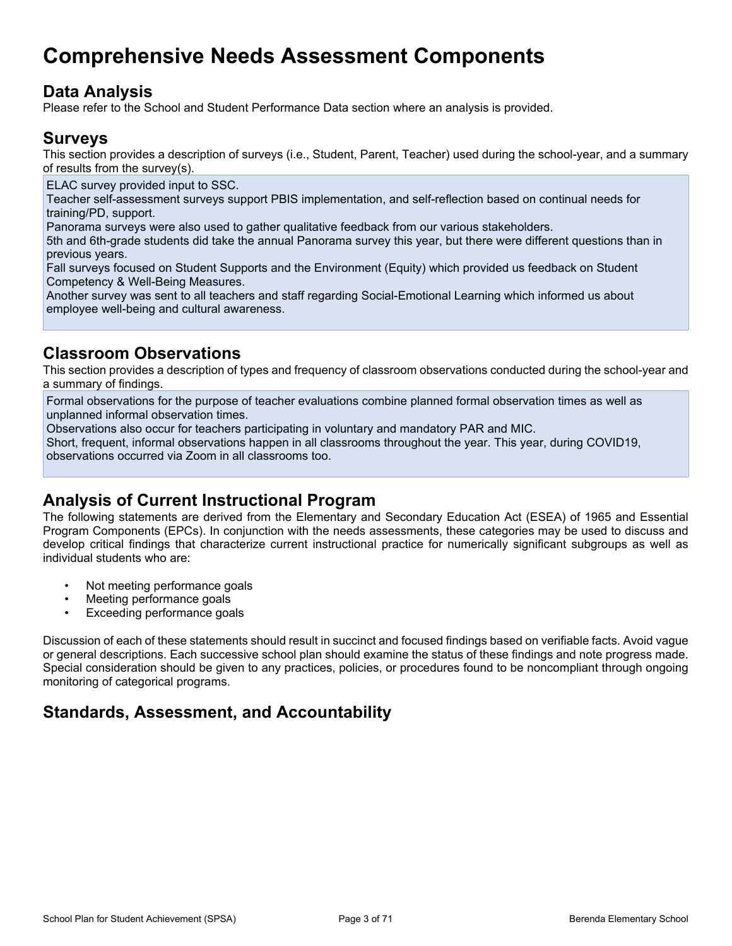## **Comprehensive Needs Assessment Components**

### **Data Analysis**

Please refer to the School and Student Performance Data section where an analysis is provided.

### **Surveys**

This section provides a description of surveys (i.e., Student, Parent, Teacher) used during the school-year, and a summary of results from the survey(s).

ELAC survey provided input to SSC.

Teacher self-assessment surveys support PBIS implementation, and self-reflection based on continual needs for training/PD, support.

Panorama surveys were also used to gather qualitative feedback from our various stakeholders.

5th and 6th-grade students did take the annual Panorama survey this year, but there were different questions than in previous years.

Fall surveys focused on Student Supports and the Environment (Equity) which provided us feedback on Student Competency & Well-Being Measures.

Another survey was sent to all teachers and staff regarding Social-Emotional Learning which informed us about employee well-being and cultural awareness.

### **Classroom Observations**

This section provides a description of types and frequency of classroom observations conducted during the school-year and a summary of findings.

Formal observations for the purpose of teacher evaluations combine planned formal observation times as well as unplanned informal observation times.

Observations also occur for teachers participating in voluntary and mandatory PAR and MIC.

Short, frequent, informal observations happen in all classrooms throughout the year. This year, during COVID19, observations occurred via Zoom in all classrooms too.

### **Analysis of Current Instructional Program**

The following statements are derived from the Elementary and Secondary Education Act (ESEA) of 1965 and Essential Program Components (EPCs). In conjunction with the needs assessments, these categories may be used to discuss and develop critical findings that characterize current instructional practice for numerically significant subgroups as well as individual students who are:

- Not meeting performance goals
- Meeting performance goals
- Exceeding performance goals

Discussion of each of these statements should result in succinct and focused findings based on verifiable facts. Avoid vague or general descriptions. Each successive school plan should examine the status of these findings and note progress made. Special consideration should be given to any practices, policies, or procedures found to be noncompliant through ongoing monitoring of categorical programs.

### **Standards, Assessment, and Accountability**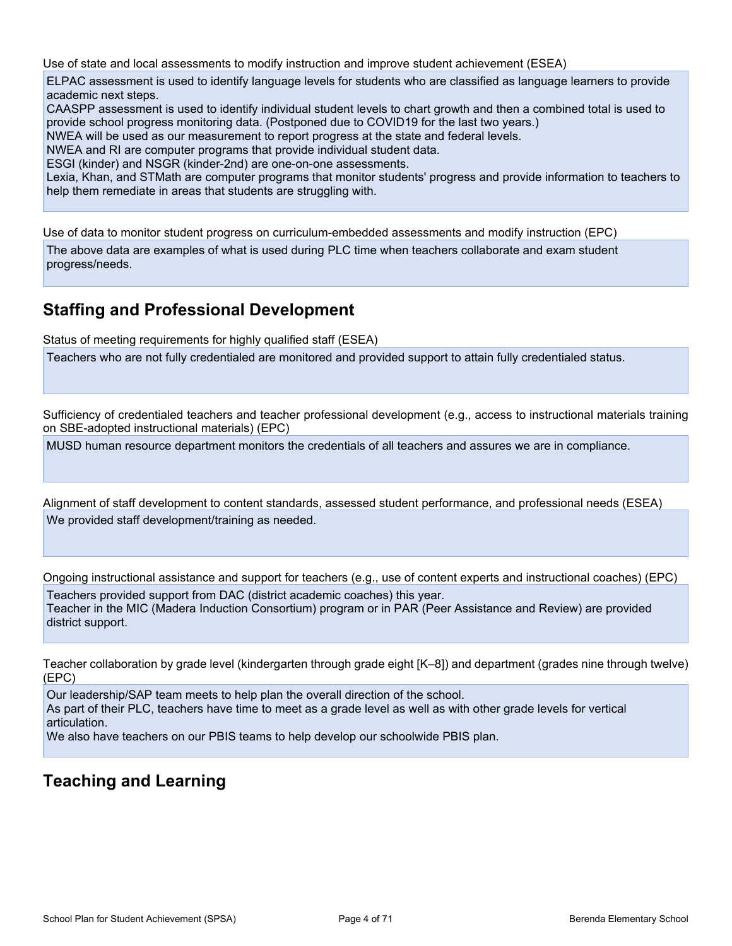Use of state and local assessments to modify instruction and improve student achievement (ESEA)

ELPAC assessment is used to identify language levels for students who are classified as language learners to provide academic next steps.

CAASPP assessment is used to identify individual student levels to chart growth and then a combined total is used to provide school progress monitoring data. (Postponed due to COVID19 for the last two years.)

NWEA will be used as our measurement to report progress at the state and federal levels.

NWEA and RI are computer programs that provide individual student data.

ESGI (kinder) and NSGR (kinder-2nd) are one-on-one assessments.

Lexia, Khan, and STMath are computer programs that monitor students' progress and provide information to teachers to help them remediate in areas that students are struggling with.

Use of data to monitor student progress on curriculum-embedded assessments and modify instruction (EPC)

The above data are examples of what is used during PLC time when teachers collaborate and exam student progress/needs.

### **Staffing and Professional Development**

Status of meeting requirements for highly qualified staff (ESEA)

Teachers who are not fully credentialed are monitored and provided support to attain fully credentialed status.

Sufficiency of credentialed teachers and teacher professional development (e.g., access to instructional materials training on SBE-adopted instructional materials) (EPC)

MUSD human resource department monitors the credentials of all teachers and assures we are in compliance.

Alignment of staff development to content standards, assessed student performance, and professional needs (ESEA) We provided staff development/training as needed.

Ongoing instructional assistance and support for teachers (e.g., use of content experts and instructional coaches) (EPC)

Teachers provided support from DAC (district academic coaches) this year. Teacher in the MIC (Madera Induction Consortium) program or in PAR (Peer Assistance and Review) are provided district support.

Teacher collaboration by grade level (kindergarten through grade eight [K–8]) and department (grades nine through twelve) (EPC)

Our leadership/SAP team meets to help plan the overall direction of the school. As part of their PLC, teachers have time to meet as a grade level as well as with other grade levels for vertical articulation.

We also have teachers on our PBIS teams to help develop our schoolwide PBIS plan.

### **Teaching and Learning**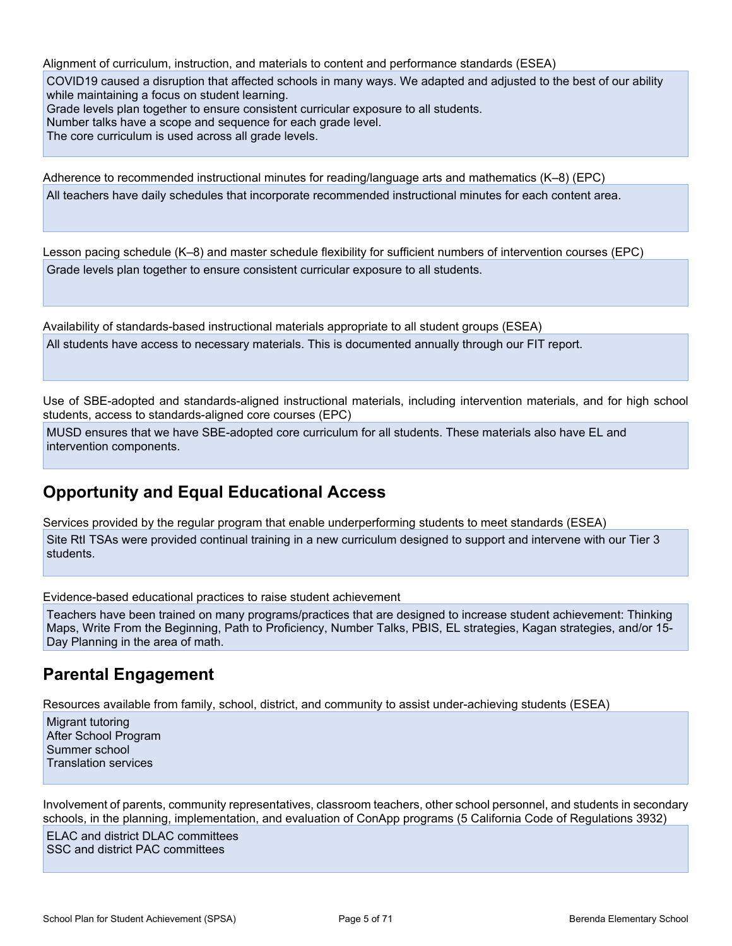Alignment of curriculum, instruction, and materials to content and performance standards (ESEA) COVID19 caused a disruption that affected schools in many ways. We adapted and adjusted to the best of our ability while maintaining a focus on student learning. Grade levels plan together to ensure consistent curricular exposure to all students. Number talks have a scope and sequence for each grade level.

The core curriculum is used across all grade levels.

Adherence to recommended instructional minutes for reading/language arts and mathematics (K–8) (EPC) All teachers have daily schedules that incorporate recommended instructional minutes for each content area.

Lesson pacing schedule (K–8) and master schedule flexibility for sufficient numbers of intervention courses (EPC) Grade levels plan together to ensure consistent curricular exposure to all students.

Availability of standards-based instructional materials appropriate to all student groups (ESEA) All students have access to necessary materials. This is documented annually through our FIT report.

Use of SBE-adopted and standards-aligned instructional materials, including intervention materials, and for high school students, access to standards-aligned core courses (EPC)

MUSD ensures that we have SBE-adopted core curriculum for all students. These materials also have EL and intervention components.

### **Opportunity and Equal Educational Access**

Services provided by the regular program that enable underperforming students to meet standards (ESEA) Site RtI TSAs were provided continual training in a new curriculum designed to support and intervene with our Tier 3 students.

Evidence-based educational practices to raise student achievement

Teachers have been trained on many programs/practices that are designed to increase student achievement: Thinking Maps, Write From the Beginning, Path to Proficiency, Number Talks, PBIS, EL strategies, Kagan strategies, and/or 15- Day Planning in the area of math.

### **Parental Engagement**

Resources available from family, school, district, and community to assist under-achieving students (ESEA)

Migrant tutoring After School Program Summer school Translation services

Involvement of parents, community representatives, classroom teachers, other school personnel, and students in secondary schools, in the planning, implementation, and evaluation of ConApp programs (5 California Code of Regulations 3932)

ELAC and district DLAC committees SSC and district PAC committees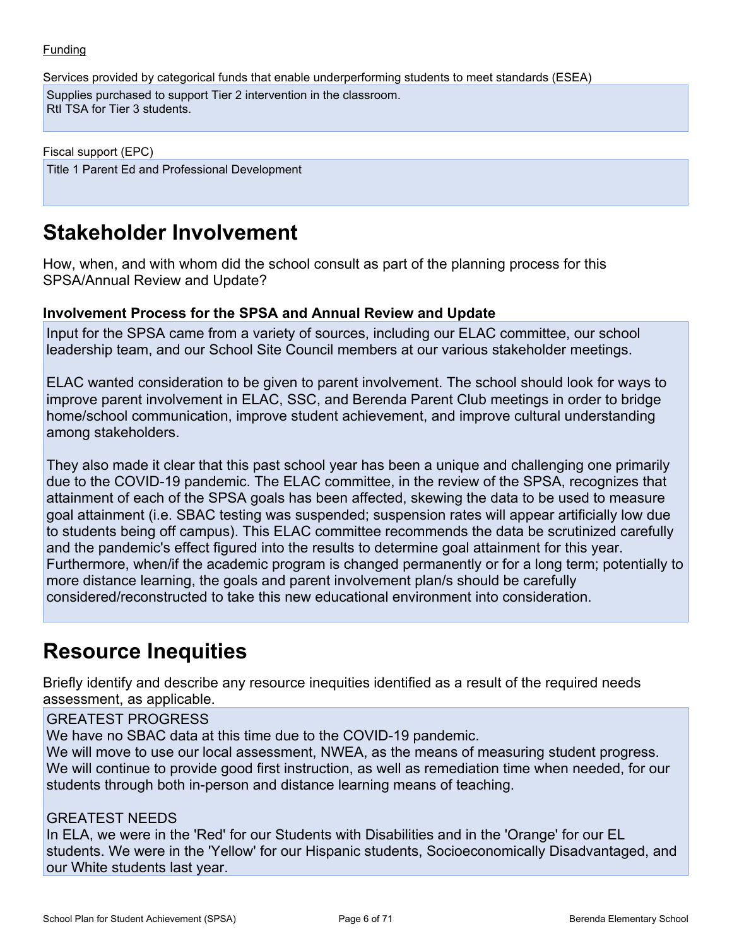#### Funding

Services provided by categorical funds that enable underperforming students to meet standards (ESEA)

Supplies purchased to support Tier 2 intervention in the classroom. RtI TSA for Tier 3 students.

Fiscal support (EPC) Title 1 Parent Ed and Professional Development

## **Stakeholder Involvement**

How, when, and with whom did the school consult as part of the planning process for this SPSA/Annual Review and Update?

#### **Involvement Process for the SPSA and Annual Review and Update**

Input for the SPSA came from a variety of sources, including our ELAC committee, our school leadership team, and our School Site Council members at our various stakeholder meetings.

ELAC wanted consideration to be given to parent involvement. The school should look for ways to improve parent involvement in ELAC, SSC, and Berenda Parent Club meetings in order to bridge home/school communication, improve student achievement, and improve cultural understanding among stakeholders.

They also made it clear that this past school year has been a unique and challenging one primarily due to the COVID-19 pandemic. The ELAC committee, in the review of the SPSA, recognizes that attainment of each of the SPSA goals has been affected, skewing the data to be used to measure goal attainment (i.e. SBAC testing was suspended; suspension rates will appear artificially low due to students being off campus). This ELAC committee recommends the data be scrutinized carefully and the pandemic's effect figured into the results to determine goal attainment for this year. Furthermore, when/if the academic program is changed permanently or for a long term; potentially to more distance learning, the goals and parent involvement plan/s should be carefully considered/reconstructed to take this new educational environment into consideration.

## **Resource Inequities**

Briefly identify and describe any resource inequities identified as a result of the required needs assessment, as applicable.

GREATEST PROGRESS

We have no SBAC data at this time due to the COVID-19 pandemic.

We will move to use our local assessment, NWEA, as the means of measuring student progress. We will continue to provide good first instruction, as well as remediation time when needed, for our students through both in-person and distance learning means of teaching.

#### GREATEST NEEDS

In ELA, we were in the 'Red' for our Students with Disabilities and in the 'Orange' for our EL students. We were in the 'Yellow' for our Hispanic students, Socioeconomically Disadvantaged, and our White students last year.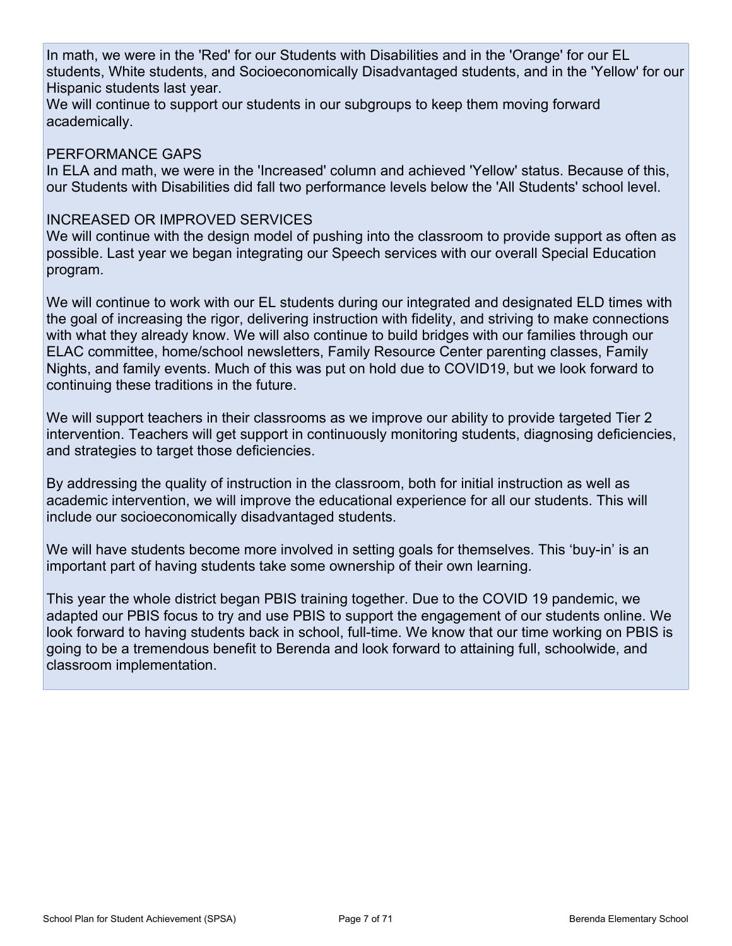In math, we were in the 'Red' for our Students with Disabilities and in the 'Orange' for our EL students, White students, and Socioeconomically Disadvantaged students, and in the 'Yellow' for our Hispanic students last year.

We will continue to support our students in our subgroups to keep them moving forward academically.

#### PERFORMANCE GAPS

In ELA and math, we were in the 'Increased' column and achieved 'Yellow' status. Because of this, our Students with Disabilities did fall two performance levels below the 'All Students' school level.

#### INCREASED OR IMPROVED SERVICES

We will continue with the design model of pushing into the classroom to provide support as often as possible. Last year we began integrating our Speech services with our overall Special Education program.

We will continue to work with our EL students during our integrated and designated ELD times with the goal of increasing the rigor, delivering instruction with fidelity, and striving to make connections with what they already know. We will also continue to build bridges with our families through our ELAC committee, home/school newsletters, Family Resource Center parenting classes, Family Nights, and family events. Much of this was put on hold due to COVID19, but we look forward to continuing these traditions in the future.

We will support teachers in their classrooms as we improve our ability to provide targeted Tier 2 intervention. Teachers will get support in continuously monitoring students, diagnosing deficiencies, and strategies to target those deficiencies.

By addressing the quality of instruction in the classroom, both for initial instruction as well as academic intervention, we will improve the educational experience for all our students. This will include our socioeconomically disadvantaged students.

We will have students become more involved in setting goals for themselves. This 'buy-in' is an important part of having students take some ownership of their own learning.

This year the whole district began PBIS training together. Due to the COVID 19 pandemic, we adapted our PBIS focus to try and use PBIS to support the engagement of our students online. We look forward to having students back in school, full-time. We know that our time working on PBIS is going to be a tremendous benefit to Berenda and look forward to attaining full, schoolwide, and classroom implementation.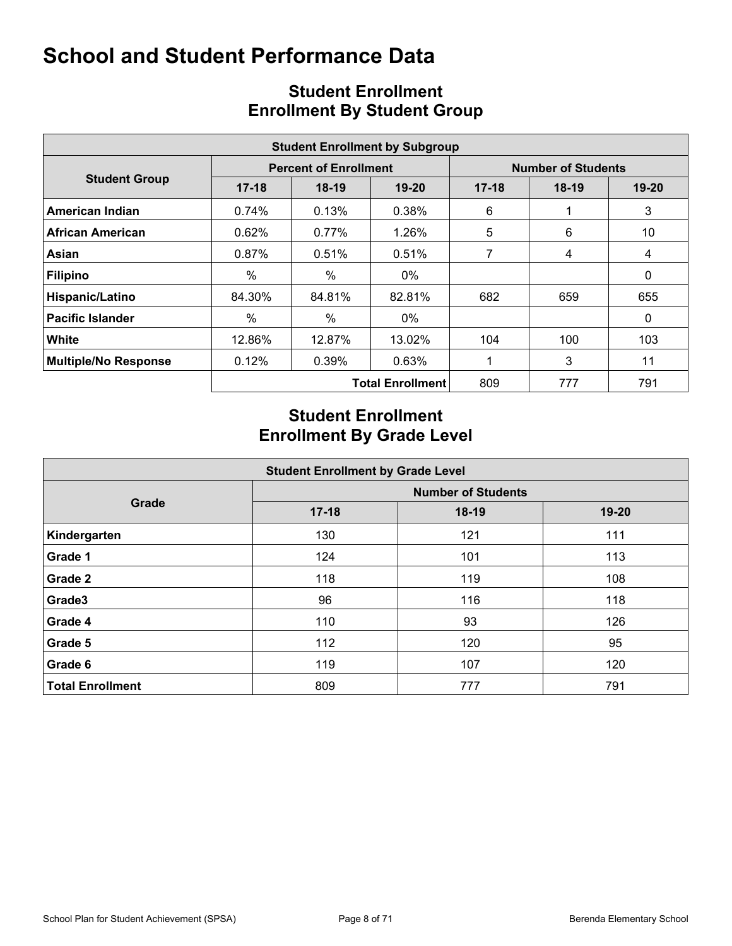|                             |           |                              | <b>Student Enrollment by Subgroup</b> |         |                           |           |
|-----------------------------|-----------|------------------------------|---------------------------------------|---------|---------------------------|-----------|
|                             |           | <b>Percent of Enrollment</b> |                                       |         | <b>Number of Students</b> |           |
| <b>Student Group</b>        | $17 - 18$ | $18-19$                      | $19 - 20$                             | $17-18$ | $18-19$                   | $19 - 20$ |
| American Indian             | 0.74%     | 0.13%                        | 0.38%                                 | 6       |                           | 3         |
| <b>African American</b>     | 0.62%     | $0.77\%$                     | 1.26%                                 | 5       | 6                         | 10        |
| Asian                       | 0.87%     | 0.51%                        | 0.51%                                 | 7       | 4                         | 4         |
| <b>Filipino</b>             | $\%$      | $\%$                         | $0\%$                                 |         |                           | 0         |
| Hispanic/Latino             | 84.30%    | 84.81%                       | 82.81%                                | 682     | 659                       | 655       |
| <b>Pacific Islander</b>     | %         | $\%$                         | 0%                                    |         |                           | 0         |
| White                       | 12.86%    | 12.87%                       | 13.02%                                | 104     | 100                       | 103       |
| <b>Multiple/No Response</b> | 0.12%     | 0.39%                        | 0.63%                                 |         | 3                         | 11        |
|                             |           |                              | <b>Total Enrollment</b>               | 809     | 777                       | 791       |

### **Student Enrollment Enrollment By Student Group**

### **Student Enrollment Enrollment By Grade Level**

| <b>Student Enrollment by Grade Level</b> |                           |         |       |  |  |  |  |  |  |  |  |  |
|------------------------------------------|---------------------------|---------|-------|--|--|--|--|--|--|--|--|--|
|                                          | <b>Number of Students</b> |         |       |  |  |  |  |  |  |  |  |  |
| Grade                                    | $17 - 18$                 | $18-19$ | 19-20 |  |  |  |  |  |  |  |  |  |
| Kindergarten                             | 130                       | 121     | 111   |  |  |  |  |  |  |  |  |  |
| Grade 1                                  | 124                       | 101     | 113   |  |  |  |  |  |  |  |  |  |
| <b>Grade 2</b>                           | 118                       | 119     | 108   |  |  |  |  |  |  |  |  |  |
| Grade3                                   | 96                        | 116     | 118   |  |  |  |  |  |  |  |  |  |
| Grade 4                                  | 110                       | 93      | 126   |  |  |  |  |  |  |  |  |  |
| Grade 5                                  | 112                       | 120     | 95    |  |  |  |  |  |  |  |  |  |
| Grade 6                                  | 119                       | 107     | 120   |  |  |  |  |  |  |  |  |  |
| <b>Total Enrollment</b>                  | 809                       | 777     | 791   |  |  |  |  |  |  |  |  |  |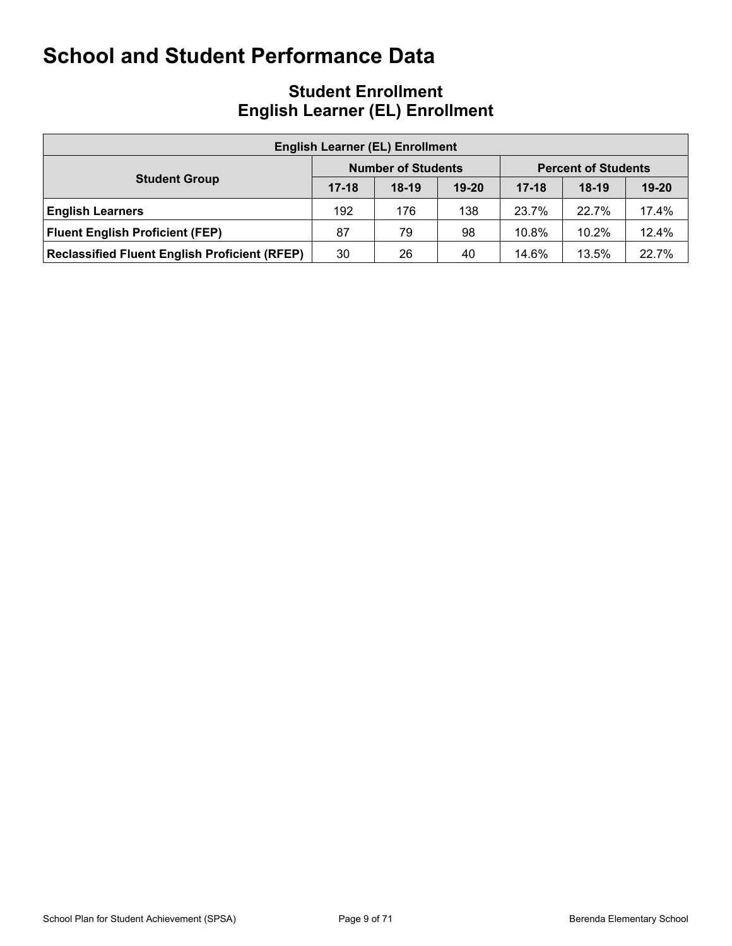### **Student Enrollment English Learner (EL) Enrollment**

| <b>English Learner (EL) Enrollment</b>               |           |                           |           |           |                            |           |  |  |  |  |  |  |  |
|------------------------------------------------------|-----------|---------------------------|-----------|-----------|----------------------------|-----------|--|--|--|--|--|--|--|
|                                                      |           | <b>Number of Students</b> |           |           | <b>Percent of Students</b> |           |  |  |  |  |  |  |  |
| <b>Student Group</b>                                 | $17 - 18$ | $18-19$                   | $19 - 20$ | $17 - 18$ | $18-19$                    | $19 - 20$ |  |  |  |  |  |  |  |
| <b>English Learners</b>                              | 192       | 176                       | 138       | 23.7%     | 22.7%                      | 17.4%     |  |  |  |  |  |  |  |
| <b>Fluent English Proficient (FEP)</b>               | 87        | 79                        | 98        | 10.8%     | 10.2%                      | 12.4%     |  |  |  |  |  |  |  |
| <b>Reclassified Fluent English Proficient (RFEP)</b> | 30        | 26                        | 40        | 14.6%     | 13.5%                      | 22.7%     |  |  |  |  |  |  |  |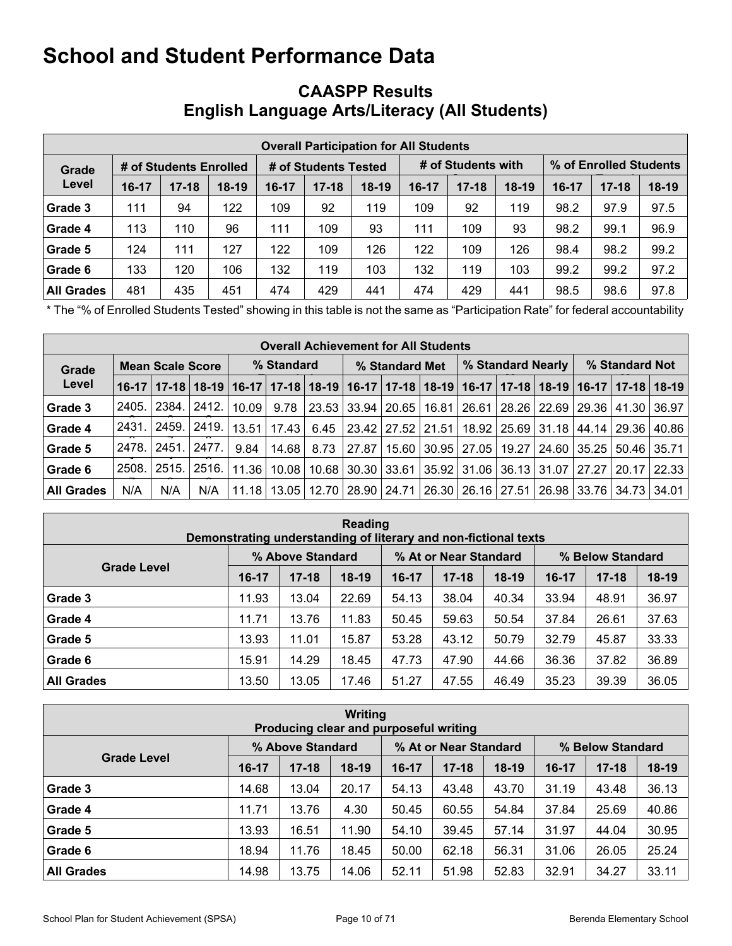### **CAASPP Results English Language Arts/Literacy (All Students)**

|                   |           |                        |         |         |                      | <b>Overall Participation for All Students</b> |       |                    |         |                        |           |         |  |
|-------------------|-----------|------------------------|---------|---------|----------------------|-----------------------------------------------|-------|--------------------|---------|------------------------|-----------|---------|--|
| Grade             |           | # of Students Enrolled |         |         | # of Students Tested |                                               |       | # of Students with |         | % of Enrolled Students |           |         |  |
| Level             | $16 - 17$ | $17 - 18$              | $18-19$ | $16-17$ | $17 - 18$            | $18-19$                                       | 16-17 | $17 - 18$          | $18-19$ | $16-17$                | $17 - 18$ | $18-19$ |  |
| Grade 3           | 111       | 94                     | 122     | 109     | 92                   | 119                                           | 109   | 92                 | 119     | 98.2                   | 97.9      | 97.5    |  |
| Grade 4           | 113       | 110                    | 96      | 111     | 109                  | 93                                            | 111   | 109                | 93      | 98.2                   | 99.1      | 96.9    |  |
| Grade 5           | 124       | 111                    | 127     | 122     | 109                  | 126                                           | 122   | 109                | 126     | 98.4                   | 98.2      | 99.2    |  |
| Grade 6           | 133       | 120                    | 106     | 132     | 119                  | 103                                           | 132   | 119                | 103     | 99.2                   | 99.2      | 97.2    |  |
| <b>All Grades</b> | 481       | 435                    | 451     | 474     | 429                  | 441                                           | 474   | 429                | 441     | 98.5                   | 98.6      | 97.8    |  |

\* The "% of Enrolled Students Tested" showing in this table is not the same as "Participation Rate" for federal accountability purposes.

|                   | <b>Overall Achievement for All Students</b> |                         |         |       |            |      |                |  |                       |  |  |                                                                                                                       |  |                |       |
|-------------------|---------------------------------------------|-------------------------|---------|-------|------------|------|----------------|--|-----------------------|--|--|-----------------------------------------------------------------------------------------------------------------------|--|----------------|-------|
| Grade             |                                             | <b>Mean Scale Score</b> |         |       | % Standard |      | % Standard Met |  |                       |  |  | % Standard Nearly                                                                                                     |  | % Standard Not |       |
| Level             |                                             |                         |         |       |            |      |                |  |                       |  |  | 16-17   17-18   18-19   16-17   17-18   18-19   16-17   17-18   18-19   16-17   17-18   18-19   16-17   17-18   18-19 |  |                |       |
| Grade 3           | 2405.                                       | 2384. l                 | 12412.  | 10.09 | 9.78       |      | 23.53 33.94    |  | 20.65   16.81         |  |  | 26.61   28.26   22.69   29.36   41.30                                                                                 |  |                | 36.97 |
| Grade 4           | 2431.                                       | 2459.                   | 2419. l | 13.51 | 17.43      | 6.45 |                |  | 23.42   27.52   21.51 |  |  | 18.92   25.69   31.18   44.14   29.36                                                                                 |  |                | 40.86 |
| Grade 5           | 2478.                                       | : 2451.                 | 2477.   | 9.84  | 14.68      | 8.73 | 27.87          |  | 15.60   30.95   27.05 |  |  | 19.27   24.60   35.25   50.46   35.71                                                                                 |  |                |       |
| Grade 6           | 2508.                                       | 2515.                   | 2516.1  | 11.36 | 10.08      |      |                |  |                       |  |  | 10.68   30.30   33.61   35.92   31.06   36.13   31.07   27.27   20.17                                                 |  |                | 22.33 |
| <b>All Grades</b> | N/A                                         | N/A                     | N/A     | 11.18 | 13.05      |      |                |  |                       |  |  | 12.70   28.90   24.71   26.30   26.16   27.51   26.98   33.76   34.73                                                 |  |                | 34.01 |

| Reading<br>Demonstrating understanding of literary and non-fictional texts |         |                  |         |       |                       |         |                  |           |         |  |  |  |  |
|----------------------------------------------------------------------------|---------|------------------|---------|-------|-----------------------|---------|------------------|-----------|---------|--|--|--|--|
|                                                                            |         | % Above Standard |         |       | % At or Near Standard |         | % Below Standard |           |         |  |  |  |  |
| <b>Grade Level</b>                                                         | $16-17$ | $17 - 18$        | $18-19$ | 16-17 | $17 - 18$             | $18-19$ | 16-17            | $17 - 18$ | $18-19$ |  |  |  |  |
| Grade 3                                                                    | 11.93   | 13.04            | 22.69   | 54.13 | 38.04                 | 40.34   | 33.94            | 48.91     | 36.97   |  |  |  |  |
| Grade 4                                                                    | 11.71   | 13.76            | 11.83   | 50.45 | 59.63                 | 50.54   | 37.84            | 26.61     | 37.63   |  |  |  |  |
| Grade 5                                                                    | 13.93   | 11.01            | 15.87   | 53.28 | 43.12                 | 50.79   | 32.79            | 45.87     | 33.33   |  |  |  |  |
| Grade 6                                                                    | 15.91   | 14.29            | 18.45   | 47.73 | 47.90                 | 44.66   | 36.36            | 37.82     | 36.89   |  |  |  |  |
| <b>All Grades</b>                                                          | 13.50   | 13.05            | 17.46   | 51.27 | 47.55                 | 46.49   | 35.23            | 39.39     | 36.05   |  |  |  |  |

| <b>Writing</b><br>Producing clear and purposeful writing                            |           |           |         |       |           |         |         |           |         |  |  |  |  |
|-------------------------------------------------------------------------------------|-----------|-----------|---------|-------|-----------|---------|---------|-----------|---------|--|--|--|--|
| % Above Standard<br>% At or Near Standard<br>% Below Standard<br><b>Grade Level</b> |           |           |         |       |           |         |         |           |         |  |  |  |  |
|                                                                                     | $16 - 17$ | $17 - 18$ | $18-19$ | 16-17 | $17 - 18$ | $18-19$ | $16-17$ | $17 - 18$ | $18-19$ |  |  |  |  |
| Grade 3                                                                             | 14.68     | 13.04     | 20.17   | 54.13 | 43.48     | 43.70   | 31.19   | 43.48     | 36.13   |  |  |  |  |
| Grade 4                                                                             | 11.71     | 13.76     | 4.30    | 50.45 | 60.55     | 54.84   | 37.84   | 25.69     | 40.86   |  |  |  |  |
| Grade 5                                                                             | 13.93     | 16.51     | 11.90   | 54.10 | 39.45     | 57.14   | 31.97   | 44.04     | 30.95   |  |  |  |  |
| Grade 6                                                                             | 18.94     | 11.76     | 18.45   | 50.00 | 62.18     | 56.31   | 31.06   | 26.05     | 25.24   |  |  |  |  |
| <b>All Grades</b>                                                                   | 14.98     | 13.75     | 14.06   | 52.11 | 51.98     | 52.83   | 32.91   | 34.27     | 33.11   |  |  |  |  |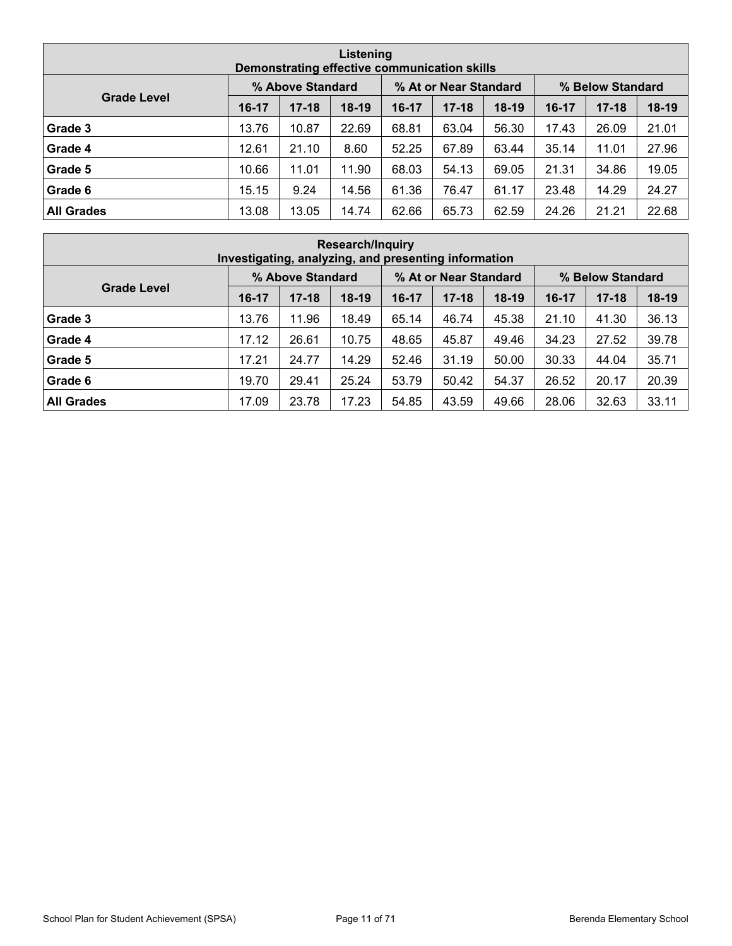| Listening<br>Demonstrating effective communication skills                           |         |           |         |       |           |         |       |           |         |  |  |  |  |
|-------------------------------------------------------------------------------------|---------|-----------|---------|-------|-----------|---------|-------|-----------|---------|--|--|--|--|
| % At or Near Standard<br>% Above Standard<br>% Below Standard<br><b>Grade Level</b> |         |           |         |       |           |         |       |           |         |  |  |  |  |
|                                                                                     | $16-17$ | $17 - 18$ | $18-19$ | 16-17 | $17 - 18$ | $18-19$ | 16-17 | $17 - 18$ | $18-19$ |  |  |  |  |
| Grade 3                                                                             | 13.76   | 10.87     | 22.69   | 68.81 | 63.04     | 56.30   | 17.43 | 26.09     | 21.01   |  |  |  |  |
| Grade 4                                                                             | 12.61   | 21.10     | 8.60    | 52.25 | 67.89     | 63.44   | 35.14 | 11.01     | 27.96   |  |  |  |  |
| Grade 5                                                                             | 10.66   | 11.01     | 11.90   | 68.03 | 54.13     | 69.05   | 21.31 | 34.86     | 19.05   |  |  |  |  |
| Grade 6                                                                             | 15.15   | 9.24      | 14.56   | 61.36 | 76.47     | 61.17   | 23.48 | 14.29     | 24.27   |  |  |  |  |
| <b>All Grades</b>                                                                   | 13.08   | 13.05     | 14.74   | 62.66 | 65.73     | 62.59   | 24.26 | 21.21     | 22.68   |  |  |  |  |

|                    | <b>Research/Inquiry</b><br>Investigating, analyzing, and presenting information |                  |         |       |                       |         |         |                  |         |  |  |  |  |  |
|--------------------|---------------------------------------------------------------------------------|------------------|---------|-------|-----------------------|---------|---------|------------------|---------|--|--|--|--|--|
|                    |                                                                                 | % Above Standard |         |       | % At or Near Standard |         |         | % Below Standard |         |  |  |  |  |  |
| <b>Grade Level</b> | $16-17$                                                                         | $17 - 18$        | $18-19$ | 16-17 | $17 - 18$             | $18-19$ | $16-17$ | $17 - 18$        | $18-19$ |  |  |  |  |  |
| Grade 3            | 13.76                                                                           | 11.96            | 18.49   | 65.14 | 46.74                 | 45.38   | 21.10   | 41.30            | 36.13   |  |  |  |  |  |
| Grade 4            | 17.12                                                                           | 26.61            | 10.75   | 48.65 | 45.87                 | 49.46   | 34.23   | 27.52            | 39.78   |  |  |  |  |  |
| Grade 5            | 17.21                                                                           | 24.77            | 14.29   | 52.46 | 31.19                 | 50.00   | 30.33   | 44.04            | 35.71   |  |  |  |  |  |
| Grade 6            | 19.70                                                                           | 29.41            | 25.24   | 53.79 | 50.42                 | 54.37   | 26.52   | 20.17            | 20.39   |  |  |  |  |  |
| <b>All Grades</b>  | 17.09                                                                           | 23.78            | 17.23   | 54.85 | 43.59                 | 49.66   | 28.06   | 32.63            | 33.11   |  |  |  |  |  |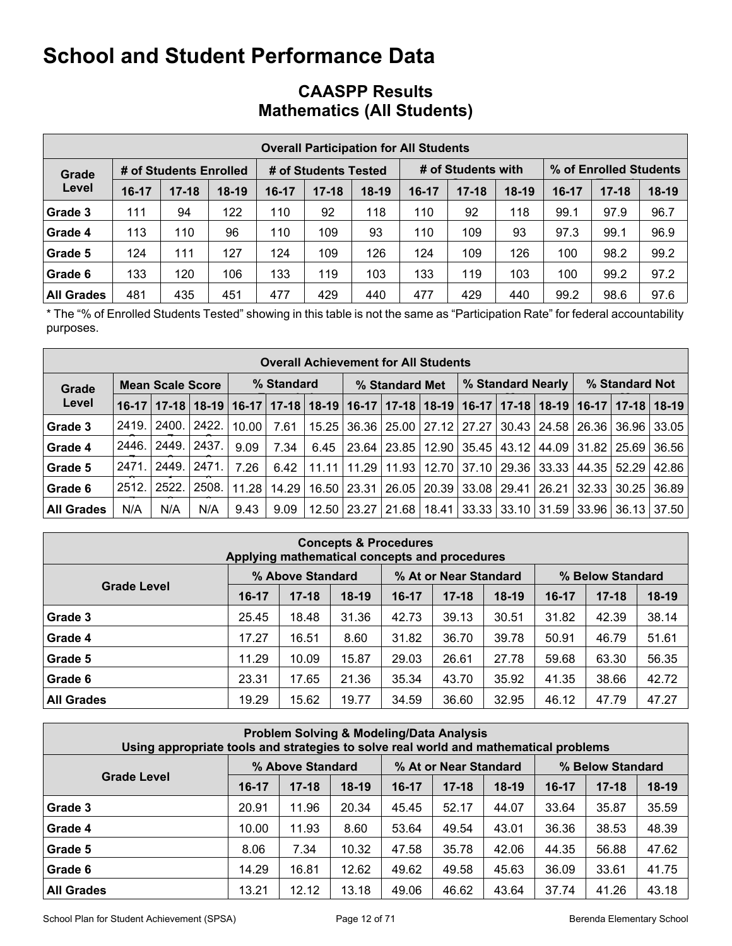|                   |         |                        |         |         | <b>Overall Participation for All Students</b> |         |         |                    |         |                        |           |         |  |
|-------------------|---------|------------------------|---------|---------|-----------------------------------------------|---------|---------|--------------------|---------|------------------------|-----------|---------|--|
|                   |         |                        |         |         |                                               |         |         |                    |         |                        |           |         |  |
| Grade             |         | # of Students Enrolled |         |         | # of Students Tested                          |         |         | # of Students with |         | % of Enrolled Students |           |         |  |
| Level             | $16-17$ | $17 - 18$              | $18-19$ | $16-17$ | $17 - 18$                                     | $18-19$ | $16-17$ | $17 - 18$          | $18-19$ | $16-17$                | $17 - 18$ | $18-19$ |  |
| Grade 3           | 111     | 94                     | 122     | 110     | 92                                            | 118     | 110     | 92                 | 118     | 99.1                   | 97.9      | 96.7    |  |
| Grade 4           | 113     | 110                    | 96      | 110     | 109                                           | 93      | 110     | 109                | 93      | 97.3                   | 99.1      | 96.9    |  |
| Grade 5           | 124     | 111                    | 127     | 124     | 109                                           | 126     | 124     | 109                | 126     | 100                    | 98.2      | 99.2    |  |
| Grade 6           | 133     | 120                    | 106     | 133     | 119                                           | 103     | 133     | 119                | 103     | 100                    | 99.2      | 97.2    |  |
| <b>All Grades</b> | 481     | 435                    | 451     | 477     | 429                                           | 440     | 477     | 429                | 440     | 99.2                   | 98.6      | 97.6    |  |

### **CAASPP Results Mathematics (All Students)**

\* The "% of Enrolled Students Tested" showing in this table is not the same as "Participation Rate" for federal accountability purposes.

|                   | <b>Overall Achievement for All Students</b> |                         |       |       |            |      |                |  |                               |       |  |                                                                                                       |                |  |       |
|-------------------|---------------------------------------------|-------------------------|-------|-------|------------|------|----------------|--|-------------------------------|-------|--|-------------------------------------------------------------------------------------------------------|----------------|--|-------|
| Grade             |                                             | <b>Mean Scale Score</b> |       |       | % Standard |      | % Standard Met |  |                               |       |  | % Standard Nearly                                                                                     | % Standard Not |  |       |
| Level             |                                             | $16-17$   17-18         |       |       |            |      |                |  |                               |       |  | 18-19   16-17   17-18   18-19   16-17   17-18   18-19   16-17   17-18   18-19   16-17   17-18   18-19 |                |  |       |
| Grade 3           | 2419.                                       | ' 2400. <sub>I</sub>    | 2422. | 10.00 | 7.61       |      |                |  | 15.25   36.36   25.00   27.12 | 27.27 |  | $30.43$   24.58   26.36   36.96                                                                       |                |  | 33.05 |
| Grade 4           | 2446.                                       | 2449.                   | 2437. | 9.09  | 7.34       | 6.45 | 23.64          |  | 23.85   12.90                 | 35.45 |  | 43.12   44.09   31.82   25.69                                                                         |                |  | 36.56 |
| Grade 5           | 2471.                                       | 2449.                   | 2471. | 7.26  | 6.42       | 1111 | 11.29          |  | 11.93   12.70                 | 37.10 |  | 29.36 33.33 44.35 52.29                                                                               |                |  | 42.86 |
| Grade 6           | 2512.                                       | 2522.                   | 2508. | 11.28 | 14.29      |      | 16.50   23.31  |  |                               |       |  | 26.05   20.39   33.08   29.41   26.21   32.33   30.25                                                 |                |  | 36.89 |
| <b>All Grades</b> | N/A                                         | N/A                     | N/A   | 9.43  | 9.09       |      |                |  | 12.50   23.27   21.68   18.41 |       |  | 33.33 33.10 31.59 33.96 36.13 37.50                                                                   |                |  |       |

| <b>Concepts &amp; Procedures</b><br>Applying mathematical concepts and procedures |                                                               |           |         |       |           |         |         |           |         |
|-----------------------------------------------------------------------------------|---------------------------------------------------------------|-----------|---------|-------|-----------|---------|---------|-----------|---------|
|                                                                                   | % At or Near Standard<br>% Above Standard<br>% Below Standard |           |         |       |           |         |         |           |         |
| <b>Grade Level</b>                                                                | $16-17$                                                       | $17 - 18$ | $18-19$ | 16-17 | $17 - 18$ | $18-19$ | $16-17$ | $17 - 18$ | $18-19$ |
| Grade 3                                                                           | 25.45                                                         | 18.48     | 31.36   | 42.73 | 39.13     | 30.51   | 31.82   | 42.39     | 38.14   |
| Grade 4                                                                           | 17.27                                                         | 16.51     | 8.60    | 31.82 | 36.70     | 39.78   | 50.91   | 46.79     | 51.61   |
| Grade 5                                                                           | 11.29                                                         | 10.09     | 15.87   | 29.03 | 26.61     | 27.78   | 59.68   | 63.30     | 56.35   |
| Grade 6                                                                           | 23.31                                                         | 17.65     | 21.36   | 35.34 | 43.70     | 35.92   | 41.35   | 38.66     | 42.72   |
| <b>All Grades</b>                                                                 | 19.29                                                         | 15.62     | 19.77   | 34.59 | 36.60     | 32.95   | 46.12   | 47.79     | 47.27   |

| <b>Problem Solving &amp; Modeling/Data Analysis</b><br>Using appropriate tools and strategies to solve real world and mathematical problems |                                                               |           |         |           |           |         |         |           |         |
|---------------------------------------------------------------------------------------------------------------------------------------------|---------------------------------------------------------------|-----------|---------|-----------|-----------|---------|---------|-----------|---------|
|                                                                                                                                             | % Above Standard<br>% At or Near Standard<br>% Below Standard |           |         |           |           |         |         |           |         |
| <b>Grade Level</b>                                                                                                                          | $16-17$                                                       | $17 - 18$ | $18-19$ | $16 - 17$ | $17 - 18$ | $18-19$ | $16-17$ | $17 - 18$ | $18-19$ |
| Grade 3                                                                                                                                     | 20.91                                                         | 11.96     | 20.34   | 45.45     | 52.17     | 44.07   | 33.64   | 35.87     | 35.59   |
| Grade 4                                                                                                                                     | 10.00                                                         | 11.93     | 8.60    | 53.64     | 49.54     | 43.01   | 36.36   | 38.53     | 48.39   |
| Grade 5                                                                                                                                     | 8.06                                                          | 7.34      | 10.32   | 47.58     | 35.78     | 42.06   | 44.35   | 56.88     | 47.62   |
| Grade 6                                                                                                                                     | 14.29                                                         | 16.81     | 12.62   | 49.62     | 49.58     | 45.63   | 36.09   | 33.61     | 41.75   |
| <b>All Grades</b>                                                                                                                           | 13.21                                                         | 12.12     | 13.18   | 49.06     | 46.62     | 43.64   | 37.74   | 41.26     | 43.18   |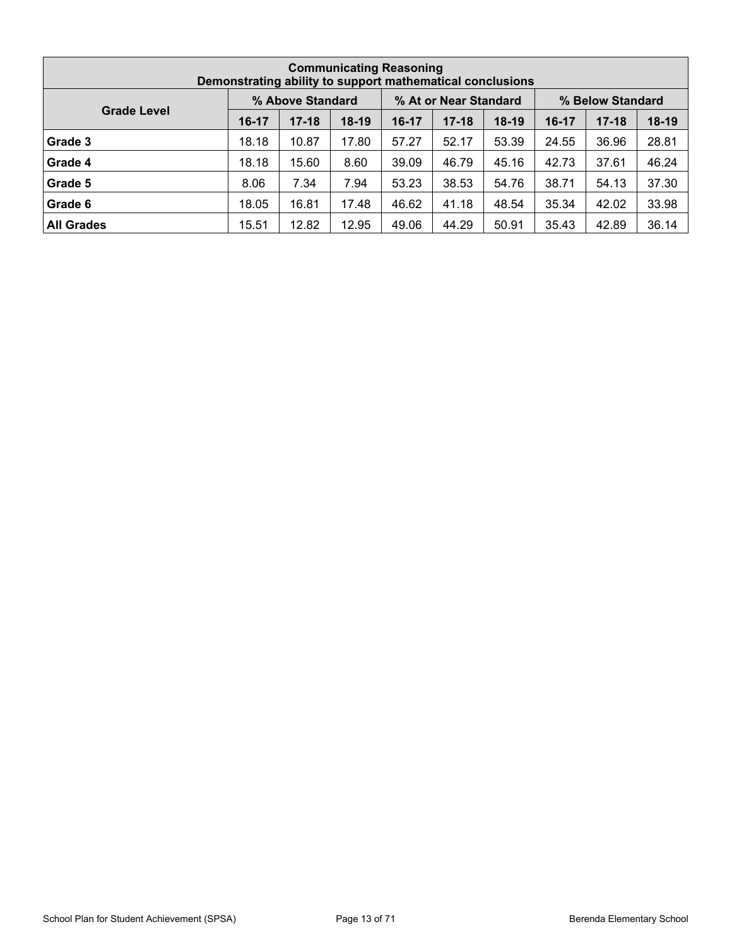| <b>Communicating Reasoning</b><br>Demonstrating ability to support mathematical conclusions |                                                               |           |         |       |           |         |         |           |         |  |  |  |  |  |  |  |  |
|---------------------------------------------------------------------------------------------|---------------------------------------------------------------|-----------|---------|-------|-----------|---------|---------|-----------|---------|--|--|--|--|--|--|--|--|
|                                                                                             | % At or Near Standard<br>% Above Standard<br>% Below Standard |           |         |       |           |         |         |           |         |  |  |  |  |  |  |  |  |
| <b>Grade Level</b>                                                                          | $16-17$                                                       | $17 - 18$ | $18-19$ | 16-17 | $17 - 18$ | $18-19$ | $16-17$ | $17 - 18$ | $18-19$ |  |  |  |  |  |  |  |  |
| Grade 3                                                                                     | 18.18                                                         | 10.87     | 17.80   | 57.27 | 52.17     | 53.39   | 24.55   | 36.96     | 28.81   |  |  |  |  |  |  |  |  |
| Grade 4                                                                                     | 18.18                                                         | 15.60     | 8.60    | 39.09 | 46.79     | 45.16   | 42.73   | 37.61     | 46.24   |  |  |  |  |  |  |  |  |
| Grade 5                                                                                     | 8.06                                                          | 7.34      | 7.94    | 53.23 | 38.53     | 54.76   | 38.71   | 54.13     | 37.30   |  |  |  |  |  |  |  |  |
| Grade 6                                                                                     | 18.05                                                         | 16.81     | 17.48   | 46.62 | 41.18     | 48.54   | 35.34   | 42.02     | 33.98   |  |  |  |  |  |  |  |  |
| <b>All Grades</b>                                                                           | 15.51                                                         | 12.82     | 12.95   | 49.06 | 44.29     | 50.91   | 35.43   | 42.89     | 36.14   |  |  |  |  |  |  |  |  |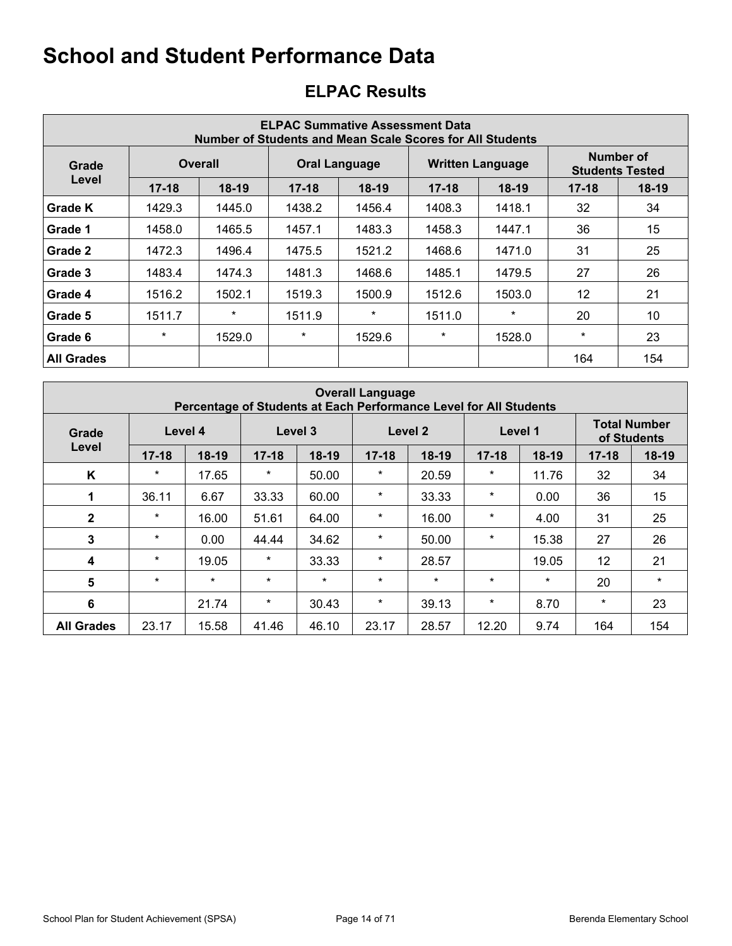| <b>ELPAC Summative Assessment Data</b><br>Number of Students and Mean Scale Scores for All Students |           |                |           |                      |           |                         |           |                                     |  |
|-----------------------------------------------------------------------------------------------------|-----------|----------------|-----------|----------------------|-----------|-------------------------|-----------|-------------------------------------|--|
| Grade                                                                                               |           | <b>Overall</b> |           | <b>Oral Language</b> |           | <b>Written Language</b> |           | Number of<br><b>Students Tested</b> |  |
| Level                                                                                               | $17 - 18$ | $18-19$        | $17 - 18$ | $18-19$              | $17 - 18$ | $18-19$                 | $17 - 18$ | 18-19                               |  |
| Grade K                                                                                             | 1429.3    | 1445.0         | 1438.2    | 1456.4               | 1408.3    | 1418.1                  | 32        | 34                                  |  |
| Grade 1                                                                                             | 1458.0    | 1465.5         | 1457.1    | 1483.3               | 1458.3    | 1447.1                  | 36        | 15                                  |  |
| Grade 2                                                                                             | 1472.3    | 1496.4         | 1475.5    | 1521.2               | 1468.6    | 1471.0                  | 31        | 25                                  |  |
| Grade 3                                                                                             | 1483.4    | 1474.3         | 1481.3    | 1468.6               | 1485.1    | 1479.5                  | 27        | 26                                  |  |
| Grade 4                                                                                             | 1516.2    | 1502.1         | 1519.3    | 1500.9               | 1512.6    | 1503.0                  | 12        | 21                                  |  |
| Grade 5                                                                                             | 1511.7    | $\ast$         | 1511.9    | $\star$              | 1511.0    | $\star$                 | 20        | 10                                  |  |
| Grade 6                                                                                             | $\ast$    | 1529.0         | $\star$   | 1529.6               | $\star$   | 1528.0                  | $\star$   | 23                                  |  |
| <b>All Grades</b>                                                                                   |           |                |           |                      |           |                         | 164       | 154                                 |  |

### **ELPAC Results**

|                   | <b>Overall Language</b><br>Percentage of Students at Each Performance Level for All Students |         |           |         |           |         |           |         |                                    |         |
|-------------------|----------------------------------------------------------------------------------------------|---------|-----------|---------|-----------|---------|-----------|---------|------------------------------------|---------|
| Grade             | Level 4                                                                                      |         | Level 3   |         |           | Level 2 | Level 1   |         | <b>Total Number</b><br>of Students |         |
| Level             | $17 - 18$                                                                                    | 18-19   | $17 - 18$ | $18-19$ | $17 - 18$ | 18-19   | $17 - 18$ | $18-19$ | $17 - 18$                          | $18-19$ |
| K                 | $\star$                                                                                      | 17.65   | $\star$   | 50.00   | $\star$   | 20.59   | $\ast$    | 11.76   | 32                                 | 34      |
| 1                 | 36.11                                                                                        | 6.67    | 33.33     | 60.00   | $\star$   | 33.33   | $\ast$    | 0.00    | 36                                 | 15      |
| $\mathbf{2}$      | $\star$                                                                                      | 16.00   | 51.61     | 64.00   | $\star$   | 16.00   | $\star$   | 4.00    | 31                                 | 25      |
| 3                 | $\star$                                                                                      | 0.00    | 44.44     | 34.62   | $\star$   | 50.00   | $\ast$    | 15.38   | 27                                 | 26      |
| 4                 | $\star$                                                                                      | 19.05   | $\star$   | 33.33   | $\star$   | 28.57   |           | 19.05   | $12 \overline{ }$                  | 21      |
| 5                 | $\star$                                                                                      | $\star$ | $\star$   | $\star$ | $\star$   | $\star$ | $\star$   | $\star$ | 20                                 | $\star$ |
| $6\phantom{1}$    |                                                                                              | 21.74   | $\star$   | 30.43   | $\star$   | 39.13   | $\star$   | 8.70    | $\star$                            | 23      |
| <b>All Grades</b> | 23.17                                                                                        | 15.58   | 41.46     | 46.10   | 23.17     | 28.57   | 12.20     | 9.74    | 164                                | 154     |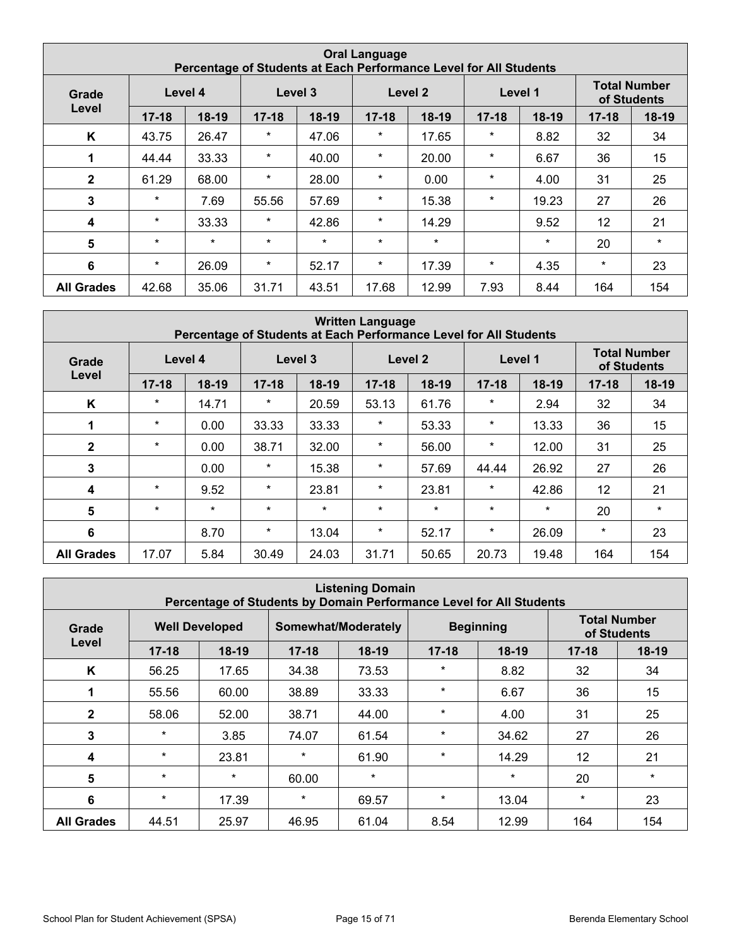|                   | <b>Oral Language</b><br>Percentage of Students at Each Performance Level for All Students |         |           |         |           |         |           |         |                                    |         |
|-------------------|-------------------------------------------------------------------------------------------|---------|-----------|---------|-----------|---------|-----------|---------|------------------------------------|---------|
| Grade             | Level 4                                                                                   |         | Level 3   |         |           | Level 2 | Level 1   |         | <b>Total Number</b><br>of Students |         |
| Level             | $17 - 18$                                                                                 | 18-19   | $17 - 18$ | $18-19$ | $17 - 18$ | 18-19   | $17 - 18$ | $18-19$ | $17 - 18$                          | $18-19$ |
| K                 | 43.75                                                                                     | 26.47   | $\star$   | 47.06   | $\star$   | 17.65   | $^\ast$   | 8.82    | 32                                 | 34      |
| 1                 | 44.44                                                                                     | 33.33   | $\star$   | 40.00   | $\star$   | 20.00   | $\ast$    | 6.67    | 36                                 | 15      |
| $\mathbf{2}$      | 61.29                                                                                     | 68.00   | $\ast$    | 28.00   | $\star$   | 0.00    | *         | 4.00    | 31                                 | 25      |
| 3                 | $\star$                                                                                   | 7.69    | 55.56     | 57.69   | $\star$   | 15.38   | *         | 19.23   | 27                                 | 26      |
| 4                 | $\star$                                                                                   | 33.33   | $\star$   | 42.86   | $\star$   | 14.29   |           | 9.52    | 12                                 | 21      |
| 5                 | $\star$                                                                                   | $\star$ | $\star$   | $\star$ | $\star$   | $\star$ |           | $\star$ | 20                                 | $\star$ |
| 6                 | $\star$                                                                                   | 26.09   | $\star$   | 52.17   | $\star$   | 17.39   | $\ast$    | 4.35    | $\star$                            | 23      |
| <b>All Grades</b> | 42.68                                                                                     | 35.06   | 31.71     | 43.51   | 17.68     | 12.99   | 7.93      | 8.44    | 164                                | 154     |

| <b>Written Language</b><br>Percentage of Students at Each Performance Level for All Students |           |        |           |         |           |         |           |         |                                    |         |
|----------------------------------------------------------------------------------------------|-----------|--------|-----------|---------|-----------|---------|-----------|---------|------------------------------------|---------|
| Level 4<br>Grade                                                                             |           |        | Level 3   |         | Level 2   |         | Level 1   |         | <b>Total Number</b><br>of Students |         |
| Level                                                                                        | $17 - 18$ | 18-19  | $17 - 18$ | 18-19   | $17 - 18$ | 18-19   | $17 - 18$ | $18-19$ | $17 - 18$                          | $18-19$ |
| K                                                                                            | $\star$   | 14.71  | $\star$   | 20.59   | 53.13     | 61.76   | $\star$   | 2.94    | 32                                 | 34      |
| 1                                                                                            | $\star$   | 0.00   | 33.33     | 33.33   | $\star$   | 53.33   | $\ast$    | 13.33   | 36                                 | 15      |
| $\mathbf{2}$                                                                                 | $\star$   | 0.00   | 38.71     | 32.00   | $\star$   | 56.00   | $\star$   | 12.00   | 31                                 | 25      |
| 3                                                                                            |           | 0.00   | $\star$   | 15.38   | $\star$   | 57.69   | 44.44     | 26.92   | 27                                 | 26      |
| 4                                                                                            | $\star$   | 9.52   | $\star$   | 23.81   | $\star$   | 23.81   | $\ast$    | 42.86   | 12                                 | 21      |
| $5\phantom{1}$                                                                               | $\star$   | $\ast$ | $\star$   | $\star$ | $\star$   | $\star$ | $\star$   | $\star$ | 20                                 | $\star$ |
| 6                                                                                            |           | 8.70   | $\star$   | 13.04   | $\star$   | 52.17   | $\ast$    | 26.09   | $\star$                            | 23      |
| <b>All Grades</b>                                                                            | 17.07     | 5.84   | 30.49     | 24.03   | 31.71     | 50.65   | 20.73     | 19.48   | 164                                | 154     |

| <b>Listening Domain</b><br>Percentage of Students by Domain Performance Level for All Students |                       |         |           |                     |           |                  |                                    |         |
|------------------------------------------------------------------------------------------------|-----------------------|---------|-----------|---------------------|-----------|------------------|------------------------------------|---------|
| Grade                                                                                          | <b>Well Developed</b> |         |           | Somewhat/Moderately |           | <b>Beginning</b> | <b>Total Number</b><br>of Students |         |
| Level                                                                                          | $17 - 18$             | $18-19$ | $17 - 18$ | $18-19$             | $17 - 18$ | $18-19$          | $17 - 18$                          | $18-19$ |
| K                                                                                              | 56.25                 | 17.65   | 34.38     | 73.53               | $\star$   | 8.82             | 32                                 | 34      |
| 1                                                                                              | 55.56                 | 60.00   | 38.89     | 33.33               | $\star$   | 6.67             | 36                                 | 15      |
| $\mathbf{2}$                                                                                   | 58.06                 | 52.00   | 38.71     | 44.00               | $\star$   | 4.00             | 31                                 | 25      |
| 3                                                                                              | $\star$               | 3.85    | 74.07     | 61.54               | $\star$   | 34.62            | 27                                 | 26      |
| $\boldsymbol{4}$                                                                               | $\star$               | 23.81   | $\star$   | 61.90               | $\star$   | 14.29            | 12                                 | 21      |
| 5                                                                                              | $\star$               | $\star$ | 60.00     | $\star$             |           | $\star$          | 20                                 | $\star$ |
| 6                                                                                              | $\star$               | 17.39   | $\star$   | 69.57               | $\star$   | 13.04            | $\star$                            | 23      |
| <b>All Grades</b>                                                                              | 44.51                 | 25.97   | 46.95     | 61.04               | 8.54      | 12.99            | 164                                | 154     |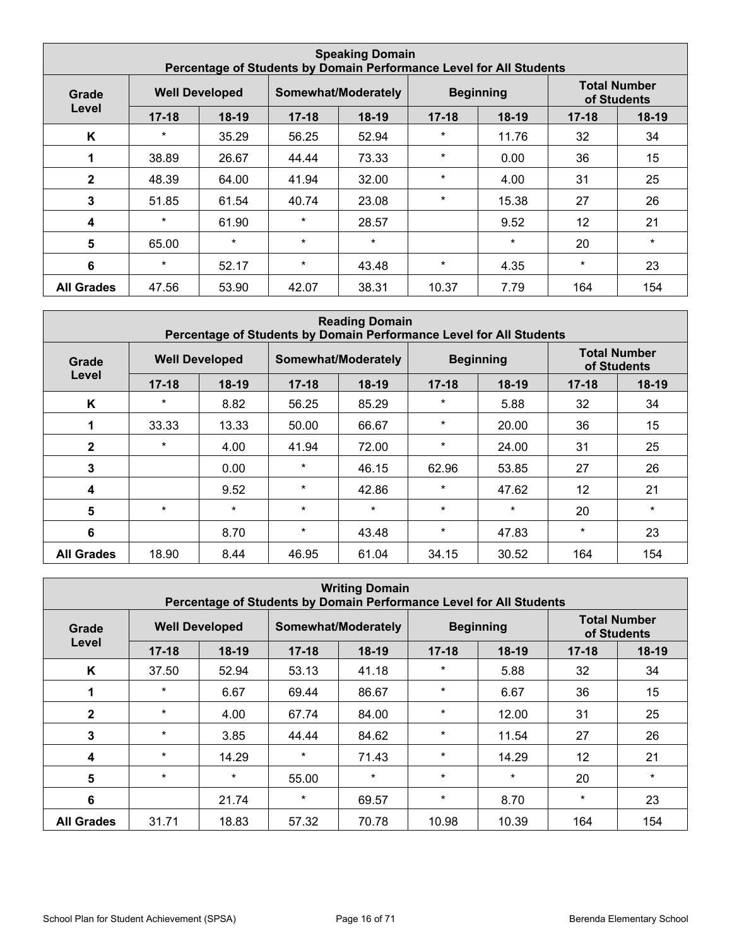| <b>Speaking Domain</b><br>Percentage of Students by Domain Performance Level for All Students |           |                       |           |                     |           |                  |                                    |         |
|-----------------------------------------------------------------------------------------------|-----------|-----------------------|-----------|---------------------|-----------|------------------|------------------------------------|---------|
| Grade                                                                                         |           | <b>Well Developed</b> |           | Somewhat/Moderately |           | <b>Beginning</b> | <b>Total Number</b><br>of Students |         |
| Level                                                                                         | $17 - 18$ | $18-19$               | $17 - 18$ | $18-19$             | $17 - 18$ | $18-19$          | $17 - 18$                          | $18-19$ |
| K                                                                                             | $\star$   | 35.29                 | 56.25     | 52.94               | $\star$   | 11.76            | 32                                 | 34      |
| 1                                                                                             | 38.89     | 26.67                 | 44.44     | 73.33               | $\star$   | 0.00             | 36                                 | 15      |
| $\mathbf{2}$                                                                                  | 48.39     | 64.00                 | 41.94     | 32.00               | $\star$   | 4.00             | 31                                 | 25      |
| 3                                                                                             | 51.85     | 61.54                 | 40.74     | 23.08               | $\star$   | 15.38            | 27                                 | 26      |
| 4                                                                                             | $\star$   | 61.90                 | $\star$   | 28.57               |           | 9.52             | 12                                 | 21      |
| $5\phantom{1}$                                                                                | 65.00     | $\star$               | $\star$   | $\star$             |           | $\star$          | 20                                 | $\star$ |
| 6                                                                                             | $\star$   | 52.17                 | $\star$   | 43.48               | $\star$   | 4.35             | $\star$                            | 23      |
| <b>All Grades</b>                                                                             | 47.56     | 53.90                 | 42.07     | 38.31               | 10.37     | 7.79             | 164                                | 154     |

| <b>Reading Domain</b><br>Percentage of Students by Domain Performance Level for All Students |           |                       |           |                     |           |                  |                                    |         |
|----------------------------------------------------------------------------------------------|-----------|-----------------------|-----------|---------------------|-----------|------------------|------------------------------------|---------|
| Grade                                                                                        |           | <b>Well Developed</b> |           | Somewhat/Moderately |           | <b>Beginning</b> | <b>Total Number</b><br>of Students |         |
| Level                                                                                        | $17 - 18$ | $18-19$               | $17 - 18$ | 18-19               | $17 - 18$ | 18-19            | $17 - 18$                          | $18-19$ |
| K                                                                                            | $\star$   | 8.82                  | 56.25     | 85.29               | $\star$   | 5.88             | 32                                 | 34      |
|                                                                                              | 33.33     | 13.33                 | 50.00     | 66.67               | $\star$   | 20.00            | 36                                 | 15      |
| $\mathbf{2}$                                                                                 | $\star$   | 4.00                  | 41.94     | 72.00               | $\star$   | 24.00            | 31                                 | 25      |
| 3                                                                                            |           | 0.00                  | $\star$   | 46.15               | 62.96     | 53.85            | 27                                 | 26      |
| $\boldsymbol{4}$                                                                             |           | 9.52                  | $\star$   | 42.86               | $\star$   | 47.62            | 12                                 | 21      |
| $5\phantom{1}$                                                                               | $\star$   | $\star$               | $\star$   | $\star$             | $\star$   | $\star$          | 20                                 | $\star$ |
| $6\phantom{1}6$                                                                              |           | 8.70                  | $\star$   | 43.48               | $\star$   | 47.83            | $\star$                            | 23      |
| <b>All Grades</b>                                                                            | 18.90     | 8.44                  | 46.95     | 61.04               | 34.15     | 30.52            | 164                                | 154     |

| <b>Writing Domain</b><br>Percentage of Students by Domain Performance Level for All Students |           |                       |           |                     |           |                  |                                    |         |
|----------------------------------------------------------------------------------------------|-----------|-----------------------|-----------|---------------------|-----------|------------------|------------------------------------|---------|
| Grade                                                                                        |           | <b>Well Developed</b> |           | Somewhat/Moderately |           | <b>Beginning</b> | <b>Total Number</b><br>of Students |         |
| Level                                                                                        | $17 - 18$ | $18-19$               | $17 - 18$ | $18-19$             | $17 - 18$ | $18-19$          | $17 - 18$                          | $18-19$ |
| K                                                                                            | 37.50     | 52.94                 | 53.13     | 41.18               | $\star$   | 5.88             | 32                                 | 34      |
|                                                                                              | $\star$   | 6.67                  | 69.44     | 86.67               | $\star$   | 6.67             | 36                                 | 15      |
| $\mathbf{2}$                                                                                 | $\star$   | 4.00                  | 67.74     | 84.00               | $\star$   | 12.00            | 31                                 | 25      |
| 3                                                                                            | $\star$   | 3.85                  | 44.44     | 84.62               | $\star$   | 11.54            | 27                                 | 26      |
| $\boldsymbol{4}$                                                                             | $\star$   | 14.29                 | $\star$   | 71.43               | $\star$   | 14.29            | 12 <sup>2</sup>                    | 21      |
| 5                                                                                            | $\star$   | $\star$               | 55.00     | $\star$             | $\star$   | $\star$          | 20                                 | $\star$ |
| 6                                                                                            |           | 21.74                 | $\star$   | 69.57               | $\star$   | 8.70             | $\star$                            | 23      |
| <b>All Grades</b>                                                                            | 31.71     | 18.83                 | 57.32     | 70.78               | 10.98     | 10.39            | 164                                | 154     |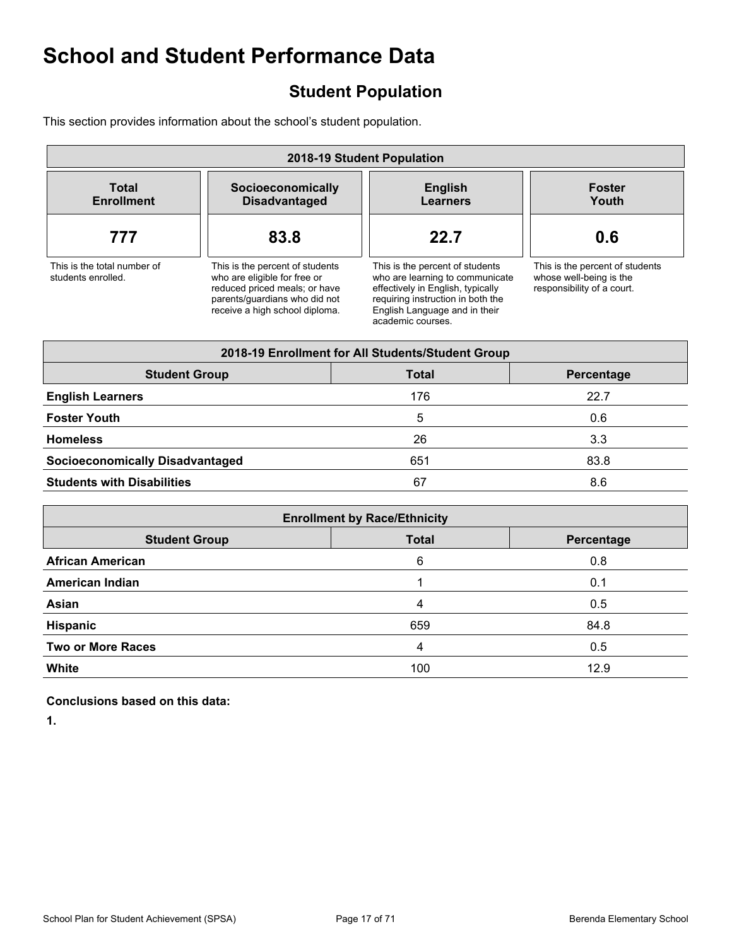### **Student Population**

This section provides information about the school's student population.

| 2018-19 Student Population                        |                                                                                                                                                                     |                                                                                                                                                                                                    |                                                                                          |  |  |  |  |  |  |
|---------------------------------------------------|---------------------------------------------------------------------------------------------------------------------------------------------------------------------|----------------------------------------------------------------------------------------------------------------------------------------------------------------------------------------------------|------------------------------------------------------------------------------------------|--|--|--|--|--|--|
| <b>Total</b><br><b>Enrollment</b>                 | Socioeconomically<br><b>Disadvantaged</b>                                                                                                                           | <b>English</b><br><b>Learners</b>                                                                                                                                                                  | <b>Foster</b><br>Youth                                                                   |  |  |  |  |  |  |
| 777                                               | 83.8                                                                                                                                                                | 22.7                                                                                                                                                                                               | 0.6                                                                                      |  |  |  |  |  |  |
| This is the total number of<br>students enrolled. | This is the percent of students<br>who are eligible for free or<br>reduced priced meals; or have<br>parents/quardians who did not<br>receive a high school diploma. | This is the percent of students<br>who are learning to communicate<br>effectively in English, typically<br>requiring instruction in both the<br>English Language and in their<br>academic courses. | This is the percent of students<br>whose well-being is the<br>responsibility of a court. |  |  |  |  |  |  |

| 2018-19 Enrollment for All Students/Student Group  |     |      |  |  |  |  |
|----------------------------------------------------|-----|------|--|--|--|--|
| <b>Student Group</b><br><b>Total</b><br>Percentage |     |      |  |  |  |  |
| <b>English Learners</b>                            | 176 | 22.7 |  |  |  |  |
| <b>Foster Youth</b>                                | 5   | 0.6  |  |  |  |  |
| <b>Homeless</b>                                    | 26  | 3.3  |  |  |  |  |
| <b>Socioeconomically Disadvantaged</b>             | 651 | 83.8 |  |  |  |  |
| <b>Students with Disabilities</b>                  | 67  | 8.6  |  |  |  |  |

| <b>Enrollment by Race/Ethnicity</b>                |     |      |  |  |  |  |
|----------------------------------------------------|-----|------|--|--|--|--|
| <b>Student Group</b><br><b>Total</b><br>Percentage |     |      |  |  |  |  |
| <b>African American</b>                            | 6   | 0.8  |  |  |  |  |
| <b>American Indian</b>                             |     | 0.1  |  |  |  |  |
| Asian                                              | 4   | 0.5  |  |  |  |  |
| Hispanic                                           | 659 | 84.8 |  |  |  |  |
| <b>Two or More Races</b>                           | 4   | 0.5  |  |  |  |  |
| <b>White</b>                                       | 100 | 12.9 |  |  |  |  |

#### **Conclusions based on this data:**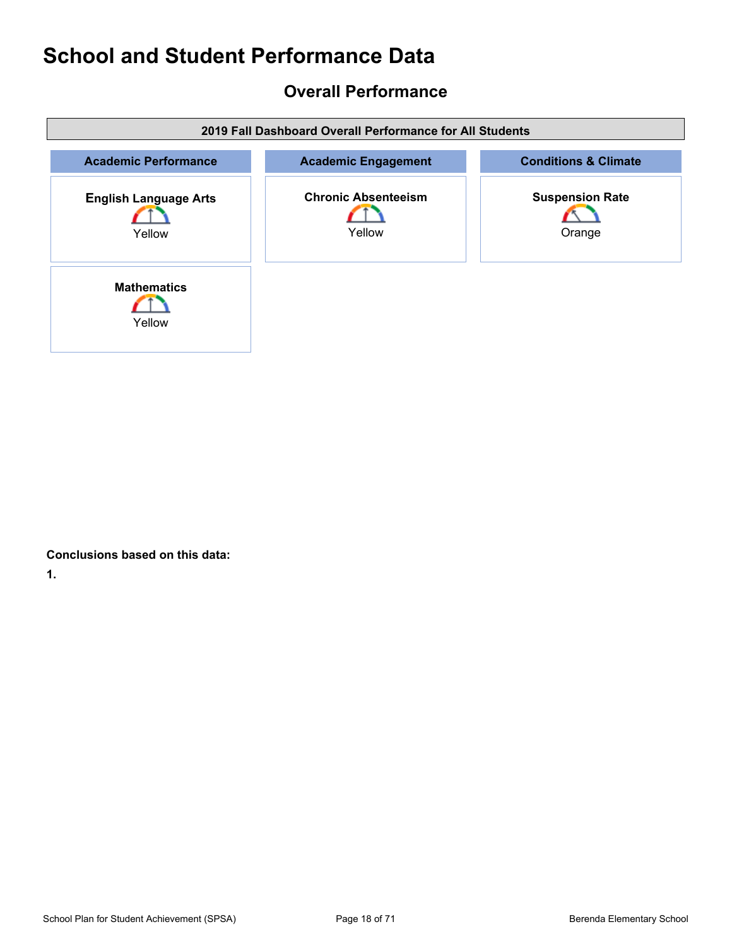### **Overall Performance**

| 2019 Fall Dashboard Overall Performance for All Students |                                      |                                  |  |  |  |
|----------------------------------------------------------|--------------------------------------|----------------------------------|--|--|--|
| <b>Academic Performance</b>                              | <b>Academic Engagement</b>           | <b>Conditions &amp; Climate</b>  |  |  |  |
| <b>English Language Arts</b><br>Yellow                   | <b>Chronic Absenteeism</b><br>Yellow | <b>Suspension Rate</b><br>Orange |  |  |  |
| <b>Mathematics</b><br>Yellow                             |                                      |                                  |  |  |  |

**Conclusions based on this data:**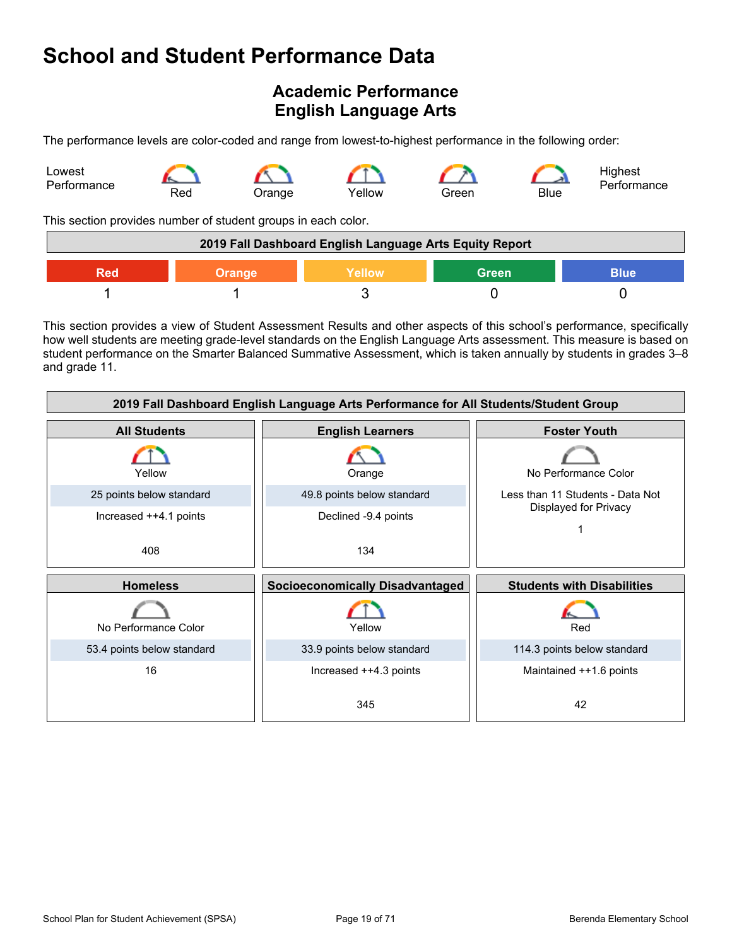### **Academic Performance English Language Arts**

The performance levels are color-coded and range from lowest-to-highest performance in the following order:



This section provides number of student groups in each color.

| 2019 Fall Dashboard English Language Arts Equity Report       |  |  |  |  |  |
|---------------------------------------------------------------|--|--|--|--|--|
| <b>Green</b><br>Yellow<br><b>Blue</b><br><b>Orange</b><br>Red |  |  |  |  |  |
|                                                               |  |  |  |  |  |

This section provides a view of Student Assessment Results and other aspects of this school's performance, specifically how well students are meeting grade-level standards on the English Language Arts assessment. This measure is based on student performance on the Smarter Balanced Summative Assessment, which is taken annually by students in grades 3–8 and grade 11.

| 2019 Fall Dashboard English Language Arts Performance for All Students/Student Group |                                        |                                   |  |  |  |
|--------------------------------------------------------------------------------------|----------------------------------------|-----------------------------------|--|--|--|
| <b>All Students</b>                                                                  | <b>English Learners</b>                | <b>Foster Youth</b>               |  |  |  |
| Yellow                                                                               | Orange                                 | No Performance Color              |  |  |  |
| 25 points below standard                                                             | 49.8 points below standard             | Less than 11 Students - Data Not  |  |  |  |
| Increased ++4.1 points                                                               | Declined -9.4 points                   | Displayed for Privacy             |  |  |  |
| 408                                                                                  | 134                                    |                                   |  |  |  |
|                                                                                      |                                        |                                   |  |  |  |
| <b>Homeless</b>                                                                      | <b>Socioeconomically Disadvantaged</b> | <b>Students with Disabilities</b> |  |  |  |
| No Performance Color                                                                 | Yellow                                 | Red                               |  |  |  |
| 53.4 points below standard                                                           | 33.9 points below standard             | 114.3 points below standard       |  |  |  |
| 16                                                                                   | Increased ++4.3 points                 | Maintained ++1.6 points           |  |  |  |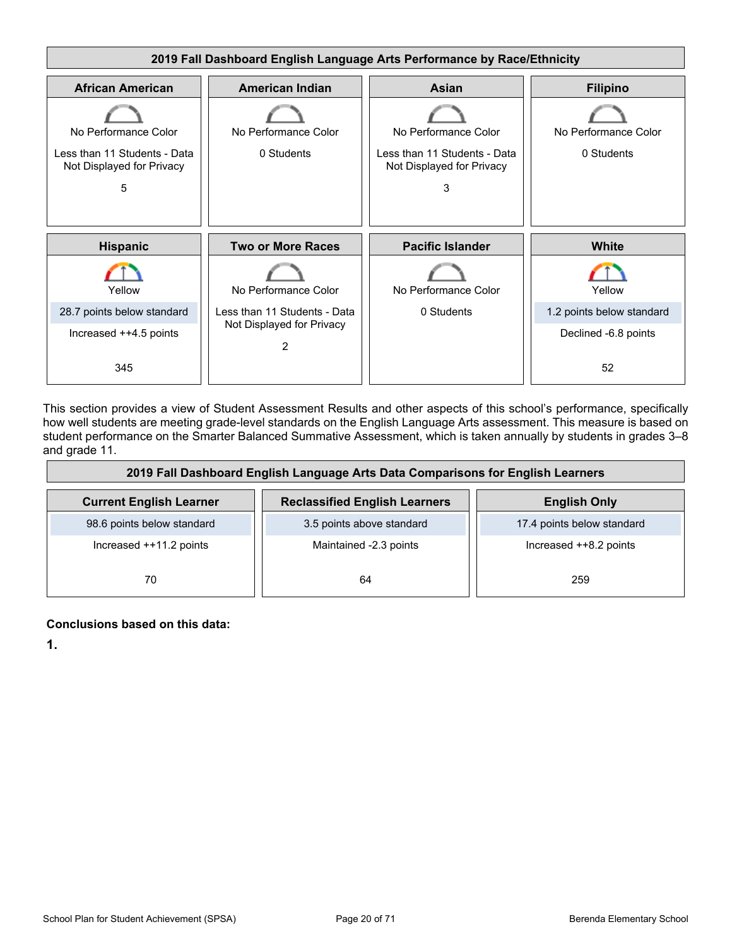

This section provides a view of Student Assessment Results and other aspects of this school's performance, specifically how well students are meeting grade-level standards on the English Language Arts assessment. This measure is based on student performance on the Smarter Balanced Summative Assessment, which is taken annually by students in grades 3–8 and grade 11.

| 2019 Fall Dashboard English Language Arts Data Comparisons for English Learners |                                      |                            |  |  |
|---------------------------------------------------------------------------------|--------------------------------------|----------------------------|--|--|
| <b>Current English Learner</b>                                                  | <b>Reclassified English Learners</b> | <b>English Only</b>        |  |  |
| 98.6 points below standard                                                      | 3.5 points above standard            | 17.4 points below standard |  |  |
| Increased ++11.2 points                                                         | Maintained -2.3 points               | Increased ++8.2 points     |  |  |
| 70                                                                              | 64                                   | 259                        |  |  |

#### **Conclusions based on this data:**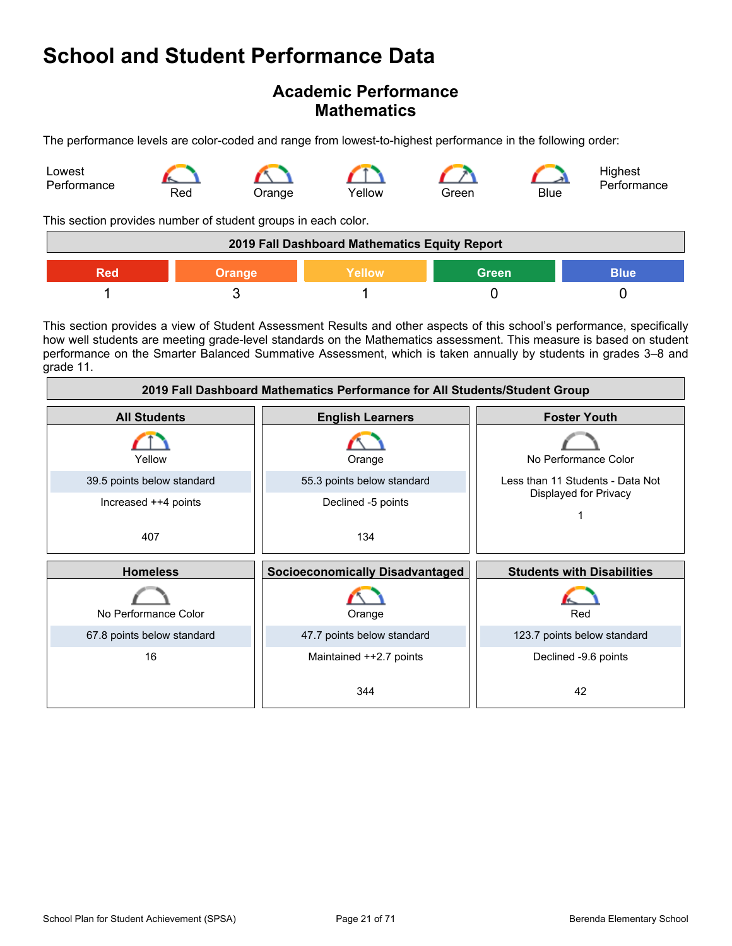### **Academic Performance Mathematics**

The performance levels are color-coded and range from lowest-to-highest performance in the following order:



This section provides number of student groups in each color.

| 2019 Fall Dashboard Mathematics Equity Report          |  |  |  |  |  |
|--------------------------------------------------------|--|--|--|--|--|
| <b>Green</b><br>Yellow<br><b>Blue</b><br>Orange<br>חמ⊊ |  |  |  |  |  |
|                                                        |  |  |  |  |  |

This section provides a view of Student Assessment Results and other aspects of this school's performance, specifically how well students are meeting grade-level standards on the Mathematics assessment. This measure is based on student performance on the Smarter Balanced Summative Assessment, which is taken annually by students in grades 3–8 and grade 11.

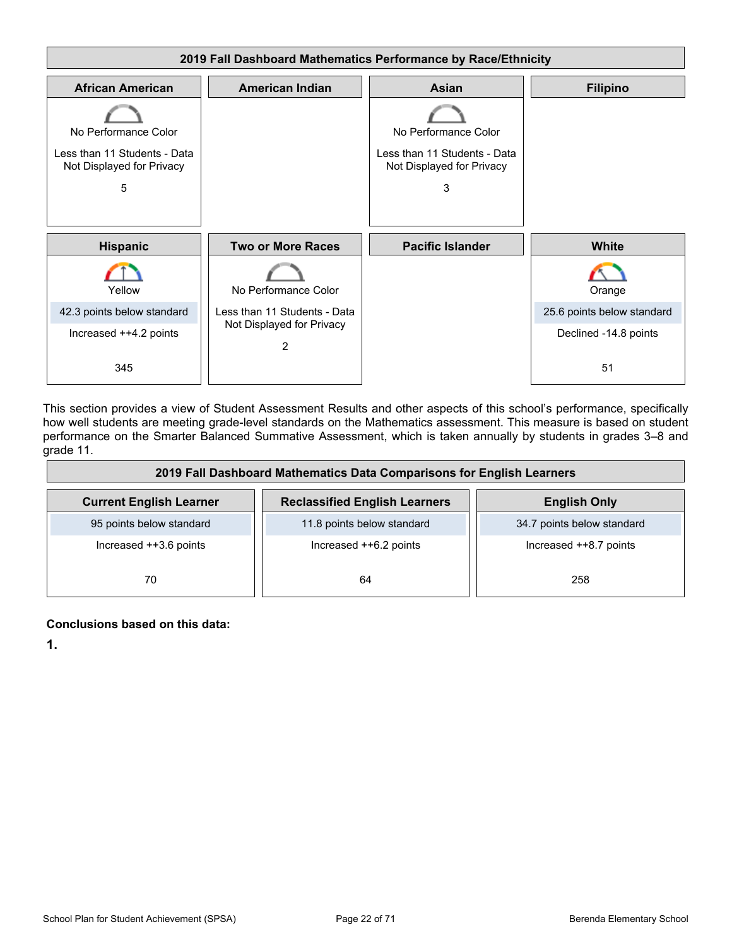

This section provides a view of Student Assessment Results and other aspects of this school's performance, specifically how well students are meeting grade-level standards on the Mathematics assessment. This measure is based on student performance on the Smarter Balanced Summative Assessment, which is taken annually by students in grades 3–8 and grade 11.

| 2019 Fall Dashboard Mathematics Data Comparisons for English Learners |                                      |                            |  |  |  |
|-----------------------------------------------------------------------|--------------------------------------|----------------------------|--|--|--|
| <b>Current English Learner</b>                                        | <b>Reclassified English Learners</b> | <b>English Only</b>        |  |  |  |
| 95 points below standard                                              | 11.8 points below standard           | 34.7 points below standard |  |  |  |
| Increased ++3.6 points                                                | Increased ++6.2 points               | Increased ++8.7 points     |  |  |  |
| 70                                                                    | 64                                   | 258                        |  |  |  |

#### **Conclusions based on this data:**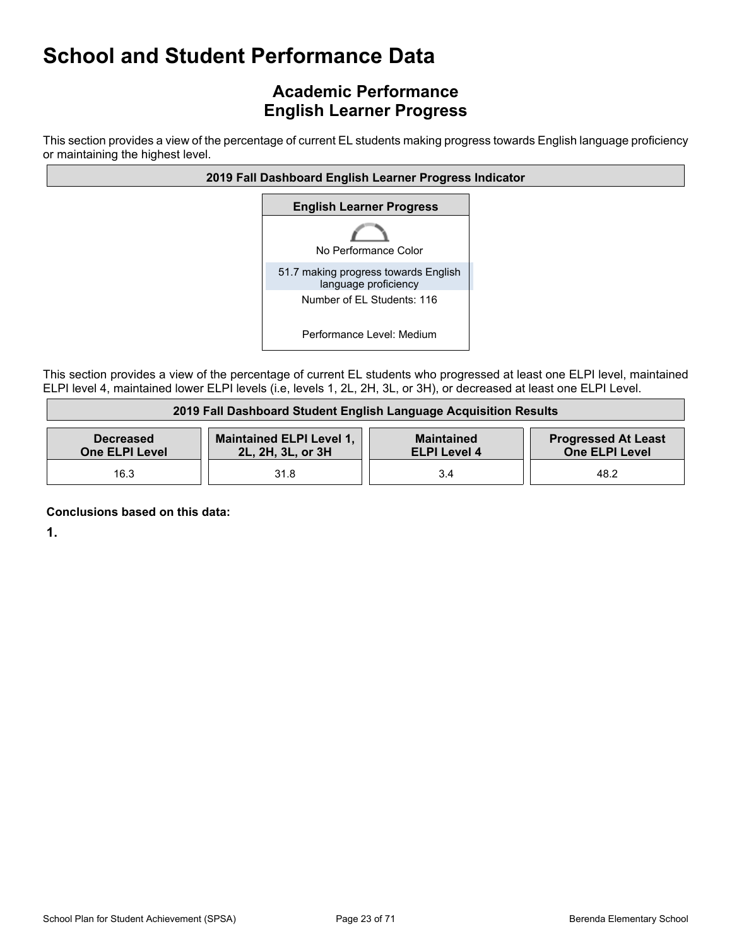### **Academic Performance English Learner Progress**

This section provides a view of the percentage of current EL students making progress towards English language proficiency or maintaining the highest level.



This section provides a view of the percentage of current EL students who progressed at least one ELPI level, maintained ELPI level 4, maintained lower ELPI levels (i.e, levels 1, 2L, 2H, 3L, or 3H), or decreased at least one ELPI Level.

| 2019 Fall Dashboard Student English Language Acquisition Results                                                                                                                              |      |     |      |  |  |
|-----------------------------------------------------------------------------------------------------------------------------------------------------------------------------------------------|------|-----|------|--|--|
| Maintained ELPI Level 1,<br><b>Progressed At Least</b><br><b>Maintained</b><br><b>Decreased</b><br><b>One ELPI Level</b><br>2L, 2H, 3L, or 3H<br><b>One ELPI Level</b><br><b>ELPI Level 4</b> |      |     |      |  |  |
| 16.3                                                                                                                                                                                          | 31.8 | 3.4 | 48.2 |  |  |

**Conclusions based on this data:**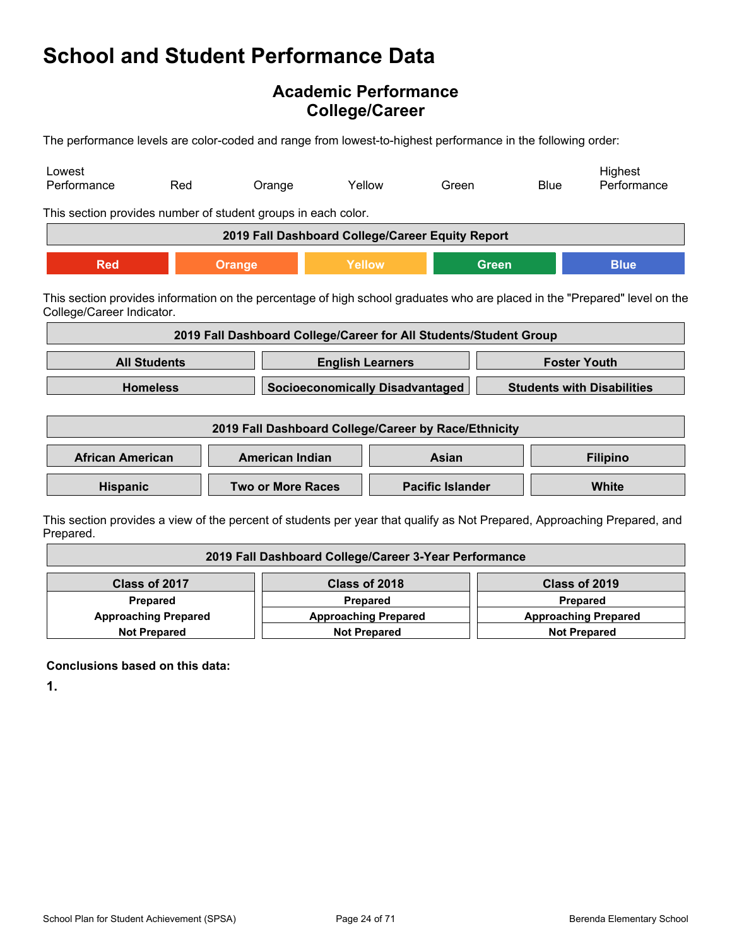### **Academic Performance College/Career**

The performance levels are color-coded and range from lowest-to-highest performance in the following order:

| Lowest<br>Performance                                                                                                                                   | Red                                                  | Orange                                                            | Yellow                  |                                        | Green                   |              | <b>Blue</b>         | Highest<br>Performance            |
|---------------------------------------------------------------------------------------------------------------------------------------------------------|------------------------------------------------------|-------------------------------------------------------------------|-------------------------|----------------------------------------|-------------------------|--------------|---------------------|-----------------------------------|
| This section provides number of student groups in each color.                                                                                           |                                                      |                                                                   |                         |                                        |                         |              |                     |                                   |
|                                                                                                                                                         |                                                      | 2019 Fall Dashboard College/Career Equity Report                  |                         |                                        |                         |              |                     |                                   |
| <b>Red</b>                                                                                                                                              |                                                      | Orange                                                            | Yellow                  |                                        |                         | <b>Green</b> |                     | <b>Blue</b>                       |
| This section provides information on the percentage of high school graduates who are placed in the "Prepared" level on the<br>College/Career Indicator. |                                                      |                                                                   |                         |                                        |                         |              |                     |                                   |
|                                                                                                                                                         |                                                      | 2019 Fall Dashboard College/Career for All Students/Student Group |                         |                                        |                         |              |                     |                                   |
|                                                                                                                                                         | <b>All Students</b>                                  |                                                                   | <b>English Learners</b> |                                        |                         |              | <b>Foster Youth</b> |                                   |
|                                                                                                                                                         | <b>Homeless</b>                                      |                                                                   |                         | <b>Socioeconomically Disadvantaged</b> |                         |              |                     | <b>Students with Disabilities</b> |
|                                                                                                                                                         | 2019 Fall Dashboard College/Career by Race/Ethnicity |                                                                   |                         |                                        |                         |              |                     |                                   |
| <b>African American</b>                                                                                                                                 |                                                      | <b>American Indian</b>                                            |                         |                                        | Asian                   |              |                     | <b>Filipino</b>                   |
| Hispanic                                                                                                                                                |                                                      | <b>Two or More Races</b>                                          |                         |                                        | <b>Pacific Islander</b> |              |                     | <b>White</b>                      |
| This section provides a view of the percent of students per vear that qualify as Not Prepared. Approaching Prepared, and                                |                                                      |                                                                   |                         |                                        |                         |              |                     |                                   |

students per year that qualify as Not Prepared, Approaching Prepared.

| 2019 Fall Dashboard College/Career 3-Year Performance                                     |               |               |  |  |
|-------------------------------------------------------------------------------------------|---------------|---------------|--|--|
| Class of 2017                                                                             | Class of 2018 | Class of 2019 |  |  |
| Prepared<br><b>Prepared</b><br><b>Prepared</b>                                            |               |               |  |  |
| <b>Approaching Prepared</b><br><b>Approaching Prepared</b><br><b>Approaching Prepared</b> |               |               |  |  |
| <b>Not Prepared</b><br><b>Not Prepared</b><br><b>Not Prepared</b>                         |               |               |  |  |

**Conclusions based on this data:**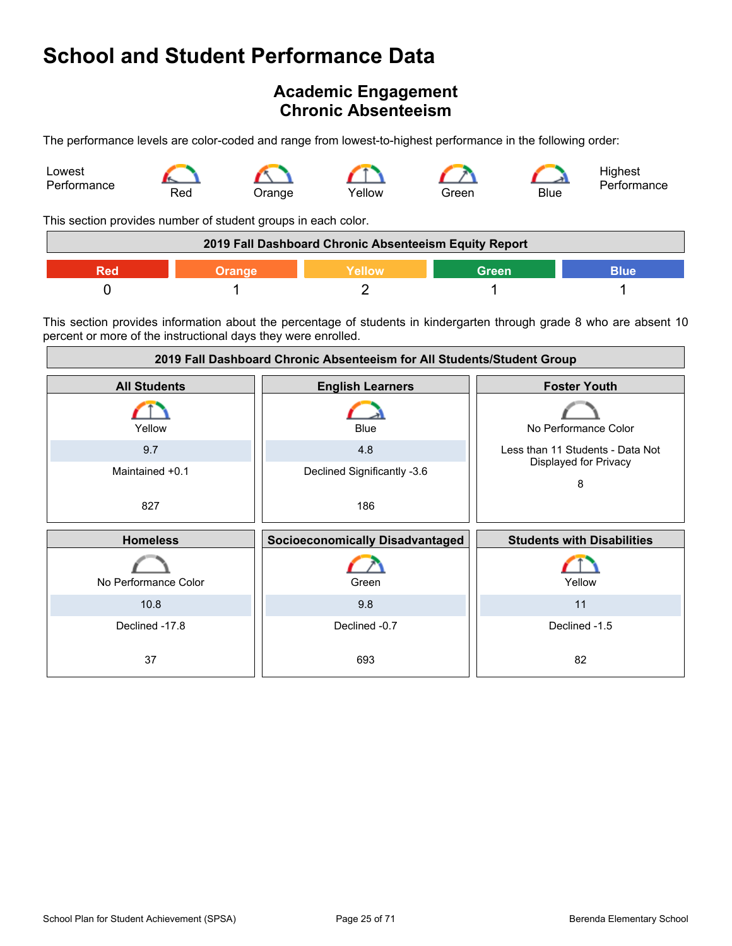### **Academic Engagement Chronic Absenteeism**

The performance levels are color-coded and range from lowest-to-highest performance in the following order:



This section provides number of student groups in each color.

| 2019 Fall Dashboard Chronic Absenteeism Equity Report |  |  |  |  |  |
|-------------------------------------------------------|--|--|--|--|--|
| Green<br><b>Nellow</b><br>3lue                        |  |  |  |  |  |
|                                                       |  |  |  |  |  |

This section provides information about the percentage of students in kindergarten through grade 8 who are absent 10 percent or more of the instructional days they were enrolled.

| 2019 Fall Dashboard Chronic Absenteeism for All Students/Student Group |                                        |                                   |  |
|------------------------------------------------------------------------|----------------------------------------|-----------------------------------|--|
| <b>All Students</b>                                                    | <b>English Learners</b>                | <b>Foster Youth</b>               |  |
| Yellow                                                                 | <b>Blue</b>                            | No Performance Color              |  |
| 9.7                                                                    | 4.8                                    | Less than 11 Students - Data Not  |  |
| Maintained +0.1                                                        | Declined Significantly -3.6            | Displayed for Privacy<br>8        |  |
| 827                                                                    | 186                                    |                                   |  |
|                                                                        |                                        |                                   |  |
| <b>Homeless</b>                                                        | <b>Socioeconomically Disadvantaged</b> | <b>Students with Disabilities</b> |  |
| No Performance Color                                                   | Green                                  | Yellow                            |  |
| 10.8                                                                   | 9.8                                    | 11                                |  |
| Declined -17.8                                                         | Declined -0.7                          | Declined -1.5                     |  |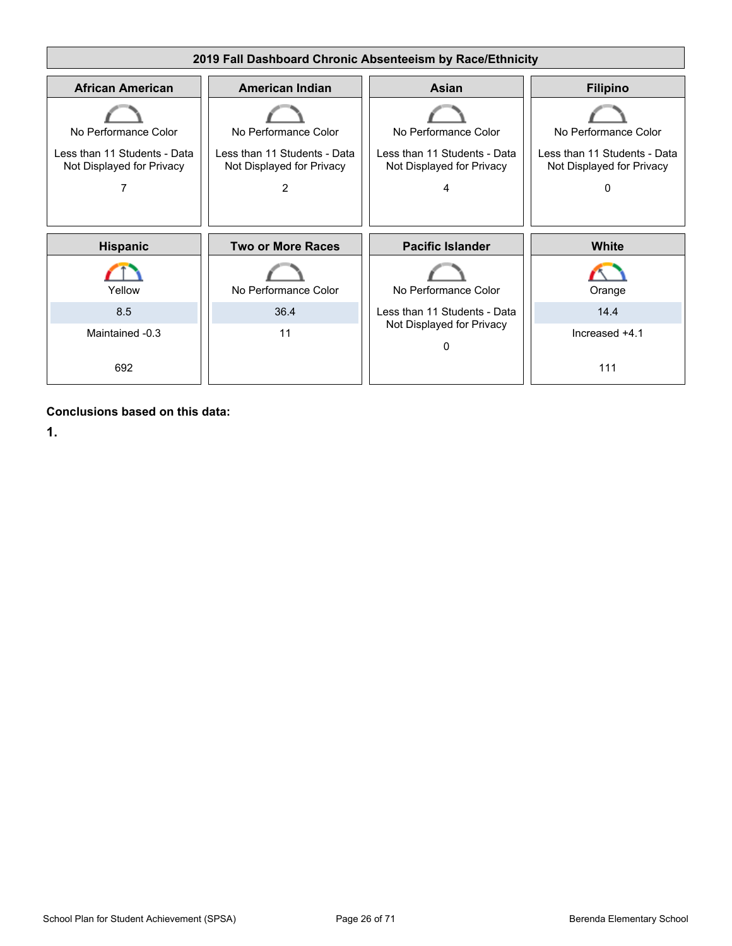

**Conclusions based on this data:**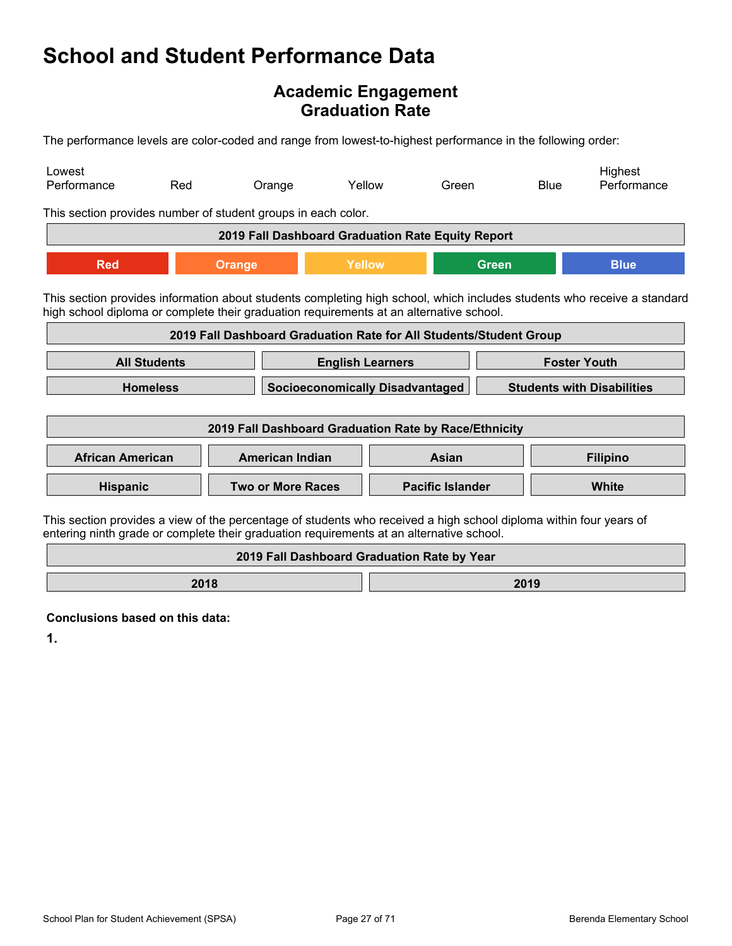### **Academic Engagement Graduation Rate**

The performance levels are color-coded and range from lowest-to-highest performance in the following order:

| Lowest<br>Performance                                                                                                                                                                                          | Red                                                                                                                                                                                                                | Orange                                                             | Yellow |                         | Green        |  | <b>Blue</b> | Highest<br>Performance |
|----------------------------------------------------------------------------------------------------------------------------------------------------------------------------------------------------------------|--------------------------------------------------------------------------------------------------------------------------------------------------------------------------------------------------------------------|--------------------------------------------------------------------|--------|-------------------------|--------------|--|-------------|------------------------|
|                                                                                                                                                                                                                | This section provides number of student groups in each color.                                                                                                                                                      |                                                                    |        |                         |              |  |             |                        |
|                                                                                                                                                                                                                |                                                                                                                                                                                                                    | 2019 Fall Dashboard Graduation Rate Equity Report                  |        |                         |              |  |             |                        |
| <b>Red</b>                                                                                                                                                                                                     | <b>Orange</b>                                                                                                                                                                                                      |                                                                    | Yellow |                         | <b>Green</b> |  |             | <b>Blue</b>            |
|                                                                                                                                                                                                                | This section provides information about students completing high school, which includes students who receive a standard<br>high school diploma or complete their graduation requirements at an alternative school. |                                                                    |        |                         |              |  |             |                        |
|                                                                                                                                                                                                                |                                                                                                                                                                                                                    | 2019 Fall Dashboard Graduation Rate for All Students/Student Group |        |                         |              |  |             |                        |
| <b>All Students</b><br><b>Foster Youth</b><br><b>English Learners</b>                                                                                                                                          |                                                                                                                                                                                                                    |                                                                    |        |                         |              |  |             |                        |
| <b>Homeless</b><br><b>Socioeconomically Disadvantaged</b><br><b>Students with Disabilities</b>                                                                                                                 |                                                                                                                                                                                                                    |                                                                    |        |                         |              |  |             |                        |
| 2019 Fall Dashboard Graduation Rate by Race/Ethnicity                                                                                                                                                          |                                                                                                                                                                                                                    |                                                                    |        |                         |              |  |             |                        |
| <b>African American</b>                                                                                                                                                                                        |                                                                                                                                                                                                                    | <b>American Indian</b>                                             |        |                         | Asian        |  |             | <b>Filipino</b>        |
| Hispanic                                                                                                                                                                                                       |                                                                                                                                                                                                                    | <b>Two or More Races</b>                                           |        | <b>Pacific Islander</b> |              |  | White       |                        |
| This section provides a view of the percentage of students who received a high school diploma within four years of<br>entering ninth grade or complete their graduation requirements at an alternative school. |                                                                                                                                                                                                                    |                                                                    |        |                         |              |  |             |                        |
|                                                                                                                                                                                                                |                                                                                                                                                                                                                    | 2019 Fall Dashboard Graduation Rate by Year                        |        |                         |              |  |             |                        |

**2018 2019** 

**Conclusions based on this data:**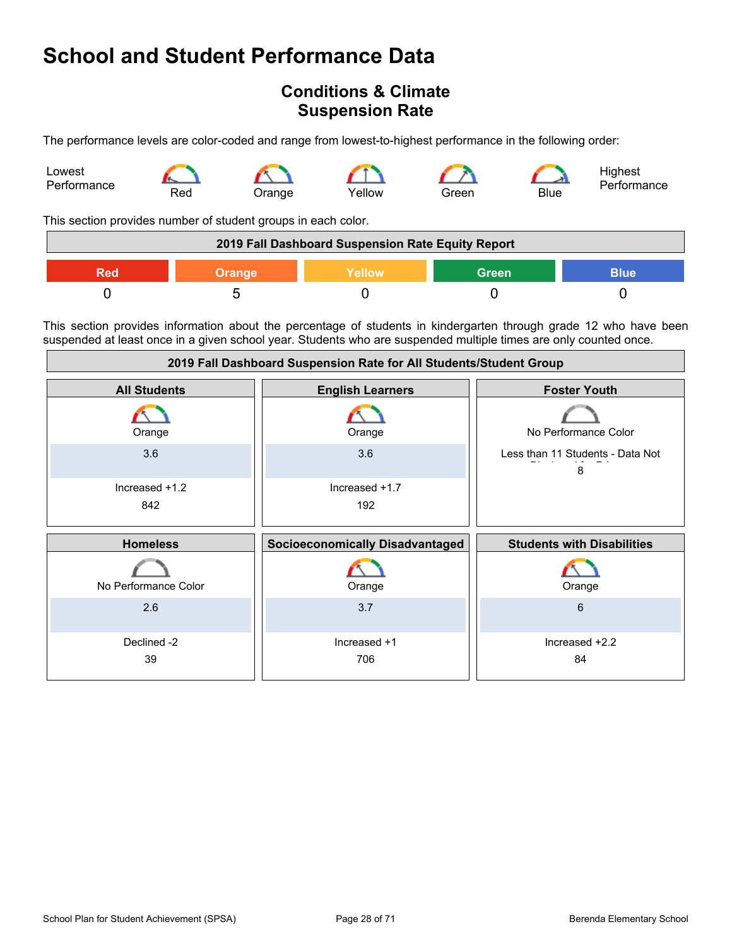### **Conditions & Climate Suspension Rate**

The performance levels are color-coded and range from lowest-to-highest performance in the following order:



This section provides number of student groups in each color.

| 2019 Fall Dashboard Suspension Rate Equity Report |               |               |              |             |
|---------------------------------------------------|---------------|---------------|--------------|-------------|
| Red                                               | <b>Orange</b> | <b>Nellow</b> | <b>Green</b> | <b>Blue</b> |
|                                                   |               |               |              |             |

This section provides information about the percentage of students in kindergarten through grade 12 who have been suspended at least once in a given school year. Students who are suspended multiple times are only counted once.

| 2019 Fall Dashboard Suspension Rate for All Students/Student Group |                                        |                                       |  |
|--------------------------------------------------------------------|----------------------------------------|---------------------------------------|--|
| <b>All Students</b>                                                | <b>English Learners</b>                | <b>Foster Youth</b>                   |  |
| Orange                                                             | Orange                                 | No Performance Color                  |  |
| 3.6                                                                | 3.6                                    | Less than 11 Students - Data Not<br>8 |  |
| Increased +1.2<br>842                                              | Increased +1.7<br>192                  |                                       |  |
|                                                                    |                                        |                                       |  |
| <b>Homeless</b>                                                    | <b>Socioeconomically Disadvantaged</b> | <b>Students with Disabilities</b>     |  |
| No Performance Color                                               | Orange                                 | Orange                                |  |
| 2.6                                                                | 3.7                                    | 6                                     |  |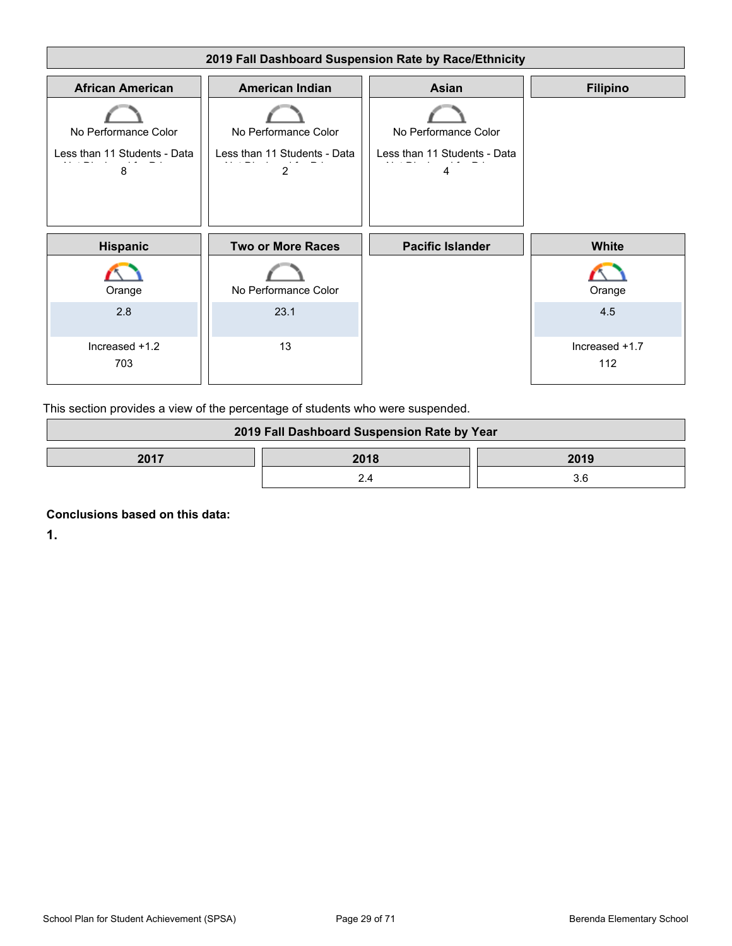

This section provides a view of the percentage of students who were suspended.

| 2019 Fall Dashboard Suspension Rate by Year |      |      |
|---------------------------------------------|------|------|
| 2017                                        | 2018 | 2019 |
|                                             |      | 3.6  |

**Conclusions based on this data:**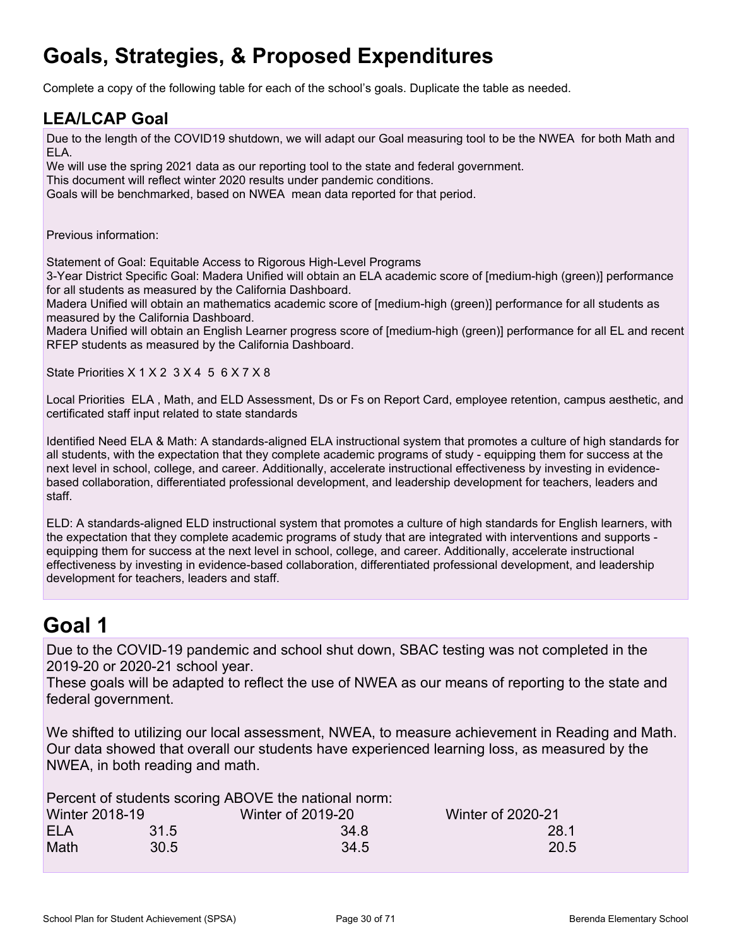## **Goals, Strategies, & Proposed Expenditures**

Complete a copy of the following table for each of the school's goals. Duplicate the table as needed.

### **LEA/LCAP Goal**

Due to the length of the COVID19 shutdown, we will adapt our Goal measuring tool to be the NWEA for both Math and ELA.

We will use the spring 2021 data as our reporting tool to the state and federal government. This document will reflect winter 2020 results under pandemic conditions. Goals will be benchmarked, based on NWEA mean data reported for that period.

Previous information:

Statement of Goal: Equitable Access to Rigorous High-Level Programs

3-Year District Specific Goal: Madera Unified will obtain an ELA academic score of [medium-high (green)] performance for all students as measured by the California Dashboard.

Madera Unified will obtain an mathematics academic score of [medium-high (green)] performance for all students as measured by the California Dashboard.

Madera Unified will obtain an English Learner progress score of [medium-high (green)] performance for all EL and recent RFEP students as measured by the California Dashboard.

State Priorities X 1 X 2 3 X 4 5 6 X 7 X 8

Local Priorities ELA , Math, and ELD Assessment, Ds or Fs on Report Card, employee retention, campus aesthetic, and certificated staff input related to state standards

Identified Need ELA & Math: A standards-aligned ELA instructional system that promotes a culture of high standards for all students, with the expectation that they complete academic programs of study - equipping them for success at the next level in school, college, and career. Additionally, accelerate instructional effectiveness by investing in evidencebased collaboration, differentiated professional development, and leadership development for teachers, leaders and staff.

ELD: A standards-aligned ELD instructional system that promotes a culture of high standards for English learners, with the expectation that they complete academic programs of study that are integrated with interventions and supports equipping them for success at the next level in school, college, and career. Additionally, accelerate instructional effectiveness by investing in evidence-based collaboration, differentiated professional development, and leadership development for teachers, leaders and staff.

## **Goal 1**

Due to the COVID-19 pandemic and school shut down, SBAC testing was not completed in the 2019-20 or 2020-21 school year.

These goals will be adapted to reflect the use of NWEA as our means of reporting to the state and federal government.

We shifted to utilizing our local assessment, NWEA, to measure achievement in Reading and Math. Our data showed that overall our students have experienced learning loss, as measured by the NWEA, in both reading and math.

|                       |      | Percent of students scoring ABOVE the national norm: |                          |
|-----------------------|------|------------------------------------------------------|--------------------------|
| <b>Winter 2018-19</b> |      | <b>Winter of 2019-20</b>                             | <b>Winter of 2020-21</b> |
| <b>ELA</b>            | 31.5 | 34 8                                                 | 28.1                     |
| Math                  | 30.5 | 34.5                                                 | 20.5                     |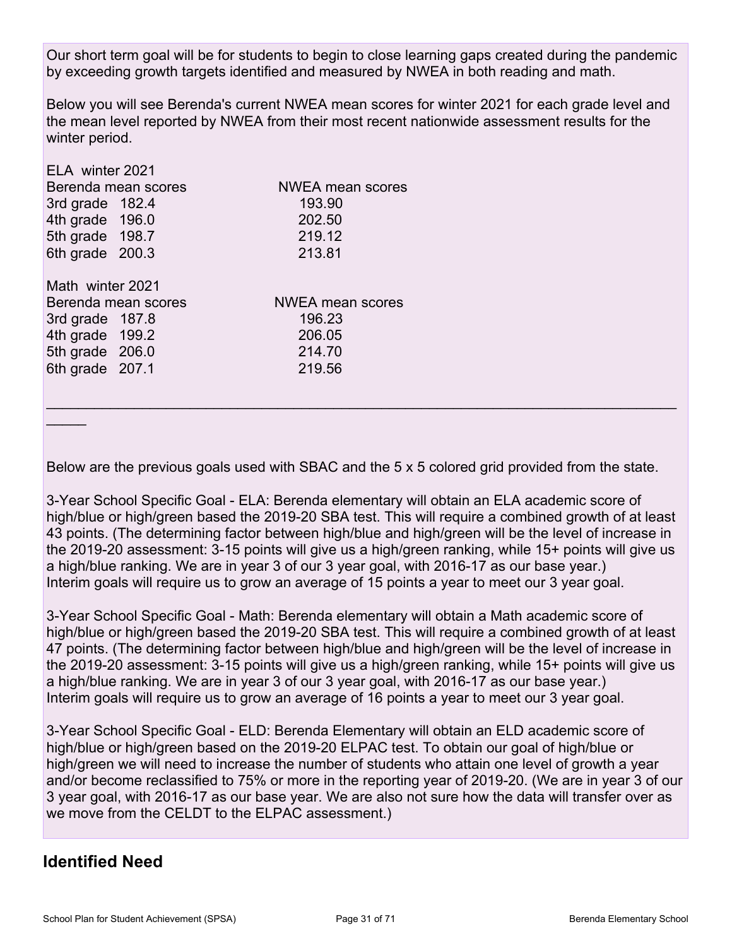Our short term goal will be for students to begin to close learning gaps created during the pandemic by exceeding growth targets identified and measured by NWEA in both reading and math.

Below you will see Berenda's current NWEA mean scores for winter 2021 for each grade level and the mean level reported by NWEA from their most recent nationwide assessment results for the winter period.

| ELA winter 2021  |                     |                         |
|------------------|---------------------|-------------------------|
|                  | Berenda mean scores | <b>NWEA mean scores</b> |
| 3rd grade 182.4  |                     | 193.90                  |
| 4th grade 196.0  |                     | 202.50                  |
| 5th grade 198.7  |                     | 219.12                  |
| 6th grade 200.3  |                     | 213.81                  |
| Math winter 2021 |                     |                         |
|                  | Berenda mean scores | NWEA mean scores        |
| 3rd grade 187.8  |                     | 196.23                  |
| 4th grade 199.2  |                     | 206.05                  |
| 5th grade 206.0  |                     | 214.70                  |
| 6th grade 207.1  |                     | 219.56                  |
|                  |                     |                         |

Below are the previous goals used with SBAC and the 5 x 5 colored grid provided from the state.

 $\mathcal{L}_\mathcal{L} = \mathcal{L}_\mathcal{L} = \mathcal{L}_\mathcal{L} = \mathcal{L}_\mathcal{L} = \mathcal{L}_\mathcal{L} = \mathcal{L}_\mathcal{L} = \mathcal{L}_\mathcal{L} = \mathcal{L}_\mathcal{L} = \mathcal{L}_\mathcal{L} = \mathcal{L}_\mathcal{L} = \mathcal{L}_\mathcal{L} = \mathcal{L}_\mathcal{L} = \mathcal{L}_\mathcal{L} = \mathcal{L}_\mathcal{L} = \mathcal{L}_\mathcal{L} = \mathcal{L}_\mathcal{L} = \mathcal{L}_\mathcal{L}$ 

3-Year School Specific Goal - ELA: Berenda elementary will obtain an ELA academic score of high/blue or high/green based the 2019-20 SBA test. This will require a combined growth of at least 43 points. (The determining factor between high/blue and high/green will be the level of increase in the 2019-20 assessment: 3-15 points will give us a high/green ranking, while 15+ points will give us a high/blue ranking. We are in year 3 of our 3 year goal, with 2016-17 as our base year.) Interim goals will require us to grow an average of 15 points a year to meet our 3 year goal.

3-Year School Specific Goal - Math: Berenda elementary will obtain a Math academic score of high/blue or high/green based the 2019-20 SBA test. This will require a combined growth of at least 47 points. (The determining factor between high/blue and high/green will be the level of increase in the 2019-20 assessment: 3-15 points will give us a high/green ranking, while 15+ points will give us a high/blue ranking. We are in year 3 of our 3 year goal, with 2016-17 as our base year.) Interim goals will require us to grow an average of 16 points a year to meet our 3 year goal.

3-Year School Specific Goal - ELD: Berenda Elementary will obtain an ELD academic score of high/blue or high/green based on the 2019-20 ELPAC test. To obtain our goal of high/blue or high/green we will need to increase the number of students who attain one level of growth a year and/or become reclassified to 75% or more in the reporting year of 2019-20. (We are in year 3 of our 3 year goal, with 2016-17 as our base year. We are also not sure how the data will transfer over as we move from the CELDT to the ELPAC assessment.)

### **Identified Need**

 $\overline{\phantom{a}}$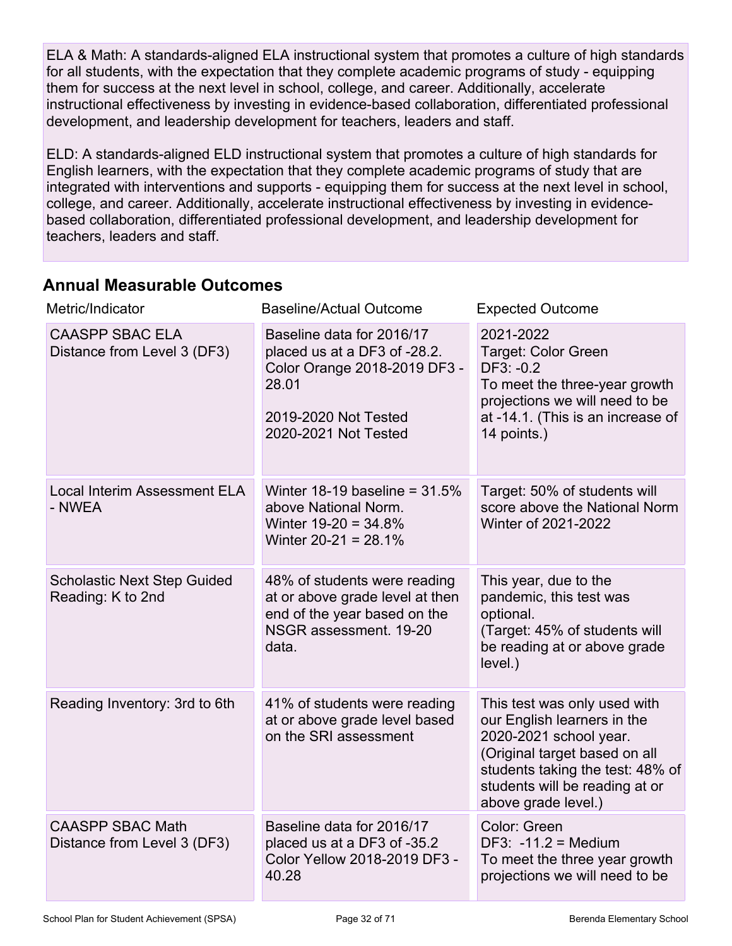ELA & Math: A standards-aligned ELA instructional system that promotes a culture of high standards for all students, with the expectation that they complete academic programs of study - equipping them for success at the next level in school, college, and career. Additionally, accelerate instructional effectiveness by investing in evidence-based collaboration, differentiated professional development, and leadership development for teachers, leaders and staff.

ELD: A standards-aligned ELD instructional system that promotes a culture of high standards for English learners, with the expectation that they complete academic programs of study that are integrated with interventions and supports - equipping them for success at the next level in school, college, and career. Additionally, accelerate instructional effectiveness by investing in evidencebased collaboration, differentiated professional development, and leadership development for teachers, leaders and staff.

### **Annual Measurable Outcomes**

| Metric/Indicator                                        | <b>Baseline/Actual Outcome</b>                                                                                                                     | <b>Expected Outcome</b>                                                                                                                                                                                             |
|---------------------------------------------------------|----------------------------------------------------------------------------------------------------------------------------------------------------|---------------------------------------------------------------------------------------------------------------------------------------------------------------------------------------------------------------------|
| <b>CAASPP SBAC ELA</b><br>Distance from Level 3 (DF3)   | Baseline data for 2016/17<br>placed us at a DF3 of -28.2.<br>Color Orange 2018-2019 DF3 -<br>28.01<br>2019-2020 Not Tested<br>2020-2021 Not Tested | 2021-2022<br>Target: Color Green<br>$DF3: -0.2$<br>To meet the three-year growth<br>projections we will need to be<br>at -14.1. (This is an increase of<br>14 points.)                                              |
| <b>Local Interim Assessment ELA</b><br>- NWEA           | Winter 18-19 baseline = $31.5\%$<br>above National Norm.<br>Winter $19-20 = 34.8%$<br>Winter $20-21 = 28.1\%$                                      | Target: 50% of students will<br>score above the National Norm<br>Winter of 2021-2022                                                                                                                                |
| <b>Scholastic Next Step Guided</b><br>Reading: K to 2nd | 48% of students were reading<br>at or above grade level at then<br>end of the year based on the<br>NSGR assessment. 19-20<br>data.                 | This year, due to the<br>pandemic, this test was<br>optional.<br>(Target: 45% of students will<br>be reading at or above grade<br>level.)                                                                           |
| Reading Inventory: 3rd to 6th                           | 41% of students were reading<br>at or above grade level based<br>on the SRI assessment                                                             | This test was only used with<br>our English learners in the<br>2020-2021 school year.<br>(Original target based on all<br>students taking the test: 48% of<br>students will be reading at or<br>above grade level.) |
| <b>CAASPP SBAC Math</b><br>Distance from Level 3 (DF3)  | Baseline data for 2016/17<br>placed us at a DF3 of -35.2<br>Color Yellow 2018-2019 DF3 -<br>40.28                                                  | Color: Green<br>DF3: $-11.2$ = Medium<br>To meet the three year growth<br>projections we will need to be                                                                                                            |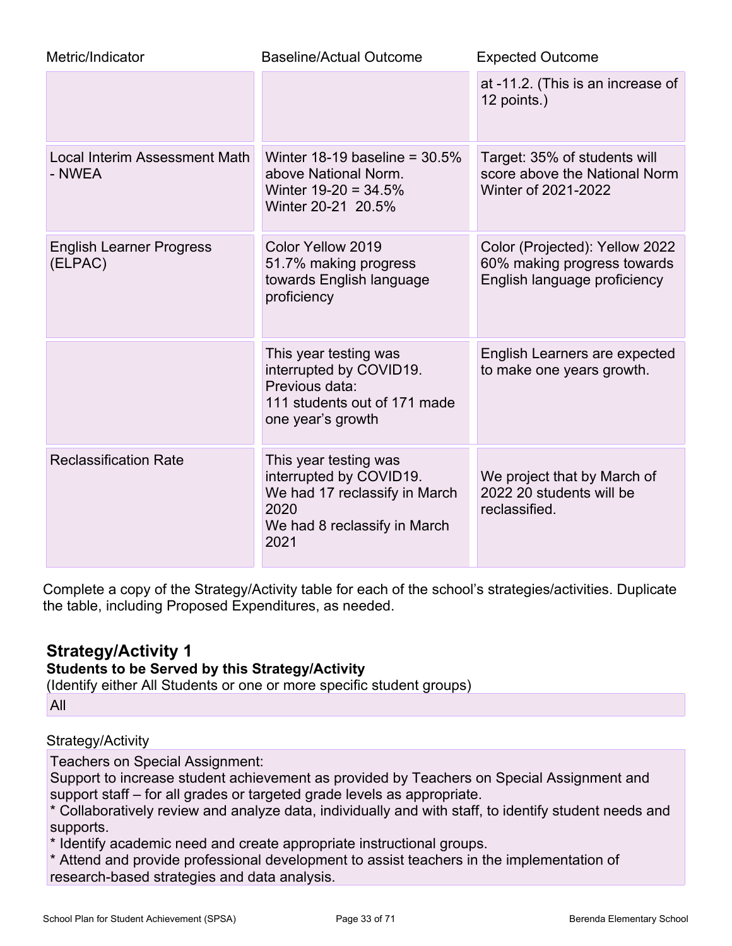| Metric/Indicator                               | <b>Baseline/Actual Outcome</b>                                                                                                    | <b>Expected Outcome</b>                                                                       |
|------------------------------------------------|-----------------------------------------------------------------------------------------------------------------------------------|-----------------------------------------------------------------------------------------------|
|                                                |                                                                                                                                   | at -11.2. (This is an increase of<br>12 points.)                                              |
| <b>Local Interim Assessment Math</b><br>- NWEA | Winter 18-19 baseline = $30.5\%$<br>above National Norm.<br>Winter $19-20 = 34.5%$<br>Winter 20-21 20.5%                          | Target: 35% of students will<br>score above the National Norm<br>Winter of 2021-2022          |
| <b>English Learner Progress</b><br>(ELPAC)     | Color Yellow 2019<br>51.7% making progress<br>towards English language<br>proficiency                                             | Color (Projected): Yellow 2022<br>60% making progress towards<br>English language proficiency |
|                                                | This year testing was<br>interrupted by COVID19.<br>Previous data:<br>111 students out of 171 made<br>one year's growth           | English Learners are expected<br>to make one years growth.                                    |
| <b>Reclassification Rate</b>                   | This year testing was<br>interrupted by COVID19.<br>We had 17 reclassify in March<br>2020<br>We had 8 reclassify in March<br>2021 | We project that by March of<br>2022 20 students will be<br>reclassified.                      |

Complete a copy of the Strategy/Activity table for each of the school's strategies/activities. Duplicate the table, including Proposed Expenditures, as needed.

### **Strategy/Activity 1**

### **Students to be Served by this Strategy/Activity**

(Identify either All Students or one or more specific student groups)

All

### Strategy/Activity

Teachers on Special Assignment:

Support to increase student achievement as provided by Teachers on Special Assignment and support staff – for all grades or targeted grade levels as appropriate.

\* Collaboratively review and analyze data, individually and with staff, to identify student needs and supports.

\* Identify academic need and create appropriate instructional groups.

\* Attend and provide professional development to assist teachers in the implementation of research-based strategies and data analysis.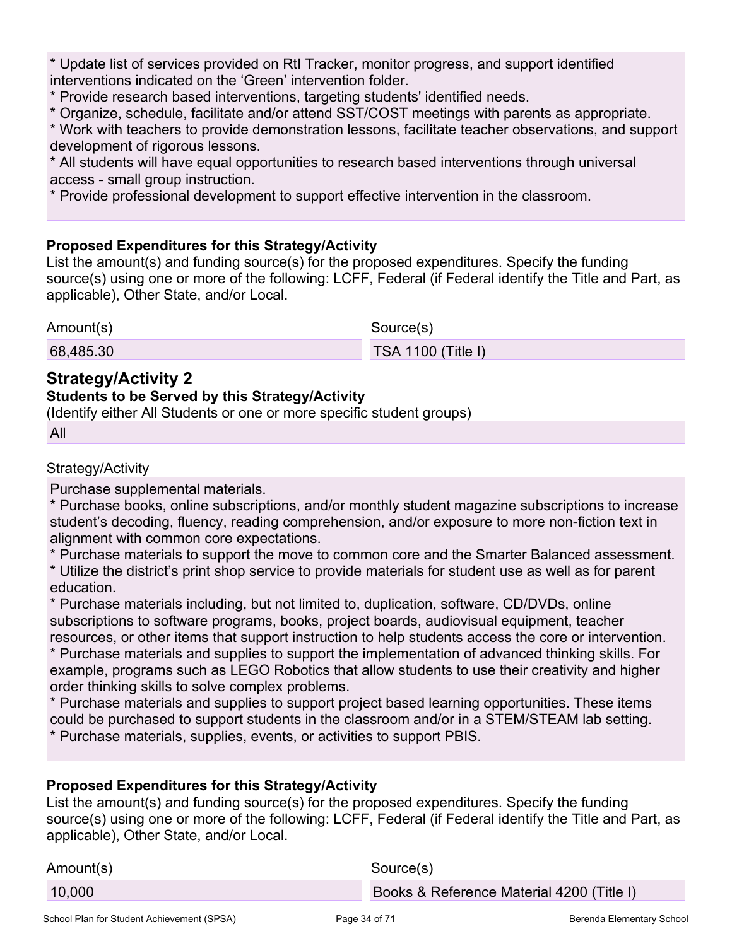\* Update list of services provided on RtI Tracker, monitor progress, and support identified interventions indicated on the 'Green' intervention folder.

\* Provide research based interventions, targeting students' identified needs.

\* Organize, schedule, facilitate and/or attend SST/COST meetings with parents as appropriate.

\* Work with teachers to provide demonstration lessons, facilitate teacher observations, and support development of rigorous lessons.

\* All students will have equal opportunities to research based interventions through universal access - small group instruction.

\* Provide professional development to support effective intervention in the classroom.

#### **Proposed Expenditures for this Strategy/Activity**

List the amount(s) and funding source(s) for the proposed expenditures. Specify the funding source(s) using one or more of the following: LCFF, Federal (if Federal identify the Title and Part, as applicable), Other State, and/or Local.

Amount(s) Source(s)

68,485.30 TSA 1100 (Title I)

### **Strategy/Activity 2**

#### **Students to be Served by this Strategy/Activity**

(Identify either All Students or one or more specific student groups)

All

#### Strategy/Activity

Purchase supplemental materials.

\* Purchase books, online subscriptions, and/or monthly student magazine subscriptions to increase student's decoding, fluency, reading comprehension, and/or exposure to more non-fiction text in alignment with common core expectations.

\* Purchase materials to support the move to common core and the Smarter Balanced assessment.

\* Utilize the district's print shop service to provide materials for student use as well as for parent education.

\* Purchase materials including, but not limited to, duplication, software, CD/DVDs, online subscriptions to software programs, books, project boards, audiovisual equipment, teacher resources, or other items that support instruction to help students access the core or intervention. \* Purchase materials and supplies to support the implementation of advanced thinking skills. For

example, programs such as LEGO Robotics that allow students to use their creativity and higher order thinking skills to solve complex problems.

\* Purchase materials and supplies to support project based learning opportunities. These items could be purchased to support students in the classroom and/or in a STEM/STEAM lab setting. \* Purchase materials, supplies, events, or activities to support PBIS.

#### **Proposed Expenditures for this Strategy/Activity**

List the amount(s) and funding source(s) for the proposed expenditures. Specify the funding source(s) using one or more of the following: LCFF, Federal (if Federal identify the Title and Part, as applicable), Other State, and/or Local.

| Amount(s) | Source(s)                                 |
|-----------|-------------------------------------------|
| 10,000    | Books & Reference Material 4200 (Title I) |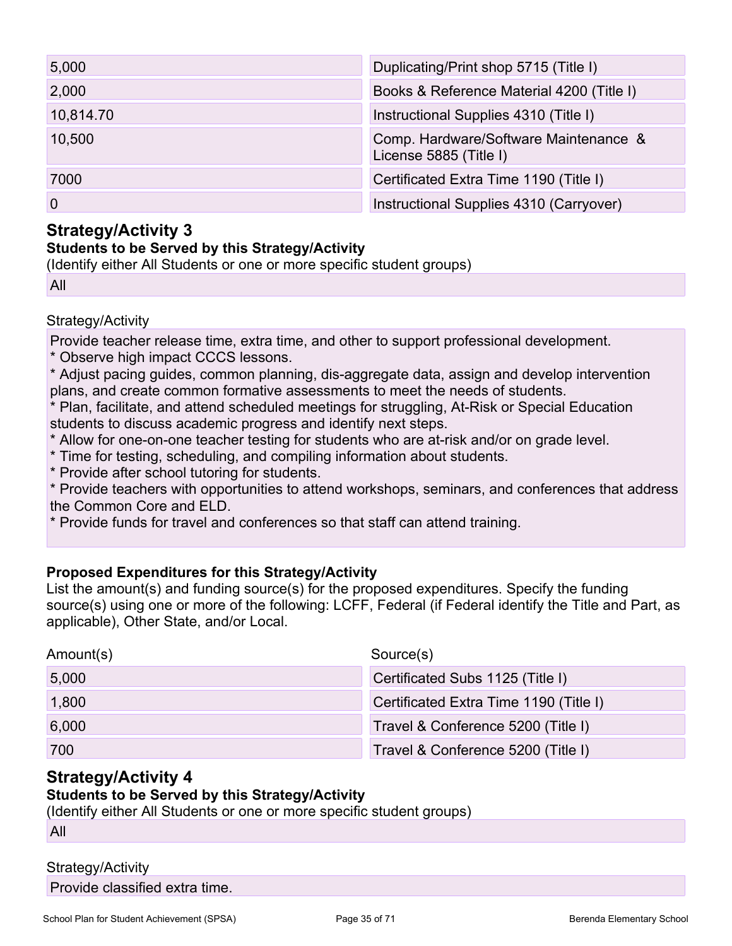| 5,000     | Duplicating/Print shop 5715 (Title I)                           |
|-----------|-----------------------------------------------------------------|
| 2,000     | Books & Reference Material 4200 (Title I)                       |
| 10,814.70 | Instructional Supplies 4310 (Title I)                           |
| 10,500    | Comp. Hardware/Software Maintenance &<br>License 5885 (Title I) |
| 7000      | Certificated Extra Time 1190 (Title I)                          |
| 0         | Instructional Supplies 4310 (Carryover)                         |

### **Strategy/Activity 3**

#### **Students to be Served by this Strategy/Activity**

(Identify either All Students or one or more specific student groups)

All

#### Strategy/Activity

Provide teacher release time, extra time, and other to support professional development.

\* Observe high impact CCCS lessons.

\* Adjust pacing guides, common planning, dis-aggregate data, assign and develop intervention plans, and create common formative assessments to meet the needs of students.

\* Plan, facilitate, and attend scheduled meetings for struggling, At-Risk or Special Education students to discuss academic progress and identify next steps.

- \* Allow for one-on-one teacher testing for students who are at-risk and/or on grade level.
- \* Time for testing, scheduling, and compiling information about students.
- \* Provide after school tutoring for students.

\* Provide teachers with opportunities to attend workshops, seminars, and conferences that address the Common Core and ELD.

\* Provide funds for travel and conferences so that staff can attend training.

#### **Proposed Expenditures for this Strategy/Activity**

List the amount(s) and funding source(s) for the proposed expenditures. Specify the funding source(s) using one or more of the following: LCFF, Federal (if Federal identify the Title and Part, as applicable), Other State, and/or Local.

| Amount(s) | Source(s)                              |
|-----------|----------------------------------------|
| 5,000     | Certificated Subs 1125 (Title I)       |
| 1,800     | Certificated Extra Time 1190 (Title I) |
| 6,000     | Travel & Conference 5200 (Title I)     |
| 700       | Travel & Conference 5200 (Title I)     |

### **Strategy/Activity 4**

#### **Students to be Served by this Strategy/Activity**

(Identify either All Students or one or more specific student groups)

All

#### Strategy/Activity

Provide classified extra time.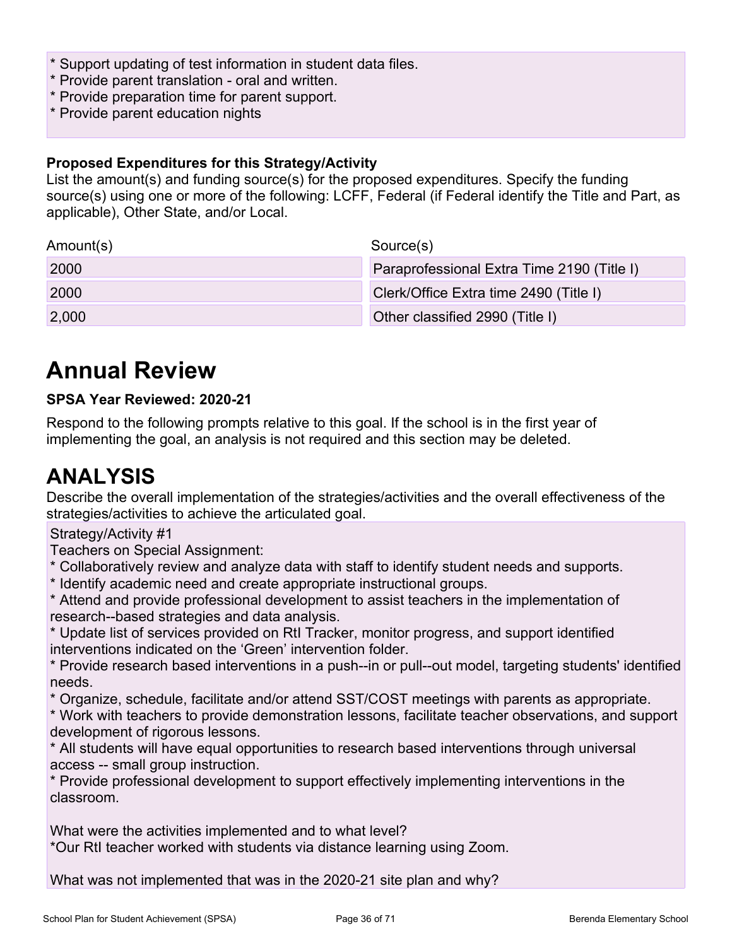- \* Support updating of test information in student data files.
- \* Provide parent translation oral and written.
- \* Provide preparation time for parent support.
- \* Provide parent education nights

#### **Proposed Expenditures for this Strategy/Activity**

List the amount(s) and funding source(s) for the proposed expenditures. Specify the funding source(s) using one or more of the following: LCFF, Federal (if Federal identify the Title and Part, as applicable), Other State, and/or Local.

| Amount(s) | Source(s)                                  |
|-----------|--------------------------------------------|
| 2000      | Paraprofessional Extra Time 2190 (Title I) |
| 2000      | Clerk/Office Extra time 2490 (Title I)     |
| 2,000     | Other classified 2990 (Title I)            |

## **Annual Review**

#### **SPSA Year Reviewed: 2020-21**

Respond to the following prompts relative to this goal. If the school is in the first year of implementing the goal, an analysis is not required and this section may be deleted.

## **ANALYSIS**

Describe the overall implementation of the strategies/activities and the overall effectiveness of the strategies/activities to achieve the articulated goal.

#### Strategy/Activity #1

Teachers on Special Assignment:

- \* Collaboratively review and analyze data with staff to identify student needs and supports.
- \* Identify academic need and create appropriate instructional groups.

\* Attend and provide professional development to assist teachers in the implementation of research--based strategies and data analysis.

\* Update list of services provided on RtI Tracker, monitor progress, and support identified interventions indicated on the 'Green' intervention folder.

\* Provide research based interventions in a push--in or pull--out model, targeting students' identified needs.

\* Organize, schedule, facilitate and/or attend SST/COST meetings with parents as appropriate.

\* Work with teachers to provide demonstration lessons, facilitate teacher observations, and support development of rigorous lessons.

\* All students will have equal opportunities to research based interventions through universal access -- small group instruction.

\* Provide professional development to support effectively implementing interventions in the classroom.

What were the activities implemented and to what level? \*Our RtI teacher worked with students via distance learning using Zoom.

What was not implemented that was in the 2020-21 site plan and why?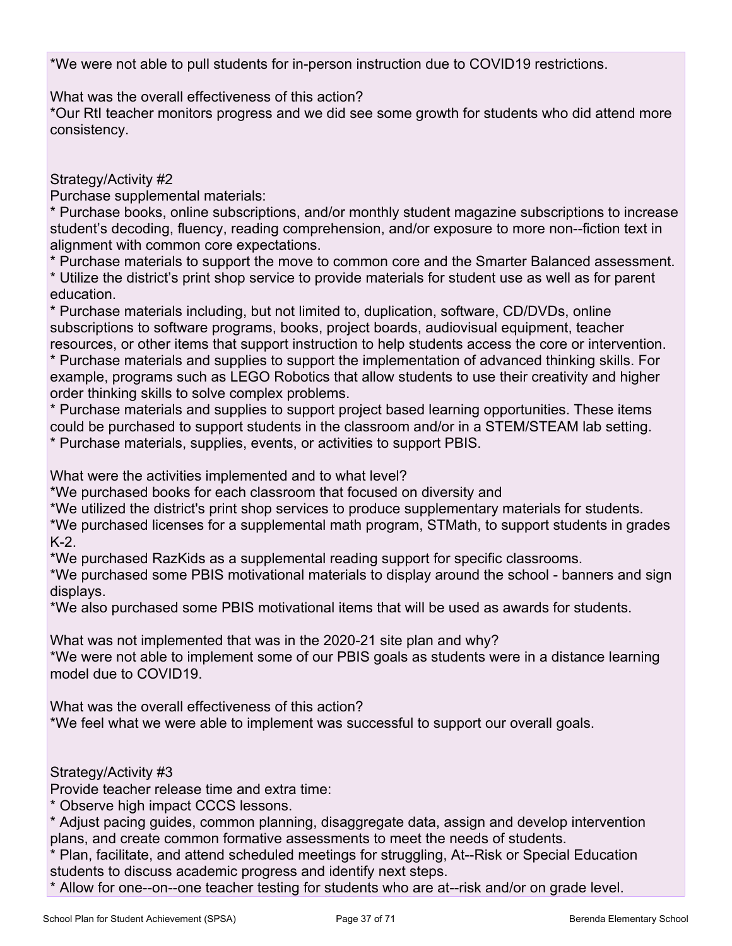\*We were not able to pull students for in-person instruction due to COVID19 restrictions.

What was the overall effectiveness of this action?

\*Our RtI teacher monitors progress and we did see some growth for students who did attend more consistency.

Strategy/Activity #2

Purchase supplemental materials:

\* Purchase books, online subscriptions, and/or monthly student magazine subscriptions to increase student's decoding, fluency, reading comprehension, and/or exposure to more non--fiction text in alignment with common core expectations.

\* Purchase materials to support the move to common core and the Smarter Balanced assessment.

\* Utilize the district's print shop service to provide materials for student use as well as for parent education.

\* Purchase materials including, but not limited to, duplication, software, CD/DVDs, online subscriptions to software programs, books, project boards, audiovisual equipment, teacher resources, or other items that support instruction to help students access the core or intervention.

\* Purchase materials and supplies to support the implementation of advanced thinking skills. For example, programs such as LEGO Robotics that allow students to use their creativity and higher order thinking skills to solve complex problems.

\* Purchase materials and supplies to support project based learning opportunities. These items could be purchased to support students in the classroom and/or in a STEM/STEAM lab setting. \* Purchase materials, supplies, events, or activities to support PBIS.

What were the activities implemented and to what level?

\*We purchased books for each classroom that focused on diversity and

\*We utilized the district's print shop services to produce supplementary materials for students.

\*We purchased licenses for a supplemental math program, STMath, to support students in grades K-2.

\*We purchased RazKids as a supplemental reading support for specific classrooms.

\*We purchased some PBIS motivational materials to display around the school - banners and sign displays.

\*We also purchased some PBIS motivational items that will be used as awards for students.

What was not implemented that was in the 2020-21 site plan and why?

\*We were not able to implement some of our PBIS goals as students were in a distance learning model due to COVID19.

What was the overall effectiveness of this action?

\*We feel what we were able to implement was successful to support our overall goals.

#### Strategy/Activity #3

Provide teacher release time and extra time:

\* Observe high impact CCCS lessons.

\* Adjust pacing guides, common planning, disaggregate data, assign and develop intervention plans, and create common formative assessments to meet the needs of students.

\* Plan, facilitate, and attend scheduled meetings for struggling, At--Risk or Special Education students to discuss academic progress and identify next steps.

\* Allow for one--on--one teacher testing for students who are at--risk and/or on grade level.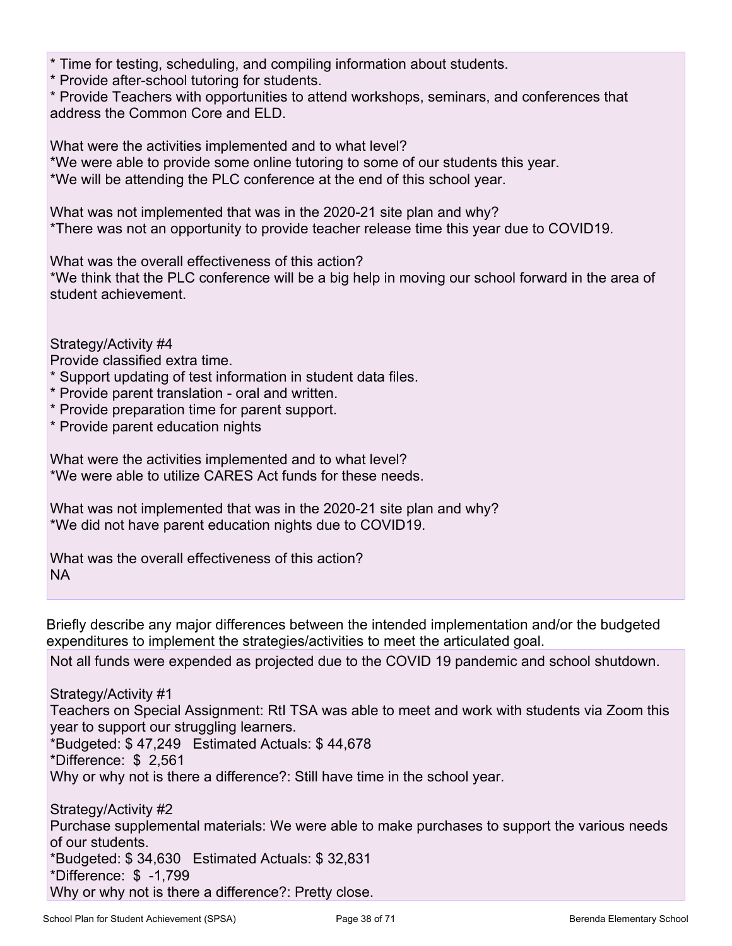\* Time for testing, scheduling, and compiling information about students.

\* Provide after-school tutoring for students.

\* Provide Teachers with opportunities to attend workshops, seminars, and conferences that address the Common Core and ELD.

What were the activities implemented and to what level? \*We were able to provide some online tutoring to some of our students this year. \*We will be attending the PLC conference at the end of this school year.

What was not implemented that was in the 2020-21 site plan and why? \*There was not an opportunity to provide teacher release time this year due to COVID19.

What was the overall effectiveness of this action?

\*We think that the PLC conference will be a big help in moving our school forward in the area of student achievement.

Strategy/Activity #4

Provide classified extra time.

- \* Support updating of test information in student data files.
- \* Provide parent translation oral and written.
- \* Provide preparation time for parent support.

\* Provide parent education nights

What were the activities implemented and to what level? \*We were able to utilize CARES Act funds for these needs.

What was not implemented that was in the 2020-21 site plan and why? \*We did not have parent education nights due to COVID19.

What was the overall effectiveness of this action? NA

Briefly describe any major differences between the intended implementation and/or the budgeted expenditures to implement the strategies/activities to meet the articulated goal.

Not all funds were expended as projected due to the COVID 19 pandemic and school shutdown.

Strategy/Activity #1

Teachers on Special Assignment: RtI TSA was able to meet and work with students via Zoom this year to support our struggling learners.

\*Budgeted: \$ 47,249 Estimated Actuals: \$ 44,678

\*Difference: \$ 2,561

Why or why not is there a difference?: Still have time in the school year.

Strategy/Activity #2 Purchase supplemental materials: We were able to make purchases to support the various needs of our students. \*Budgeted: \$ 34,630 Estimated Actuals: \$ 32,831 \*Difference: \$ -1,799 Why or why not is there a difference?: Pretty close.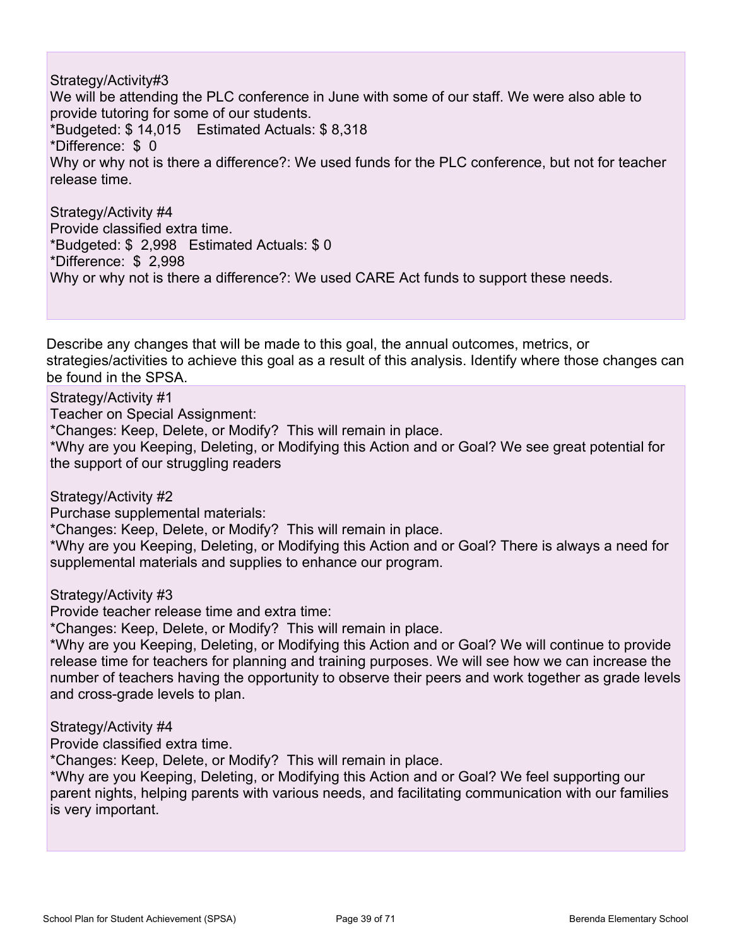Strategy/Activity#3

We will be attending the PLC conference in June with some of our staff. We were also able to provide tutoring for some of our students. \*Budgeted: \$ 14,015 Estimated Actuals: \$ 8,318 \*Difference: \$ 0 Why or why not is there a difference?: We used funds for the PLC conference, but not for teacher release time.

Strategy/Activity #4 Provide classified extra time. \*Budgeted: \$ 2,998 Estimated Actuals: \$ 0 \*Difference: \$ 2,998 Why or why not is there a difference?: We used CARE Act funds to support these needs.

Describe any changes that will be made to this goal, the annual outcomes, metrics, or strategies/activities to achieve this goal as a result of this analysis. Identify where those changes can be found in the SPSA.

Strategy/Activity #1

Teacher on Special Assignment:

\*Changes: Keep, Delete, or Modify? This will remain in place.

\*Why are you Keeping, Deleting, or Modifying this Action and or Goal? We see great potential for the support of our struggling readers

Strategy/Activity #2

Purchase supplemental materials:

\*Changes: Keep, Delete, or Modify? This will remain in place.

\*Why are you Keeping, Deleting, or Modifying this Action and or Goal? There is always a need for supplemental materials and supplies to enhance our program.

Strategy/Activity #3

Provide teacher release time and extra time:

\*Changes: Keep, Delete, or Modify? This will remain in place.

\*Why are you Keeping, Deleting, or Modifying this Action and or Goal? We will continue to provide release time for teachers for planning and training purposes. We will see how we can increase the number of teachers having the opportunity to observe their peers and work together as grade levels and cross-grade levels to plan.

Strategy/Activity #4

Provide classified extra time.

\*Changes: Keep, Delete, or Modify? This will remain in place.

\*Why are you Keeping, Deleting, or Modifying this Action and or Goal? We feel supporting our parent nights, helping parents with various needs, and facilitating communication with our families is very important.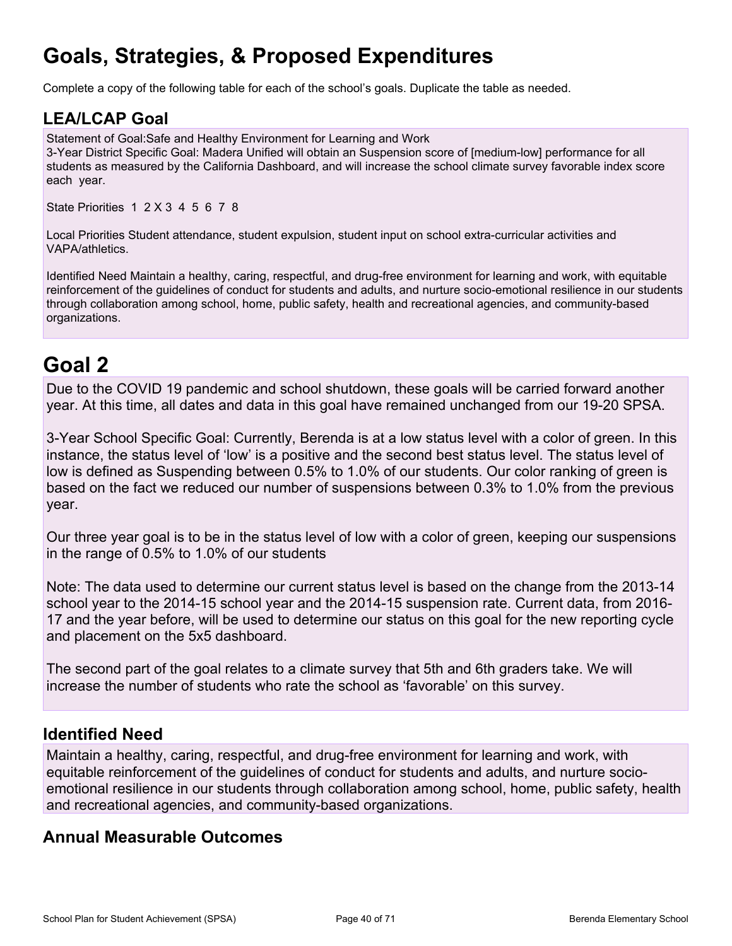# **Goals, Strategies, & Proposed Expenditures**

Complete a copy of the following table for each of the school's goals. Duplicate the table as needed.

### **LEA/LCAP Goal**

Statement of Goal:Safe and Healthy Environment for Learning and Work 3-Year District Specific Goal: Madera Unified will obtain an Suspension score of [medium-low] performance for all students as measured by the California Dashboard, and will increase the school climate survey favorable index score each year.

State Priorities 1 2 X 3 4 5 6 7 8

Local Priorities Student attendance, student expulsion, student input on school extra-curricular activities and VAPA/athletics.

Identified Need Maintain a healthy, caring, respectful, and drug-free environment for learning and work, with equitable reinforcement of the guidelines of conduct for students and adults, and nurture socio-emotional resilience in our students through collaboration among school, home, public safety, health and recreational agencies, and community-based organizations.

## **Goal 2**

Due to the COVID 19 pandemic and school shutdown, these goals will be carried forward another year. At this time, all dates and data in this goal have remained unchanged from our 19-20 SPSA.

3-Year School Specific Goal: Currently, Berenda is at a low status level with a color of green. In this instance, the status level of 'low' is a positive and the second best status level. The status level of low is defined as Suspending between 0.5% to 1.0% of our students. Our color ranking of green is based on the fact we reduced our number of suspensions between 0.3% to 1.0% from the previous year.

Our three year goal is to be in the status level of low with a color of green, keeping our suspensions in the range of 0.5% to 1.0% of our students

Note: The data used to determine our current status level is based on the change from the 2013-14 school year to the 2014-15 school year and the 2014-15 suspension rate. Current data, from 2016- 17 and the year before, will be used to determine our status on this goal for the new reporting cycle and placement on the 5x5 dashboard.

The second part of the goal relates to a climate survey that 5th and 6th graders take. We will increase the number of students who rate the school as 'favorable' on this survey.

### **Identified Need**

Maintain a healthy, caring, respectful, and drug-free environment for learning and work, with equitable reinforcement of the guidelines of conduct for students and adults, and nurture socioemotional resilience in our students through collaboration among school, home, public safety, health and recreational agencies, and community-based organizations.

### **Annual Measurable Outcomes**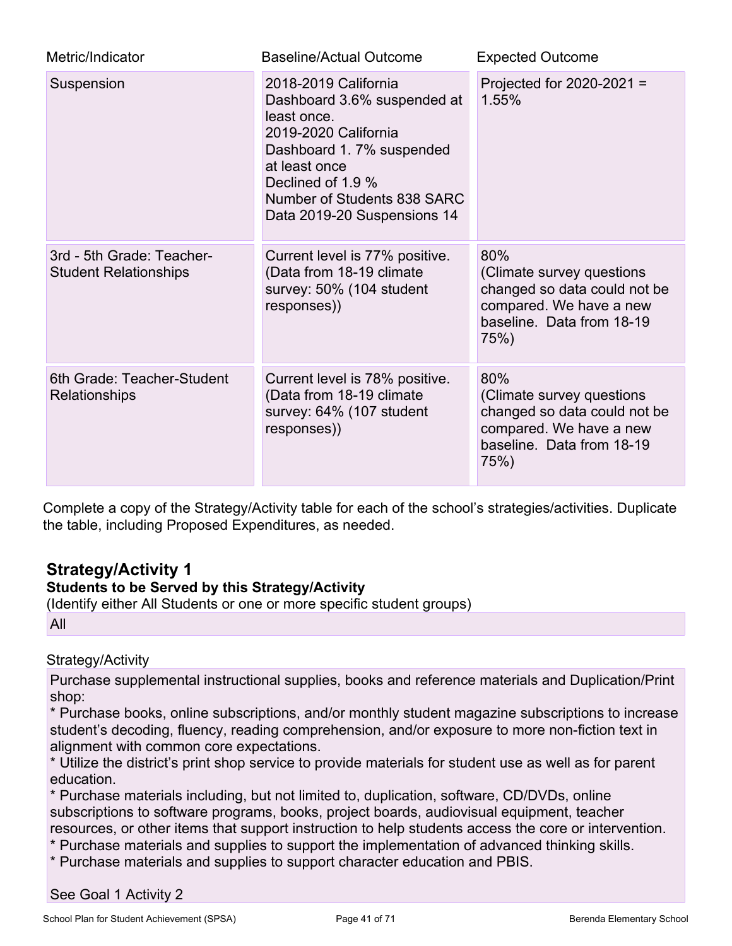| Metric/Indicator                                          | <b>Baseline/Actual Outcome</b>                                                                                                                                                                                             | <b>Expected Outcome</b>                                                                                                          |  |
|-----------------------------------------------------------|----------------------------------------------------------------------------------------------------------------------------------------------------------------------------------------------------------------------------|----------------------------------------------------------------------------------------------------------------------------------|--|
| Suspension                                                | 2018-2019 California<br>Dashboard 3.6% suspended at<br>least once.<br>2019-2020 California<br>Dashboard 1.7% suspended<br>at least once<br>Declined of 1.9 %<br>Number of Students 838 SARC<br>Data 2019-20 Suspensions 14 | Projected for $2020-2021 =$<br>1.55%                                                                                             |  |
| 3rd - 5th Grade: Teacher-<br><b>Student Relationships</b> | Current level is 77% positive.<br>(Data from 18-19 climate)<br>survey: 50% (104 student<br>responses))                                                                                                                     | 80%<br>(Climate survey questions<br>changed so data could not be<br>compared. We have a new<br>baseline. Data from 18-19<br>75%) |  |
| 6th Grade: Teacher-Student<br>Relationships               | Current level is 78% positive.<br>(Data from 18-19 climate)<br>survey: 64% (107 student<br>responses))                                                                                                                     |                                                                                                                                  |  |

Complete a copy of the Strategy/Activity table for each of the school's strategies/activities. Duplicate the table, including Proposed Expenditures, as needed.

## **Strategy/Activity 1**

#### **Students to be Served by this Strategy/Activity**

(Identify either All Students or one or more specific student groups)

All

#### Strategy/Activity

Purchase supplemental instructional supplies, books and reference materials and Duplication/Print shop:

\* Purchase books, online subscriptions, and/or monthly student magazine subscriptions to increase student's decoding, fluency, reading comprehension, and/or exposure to more non-fiction text in alignment with common core expectations.

\* Utilize the district's print shop service to provide materials for student use as well as for parent education.

\* Purchase materials including, but not limited to, duplication, software, CD/DVDs, online subscriptions to software programs, books, project boards, audiovisual equipment, teacher resources, or other items that support instruction to help students access the core or intervention.

- \* Purchase materials and supplies to support the implementation of advanced thinking skills.
- \* Purchase materials and supplies to support character education and PBIS.

See Goal 1 Activity 2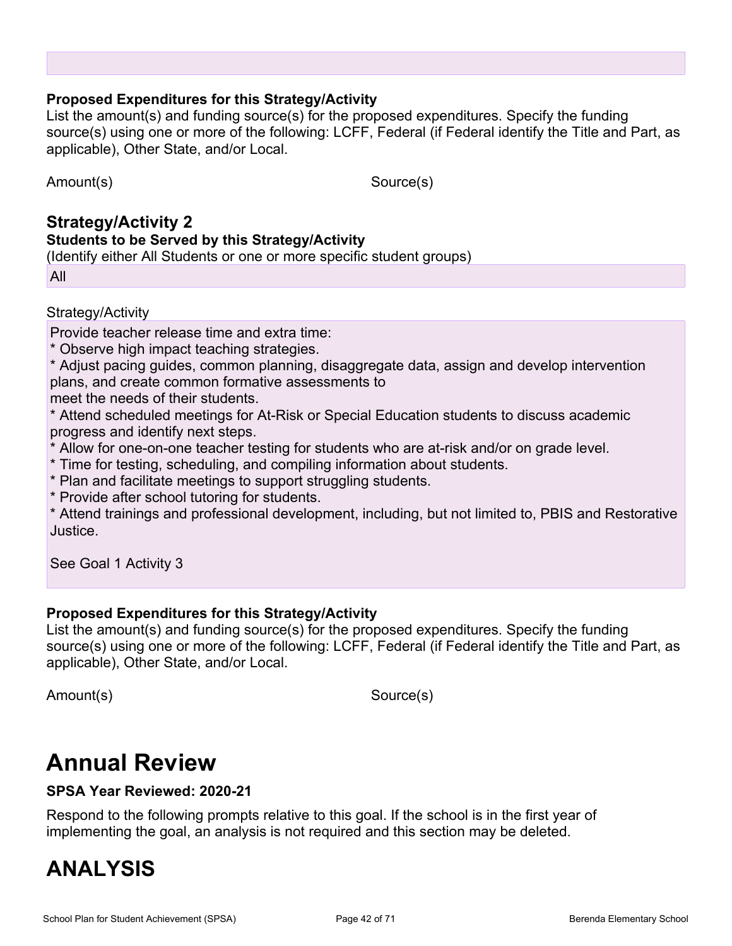#### **Proposed Expenditures for this Strategy/Activity**

List the amount(s) and funding source(s) for the proposed expenditures. Specify the funding source(s) using one or more of the following: LCFF, Federal (if Federal identify the Title and Part, as applicable), Other State, and/or Local.

Amount(s) Source(s)

### **Strategy/Activity 2 Students to be Served by this Strategy/Activity**

(Identify either All Students or one or more specific student groups)

All

#### Strategy/Activity

Provide teacher release time and extra time:

- \* Observe high impact teaching strategies.
- \* Adjust pacing guides, common planning, disaggregate data, assign and develop intervention plans, and create common formative assessments to

meet the needs of their students.

\* Attend scheduled meetings for At-Risk or Special Education students to discuss academic progress and identify next steps.

- \* Allow for one-on-one teacher testing for students who are at-risk and/or on grade level.
- \* Time for testing, scheduling, and compiling information about students.
- \* Plan and facilitate meetings to support struggling students.
- \* Provide after school tutoring for students.

\* Attend trainings and professional development, including, but not limited to, PBIS and Restorative Justice.

See Goal 1 Activity 3

#### **Proposed Expenditures for this Strategy/Activity**

List the amount(s) and funding source(s) for the proposed expenditures. Specify the funding source(s) using one or more of the following: LCFF, Federal (if Federal identify the Title and Part, as applicable), Other State, and/or Local.

Amount(s) Source(s)

# **Annual Review**

#### **SPSA Year Reviewed: 2020-21**

Respond to the following prompts relative to this goal. If the school is in the first year of implementing the goal, an analysis is not required and this section may be deleted.

## **ANALYSIS**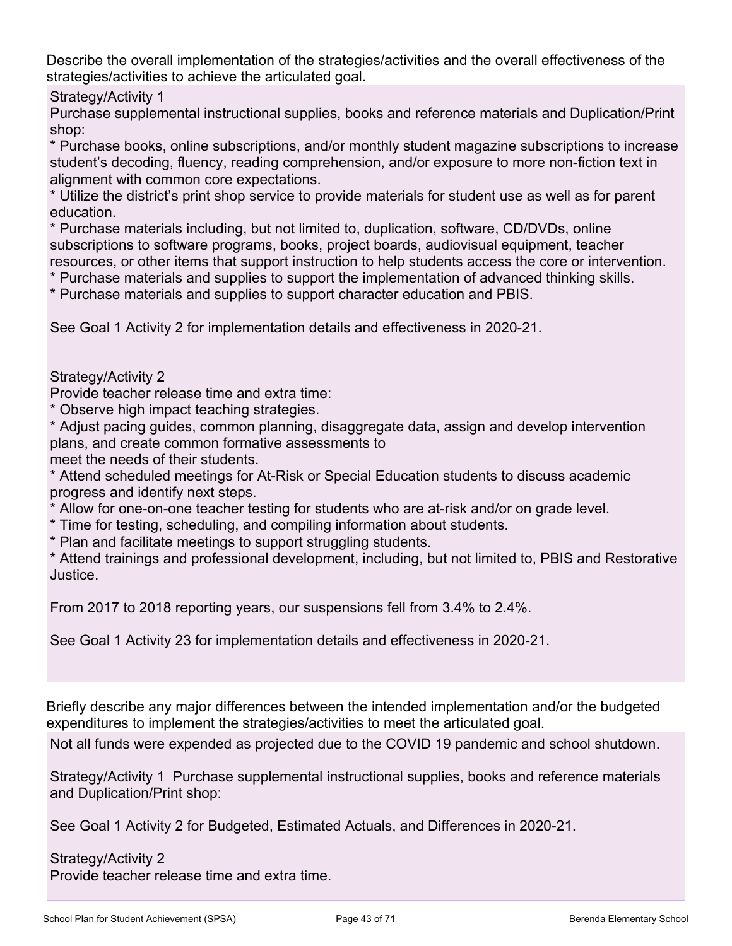Describe the overall implementation of the strategies/activities and the overall effectiveness of the strategies/activities to achieve the articulated goal.

Strategy/Activity 1

Purchase supplemental instructional supplies, books and reference materials and Duplication/Print shop:

\* Purchase books, online subscriptions, and/or monthly student magazine subscriptions to increase student's decoding, fluency, reading comprehension, and/or exposure to more non-fiction text in alignment with common core expectations.

\* Utilize the district's print shop service to provide materials for student use as well as for parent education.

\* Purchase materials including, but not limited to, duplication, software, CD/DVDs, online subscriptions to software programs, books, project boards, audiovisual equipment, teacher resources, or other items that support instruction to help students access the core or intervention.

\* Purchase materials and supplies to support the implementation of advanced thinking skills.

\* Purchase materials and supplies to support character education and PBIS.

See Goal 1 Activity 2 for implementation details and effectiveness in 2020-21.

Strategy/Activity 2

Provide teacher release time and extra time:

\* Observe high impact teaching strategies.

\* Adjust pacing guides, common planning, disaggregate data, assign and develop intervention plans, and create common formative assessments to

meet the needs of their students.

\* Attend scheduled meetings for At-Risk or Special Education students to discuss academic progress and identify next steps.

\* Allow for one-on-one teacher testing for students who are at-risk and/or on grade level.

\* Time for testing, scheduling, and compiling information about students.

\* Plan and facilitate meetings to support struggling students.

\* Attend trainings and professional development, including, but not limited to, PBIS and Restorative Justice.

From 2017 to 2018 reporting years, our suspensions fell from 3.4% to 2.4%.

See Goal 1 Activity 23 for implementation details and effectiveness in 2020-21.

Briefly describe any major differences between the intended implementation and/or the budgeted expenditures to implement the strategies/activities to meet the articulated goal.

Not all funds were expended as projected due to the COVID 19 pandemic and school shutdown.

Strategy/Activity 1 Purchase supplemental instructional supplies, books and reference materials and Duplication/Print shop:

See Goal 1 Activity 2 for Budgeted, Estimated Actuals, and Differences in 2020-21.

#### Strategy/Activity 2

Provide teacher release time and extra time.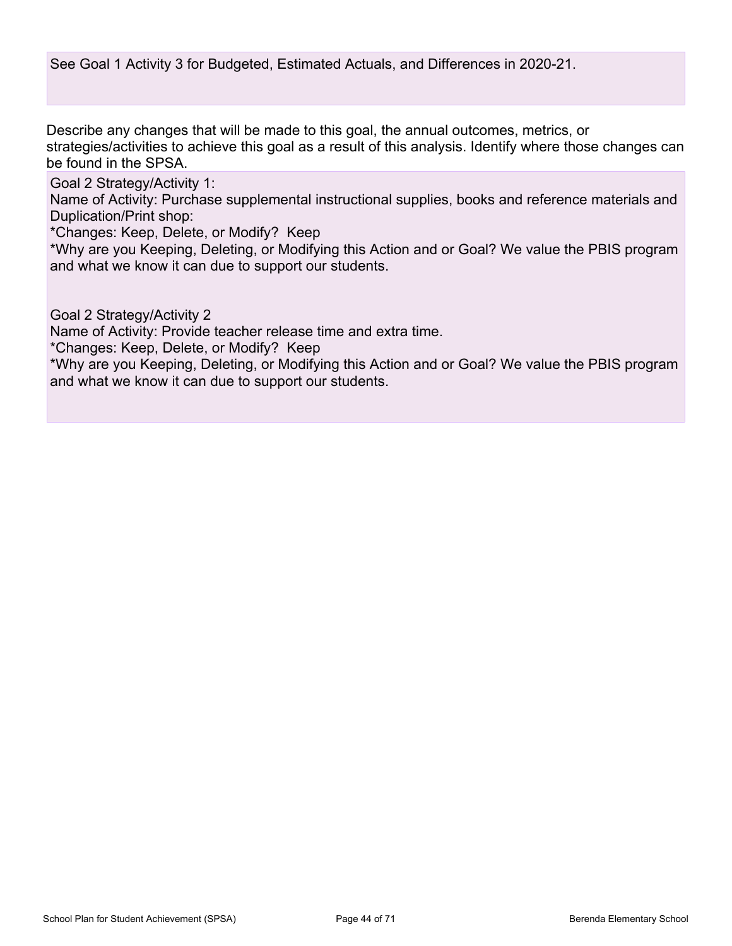See Goal 1 Activity 3 for Budgeted, Estimated Actuals, and Differences in 2020-21.

Describe any changes that will be made to this goal, the annual outcomes, metrics, or strategies/activities to achieve this goal as a result of this analysis. Identify where those changes can be found in the SPSA.

Goal 2 Strategy/Activity 1:

Name of Activity: Purchase supplemental instructional supplies, books and reference materials and Duplication/Print shop:

\*Changes: Keep, Delete, or Modify? Keep

\*Why are you Keeping, Deleting, or Modifying this Action and or Goal? We value the PBIS program and what we know it can due to support our students.

Goal 2 Strategy/Activity 2

Name of Activity: Provide teacher release time and extra time.

\*Changes: Keep, Delete, or Modify? Keep

\*Why are you Keeping, Deleting, or Modifying this Action and or Goal? We value the PBIS program and what we know it can due to support our students.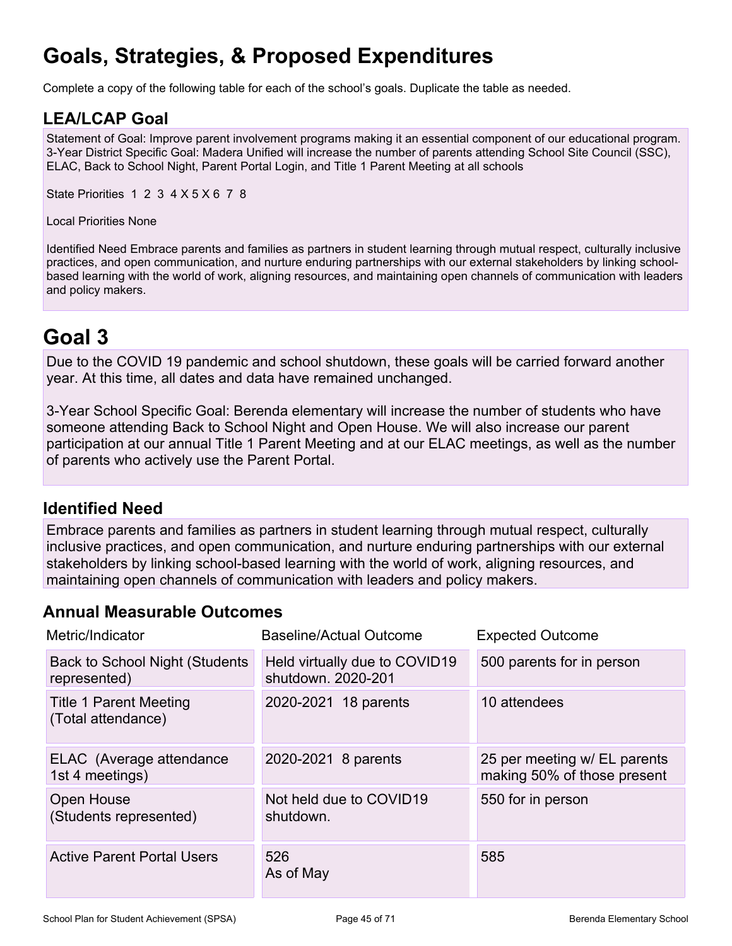# **Goals, Strategies, & Proposed Expenditures**

Complete a copy of the following table for each of the school's goals. Duplicate the table as needed.

### **LEA/LCAP Goal**

Statement of Goal: Improve parent involvement programs making it an essential component of our educational program. 3-Year District Specific Goal: Madera Unified will increase the number of parents attending School Site Council (SSC), ELAC, Back to School Night, Parent Portal Login, and Title 1 Parent Meeting at all schools

State Priorities 1 2 3 4 X 5 X 6 7 8

Local Priorities None

Identified Need Embrace parents and families as partners in student learning through mutual respect, culturally inclusive practices, and open communication, and nurture enduring partnerships with our external stakeholders by linking schoolbased learning with the world of work, aligning resources, and maintaining open channels of communication with leaders and policy makers.

## **Goal 3**

Due to the COVID 19 pandemic and school shutdown, these goals will be carried forward another year. At this time, all dates and data have remained unchanged.

3-Year School Specific Goal: Berenda elementary will increase the number of students who have someone attending Back to School Night and Open House. We will also increase our parent participation at our annual Title 1 Parent Meeting and at our ELAC meetings, as well as the number of parents who actively use the Parent Portal.

### **Identified Need**

Embrace parents and families as partners in student learning through mutual respect, culturally inclusive practices, and open communication, and nurture enduring partnerships with our external stakeholders by linking school-based learning with the world of work, aligning resources, and maintaining open channels of communication with leaders and policy makers.

### **Annual Measurable Outcomes**

| Metric/Indicator                                       | <b>Baseline/Actual Outcome</b>                      | <b>Expected Outcome</b>                                     |  |
|--------------------------------------------------------|-----------------------------------------------------|-------------------------------------------------------------|--|
| <b>Back to School Night (Students)</b><br>represented) | Held virtually due to COVID19<br>shutdown. 2020-201 | 500 parents for in person                                   |  |
| <b>Title 1 Parent Meeting</b><br>(Total attendance)    | 2020-2021 18 parents                                | 10 attendees                                                |  |
| ELAC (Average attendance<br>1st 4 meetings)            | 2020-2021 8 parents                                 | 25 per meeting w/ EL parents<br>making 50% of those present |  |
| Open House<br>(Students represented)                   | Not held due to COVID19<br>shutdown.                | 550 for in person                                           |  |
| <b>Active Parent Portal Users</b>                      | 526<br>As of May                                    | 585                                                         |  |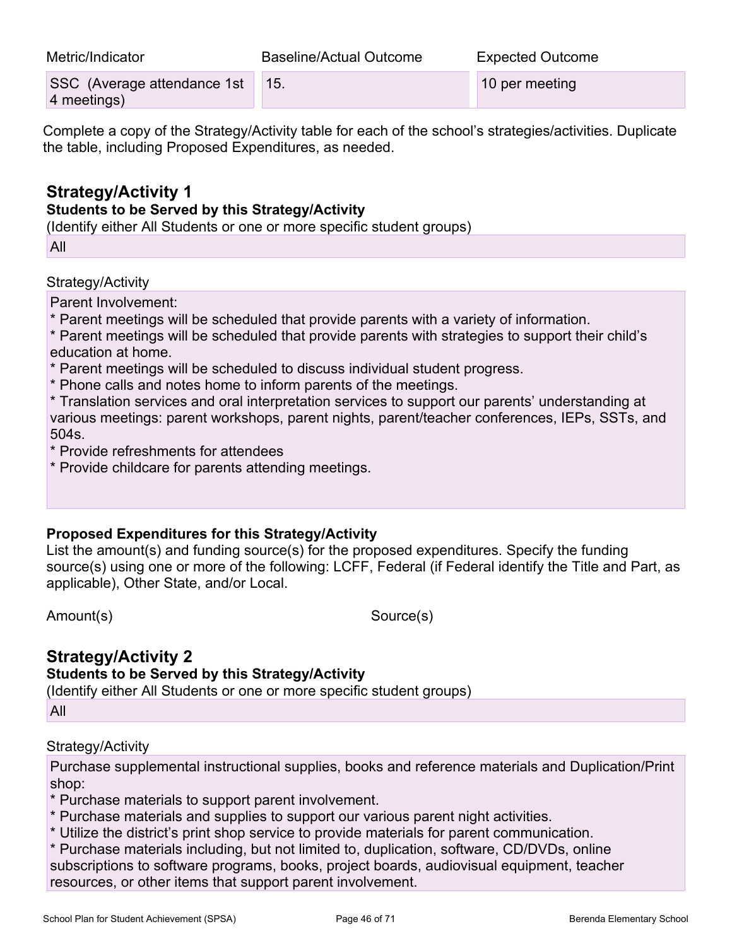| Metric/Indicator                                                                                          | Baseline/Actual Outcome | <b>Expected Outcome</b> |  |  |
|-----------------------------------------------------------------------------------------------------------|-------------------------|-------------------------|--|--|
| SSC (Average attendance 1st<br>4 meetings)                                                                | -15.                    | 10 per meeting          |  |  |
| Complete a copy of the Ctrategy/Activity toble for each of the school's etrategical activities. Duplicate |                         |                         |  |  |

Complete a copy of the Strategy/Activity table for each of the school's strategies/activities. Duplicate the table, including Proposed Expenditures, as needed.

### **Strategy/Activity 1**

### **Students to be Served by this Strategy/Activity**

(Identify either All Students or one or more specific student groups)

All

Strategy/Activity

Parent Involvement:

\* Parent meetings will be scheduled that provide parents with a variety of information.

\* Parent meetings will be scheduled that provide parents with strategies to support their child's education at home.

- \* Parent meetings will be scheduled to discuss individual student progress.
- \* Phone calls and notes home to inform parents of the meetings.

\* Translation services and oral interpretation services to support our parents' understanding at various meetings: parent workshops, parent nights, parent/teacher conferences, IEPs, SSTs, and 504s.

\* Provide refreshments for attendees

\* Provide childcare for parents attending meetings.

#### **Proposed Expenditures for this Strategy/Activity**

List the amount(s) and funding source(s) for the proposed expenditures. Specify the funding source(s) using one or more of the following: LCFF, Federal (if Federal identify the Title and Part, as applicable), Other State, and/or Local.

Amount(s) Source(s)

## **Strategy/Activity 2**

#### **Students to be Served by this Strategy/Activity**

(Identify either All Students or one or more specific student groups)

All

#### Strategy/Activity

Purchase supplemental instructional supplies, books and reference materials and Duplication/Print shop:

\* Purchase materials to support parent involvement.

- \* Purchase materials and supplies to support our various parent night activities.
- \* Utilize the district's print shop service to provide materials for parent communication.
- \* Purchase materials including, but not limited to, duplication, software, CD/DVDs, online subscriptions to software programs, books, project boards, audiovisual equipment, teacher resources, or other items that support parent involvement.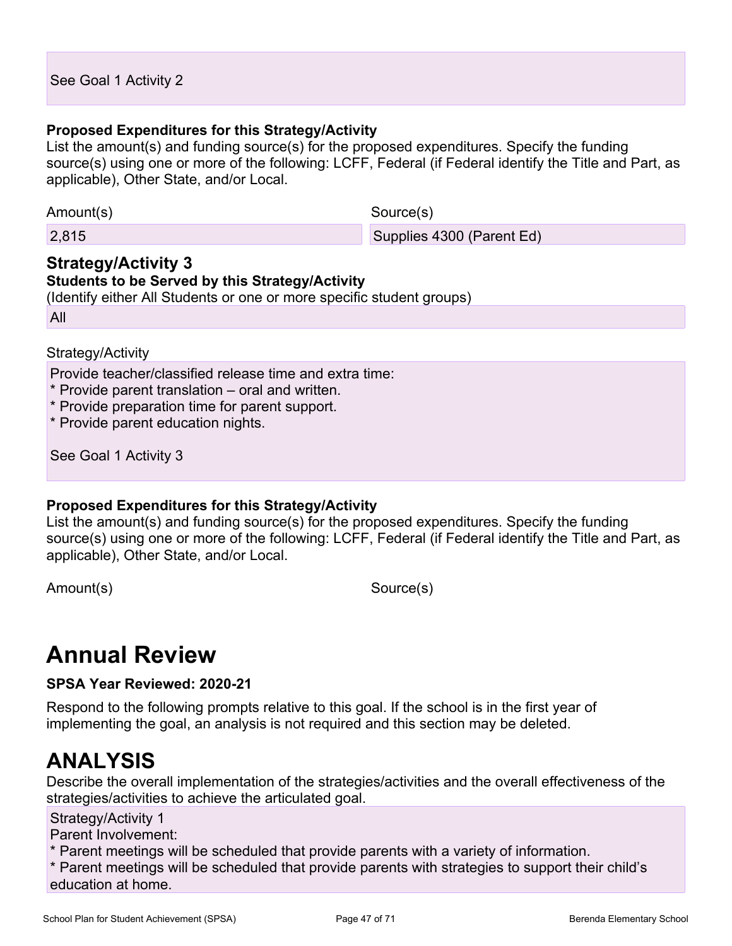#### **Proposed Expenditures for this Strategy/Activity**

List the amount(s) and funding source(s) for the proposed expenditures. Specify the funding source(s) using one or more of the following: LCFF, Federal (if Federal identify the Title and Part, as applicable), Other State, and/or Local.

Amount(s) Source(s)

2,815 Supplies 4300 (Parent Ed)

#### **Strategy/Activity 3 Students to be Served by this Strategy/Activity**

(Identify either All Students or one or more specific student groups)

All

#### Strategy/Activity

Provide teacher/classified release time and extra time:

- \* Provide parent translation oral and written.
- \* Provide preparation time for parent support.

\* Provide parent education nights.

See Goal 1 Activity 3

#### **Proposed Expenditures for this Strategy/Activity**

List the amount(s) and funding source(s) for the proposed expenditures. Specify the funding source(s) using one or more of the following: LCFF, Federal (if Federal identify the Title and Part, as applicable), Other State, and/or Local.

Amount(s) Source(s)

# **Annual Review**

**SPSA Year Reviewed: 2020-21**

Respond to the following prompts relative to this goal. If the school is in the first year of implementing the goal, an analysis is not required and this section may be deleted.

## **ANALYSIS**

Describe the overall implementation of the strategies/activities and the overall effectiveness of the strategies/activities to achieve the articulated goal.

#### Strategy/Activity 1

Parent Involvement:

\* Parent meetings will be scheduled that provide parents with a variety of information.

\* Parent meetings will be scheduled that provide parents with strategies to support their child's education at home.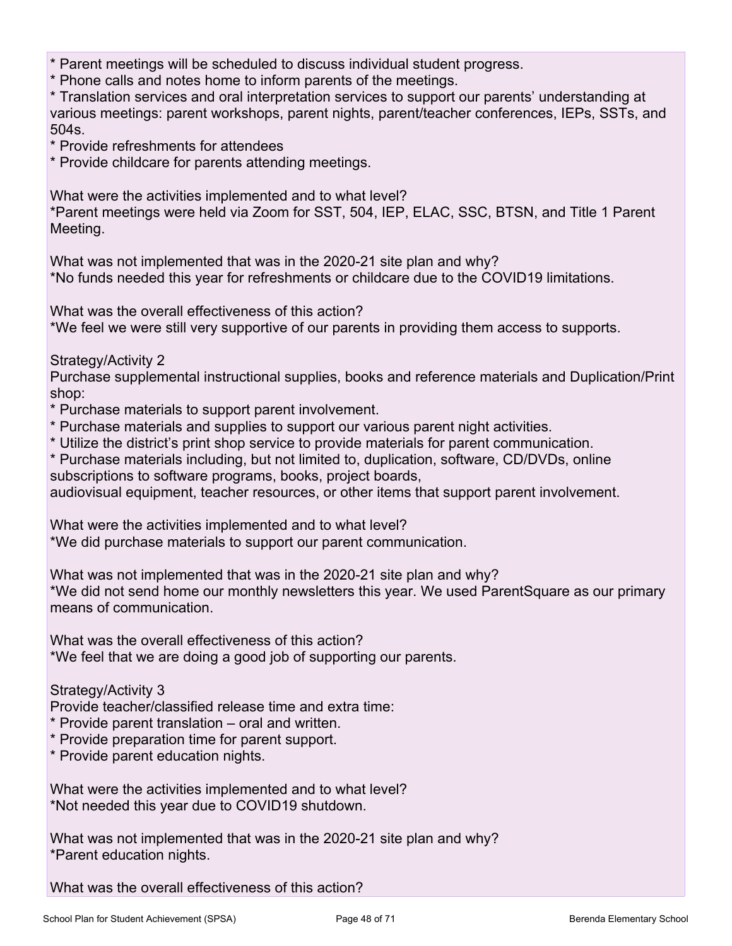\* Parent meetings will be scheduled to discuss individual student progress.

\* Phone calls and notes home to inform parents of the meetings.

\* Translation services and oral interpretation services to support our parents' understanding at various meetings: parent workshops, parent nights, parent/teacher conferences, IEPs, SSTs, and 504s.

\* Provide refreshments for attendees

\* Provide childcare for parents attending meetings.

What were the activities implemented and to what level?

\*Parent meetings were held via Zoom for SST, 504, IEP, ELAC, SSC, BTSN, and Title 1 Parent Meeting.

What was not implemented that was in the 2020-21 site plan and why? \*No funds needed this year for refreshments or childcare due to the COVID19 limitations.

What was the overall effectiveness of this action?

\*We feel we were still very supportive of our parents in providing them access to supports.

Strategy/Activity 2

Purchase supplemental instructional supplies, books and reference materials and Duplication/Print shop:

\* Purchase materials to support parent involvement.

- \* Purchase materials and supplies to support our various parent night activities.
- \* Utilize the district's print shop service to provide materials for parent communication.
- \* Purchase materials including, but not limited to, duplication, software, CD/DVDs, online subscriptions to software programs, books, project boards,

audiovisual equipment, teacher resources, or other items that support parent involvement.

What were the activities implemented and to what level? \*We did purchase materials to support our parent communication.

What was not implemented that was in the 2020-21 site plan and why? \*We did not send home our monthly newsletters this year. We used ParentSquare as our primary means of communication.

What was the overall effectiveness of this action? \*We feel that we are doing a good job of supporting our parents.

Strategy/Activity 3

Provide teacher/classified release time and extra time:

- \* Provide parent translation oral and written.
- \* Provide preparation time for parent support.
- \* Provide parent education nights.

What were the activities implemented and to what level? \*Not needed this year due to COVID19 shutdown.

What was not implemented that was in the 2020-21 site plan and why? \*Parent education nights.

What was the overall effectiveness of this action?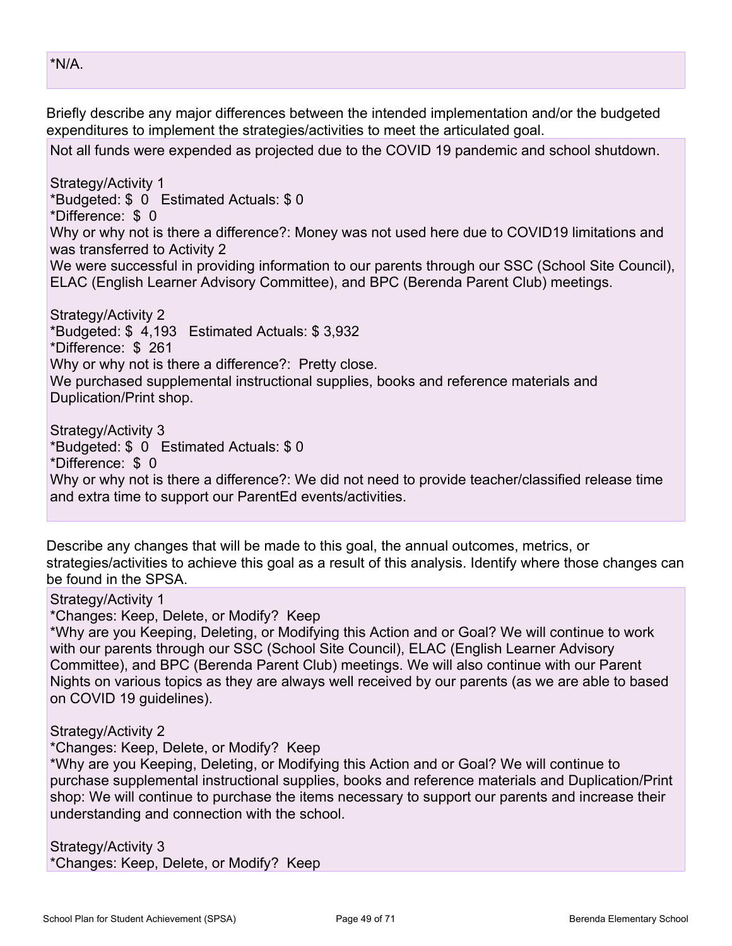Briefly describe any major differences between the intended implementation and/or the budgeted expenditures to implement the strategies/activities to meet the articulated goal.

Not all funds were expended as projected due to the COVID 19 pandemic and school shutdown.

Strategy/Activity 1 \*Budgeted: \$ 0 Estimated Actuals: \$ 0 \*Difference: \$ 0 Why or why not is there a difference?: Money was not used here due to COVID19 limitations and was transferred to Activity 2 We were successful in providing information to our parents through our SSC (School Site Council), ELAC (English Learner Advisory Committee), and BPC (Berenda Parent Club) meetings. Strategy/Activity 2 \*Budgeted: \$ 4,193 Estimated Actuals: \$ 3,932 \*Difference: \$ 261

Why or why not is there a difference?: Pretty close.

We purchased supplemental instructional supplies, books and reference materials and Duplication/Print shop.

Strategy/Activity 3 \*Budgeted: \$ 0 Estimated Actuals: \$ 0 \*Difference: \$ 0 Why or why not is there a difference?: We did not need to provide teacher/classified release time and extra time to support our ParentEd events/activities.

Describe any changes that will be made to this goal, the annual outcomes, metrics, or strategies/activities to achieve this goal as a result of this analysis. Identify where those changes can be found in the SPSA.

#### Strategy/Activity 1

\*Changes: Keep, Delete, or Modify? Keep

\*Why are you Keeping, Deleting, or Modifying this Action and or Goal? We will continue to work with our parents through our SSC (School Site Council), ELAC (English Learner Advisory Committee), and BPC (Berenda Parent Club) meetings. We will also continue with our Parent Nights on various topics as they are always well received by our parents (as we are able to based on COVID 19 guidelines).

#### Strategy/Activity 2

\*Changes: Keep, Delete, or Modify? Keep

\*Why are you Keeping, Deleting, or Modifying this Action and or Goal? We will continue to purchase supplemental instructional supplies, books and reference materials and Duplication/Print shop: We will continue to purchase the items necessary to support our parents and increase their understanding and connection with the school.

#### Strategy/Activity 3

\*Changes: Keep, Delete, or Modify? Keep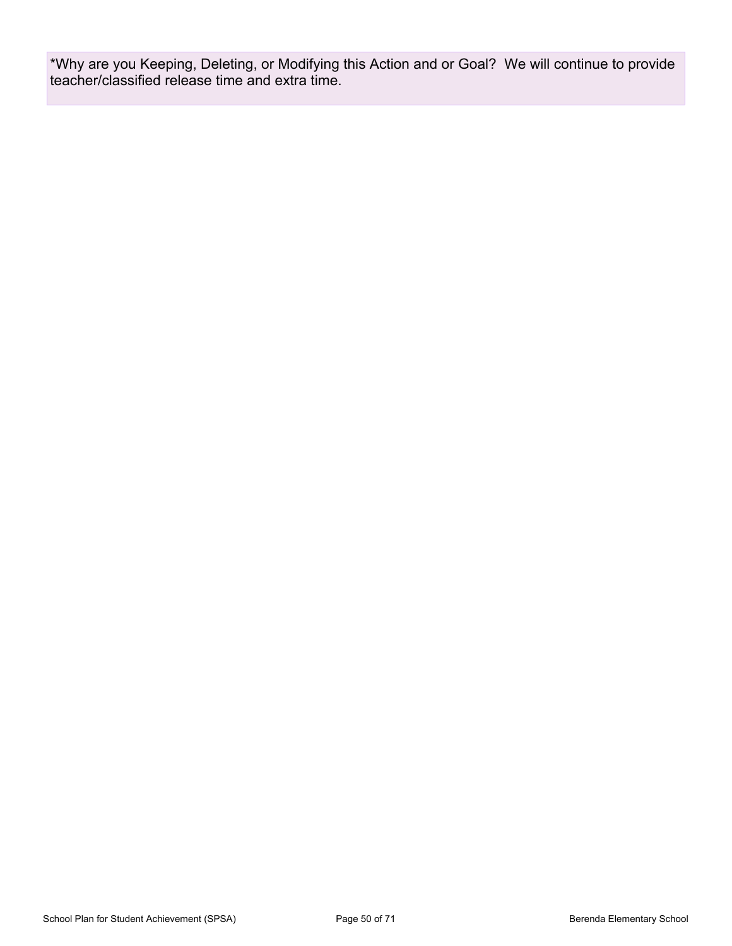\*Why are you Keeping, Deleting, or Modifying this Action and or Goal? We will continue to provide teacher/classified release time and extra time.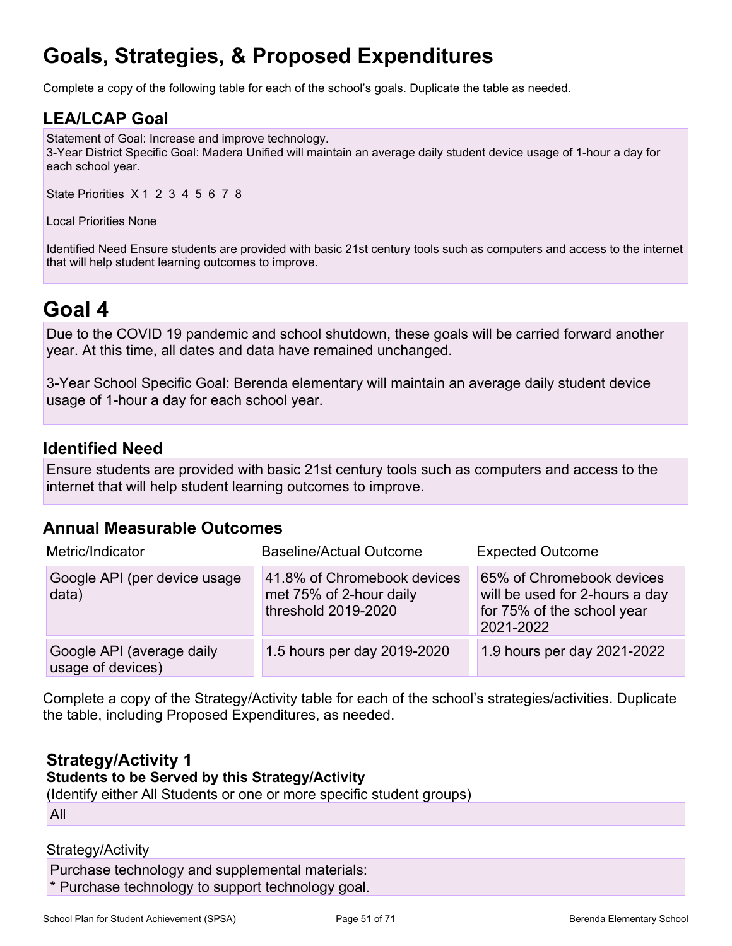# **Goals, Strategies, & Proposed Expenditures**

Complete a copy of the following table for each of the school's goals. Duplicate the table as needed.

### **LEA/LCAP Goal**

Statement of Goal: Increase and improve technology. 3-Year District Specific Goal: Madera Unified will maintain an average daily student device usage of 1-hour a day for each school year.

State Priorities X 1 2 3 4 5 6 7 8

Local Priorities None

Identified Need Ensure students are provided with basic 21st century tools such as computers and access to the internet that will help student learning outcomes to improve.

## **Goal 4**

Due to the COVID 19 pandemic and school shutdown, these goals will be carried forward another year. At this time, all dates and data have remained unchanged.

3-Year School Specific Goal: Berenda elementary will maintain an average daily student device usage of 1-hour a day for each school year.

### **Identified Need**

Ensure students are provided with basic 21st century tools such as computers and access to the internet that will help student learning outcomes to improve.

### **Annual Measurable Outcomes**

| Metric/Indicator                               | <b>Baseline/Actual Outcome</b>                                                | <b>Expected Outcome</b>                                                                                |
|------------------------------------------------|-------------------------------------------------------------------------------|--------------------------------------------------------------------------------------------------------|
| Google API (per device usage<br>data)          | 41.8% of Chromebook devices<br>met 75% of 2-hour daily<br>threshold 2019-2020 | 65% of Chromebook devices<br>will be used for 2-hours a day<br>for 75% of the school year<br>2021-2022 |
| Google API (average daily<br>usage of devices) | 1.5 hours per day 2019-2020                                                   | 1.9 hours per day 2021-2022                                                                            |

Complete a copy of the Strategy/Activity table for each of the school's strategies/activities. Duplicate the table, including Proposed Expenditures, as needed.

### **Strategy/Activity 1**

**Students to be Served by this Strategy/Activity**

(Identify either All Students or one or more specific student groups)

All

#### Strategy/Activity

Purchase technology and supplemental materials: \* Purchase technology to support technology goal.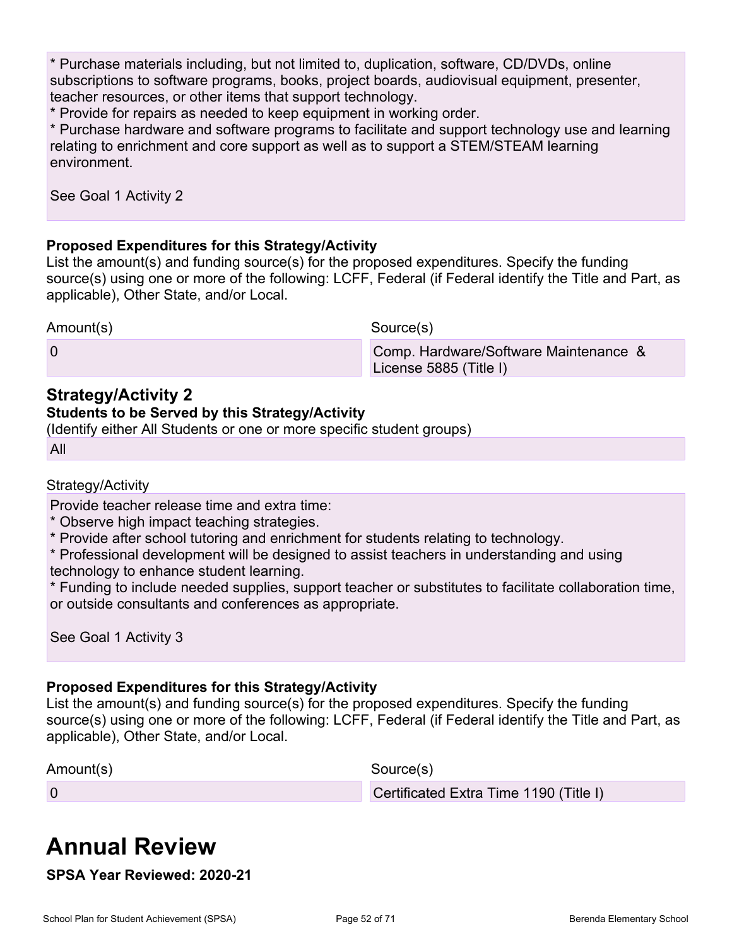\* Purchase materials including, but not limited to, duplication, software, CD/DVDs, online subscriptions to software programs, books, project boards, audiovisual equipment, presenter, teacher resources, or other items that support technology.

\* Provide for repairs as needed to keep equipment in working order.

\* Purchase hardware and software programs to facilitate and support technology use and learning relating to enrichment and core support as well as to support a STEM/STEAM learning environment.

See Goal 1 Activity 2

#### **Proposed Expenditures for this Strategy/Activity**

List the amount(s) and funding source(s) for the proposed expenditures. Specify the funding source(s) using one or more of the following: LCFF, Federal (if Federal identify the Title and Part, as applicable), Other State, and/or Local.

Amount(s) Source(s)

#### 0 Comp. Hardware/Software Maintenance & License 5885 (Title I)

### **Strategy/Activity 2**

#### **Students to be Served by this Strategy/Activity**

(Identify either All Students or one or more specific student groups)

All

#### Strategy/Activity

Provide teacher release time and extra time:

- \* Observe high impact teaching strategies.
- \* Provide after school tutoring and enrichment for students relating to technology.

\* Professional development will be designed to assist teachers in understanding and using technology to enhance student learning.

\* Funding to include needed supplies, support teacher or substitutes to facilitate collaboration time, or outside consultants and conferences as appropriate.

See Goal 1 Activity 3

#### **Proposed Expenditures for this Strategy/Activity**

List the amount(s) and funding source(s) for the proposed expenditures. Specify the funding source(s) using one or more of the following: LCFF, Federal (if Federal identify the Title and Part, as applicable), Other State, and/or Local.

Amount(s) Source(s)

0 Certificated Extra Time 1190 (Title I)

# **Annual Review**

**SPSA Year Reviewed: 2020-21**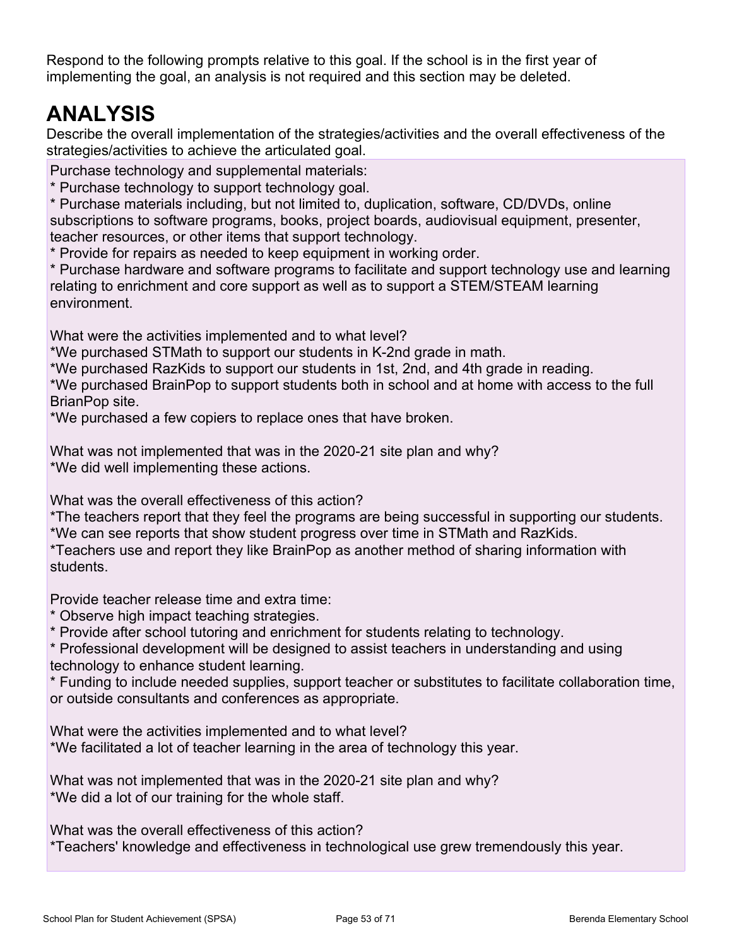Respond to the following prompts relative to this goal. If the school is in the first year of implementing the goal, an analysis is not required and this section may be deleted.

# **ANALYSIS**

Describe the overall implementation of the strategies/activities and the overall effectiveness of the strategies/activities to achieve the articulated goal.

Purchase technology and supplemental materials:

\* Purchase technology to support technology goal.

\* Purchase materials including, but not limited to, duplication, software, CD/DVDs, online subscriptions to software programs, books, project boards, audiovisual equipment, presenter, teacher resources, or other items that support technology.

\* Provide for repairs as needed to keep equipment in working order.

\* Purchase hardware and software programs to facilitate and support technology use and learning relating to enrichment and core support as well as to support a STEM/STEAM learning environment.

What were the activities implemented and to what level?

\*We purchased STMath to support our students in K-2nd grade in math.

\*We purchased RazKids to support our students in 1st, 2nd, and 4th grade in reading.

\*We purchased BrainPop to support students both in school and at home with access to the full BrianPop site.

\*We purchased a few copiers to replace ones that have broken.

What was not implemented that was in the 2020-21 site plan and why? \*We did well implementing these actions.

What was the overall effectiveness of this action?

\*The teachers report that they feel the programs are being successful in supporting our students. \*We can see reports that show student progress over time in STMath and RazKids.

\*Teachers use and report they like BrainPop as another method of sharing information with students.

Provide teacher release time and extra time:

\* Observe high impact teaching strategies.

\* Provide after school tutoring and enrichment for students relating to technology.

\* Professional development will be designed to assist teachers in understanding and using technology to enhance student learning.

\* Funding to include needed supplies, support teacher or substitutes to facilitate collaboration time, or outside consultants and conferences as appropriate.

What were the activities implemented and to what level?

\*We facilitated a lot of teacher learning in the area of technology this year.

What was not implemented that was in the 2020-21 site plan and why? \*We did a lot of our training for the whole staff.

What was the overall effectiveness of this action?

\*Teachers' knowledge and effectiveness in technological use grew tremendously this year.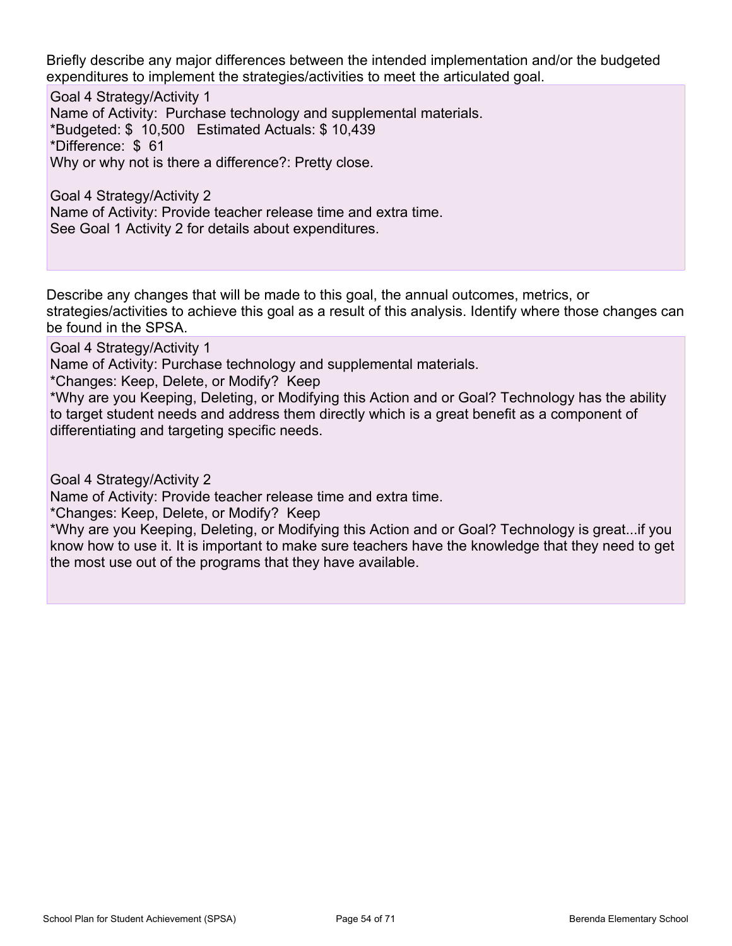Briefly describe any major differences between the intended implementation and/or the budgeted expenditures to implement the strategies/activities to meet the articulated goal.

Goal 4 Strategy/Activity 1 Name of Activity: Purchase technology and supplemental materials. \*Budgeted: \$ 10,500 Estimated Actuals: \$ 10,439 \*Difference: \$ 61 Why or why not is there a difference?: Pretty close.

Goal 4 Strategy/Activity 2 Name of Activity: Provide teacher release time and extra time. See Goal 1 Activity 2 for details about expenditures.

Describe any changes that will be made to this goal, the annual outcomes, metrics, or strategies/activities to achieve this goal as a result of this analysis. Identify where those changes can be found in the SPSA.

Goal 4 Strategy/Activity 1

Name of Activity: Purchase technology and supplemental materials.

\*Changes: Keep, Delete, or Modify? Keep

\*Why are you Keeping, Deleting, or Modifying this Action and or Goal? Technology has the ability to target student needs and address them directly which is a great benefit as a component of differentiating and targeting specific needs.

Goal 4 Strategy/Activity 2

Name of Activity: Provide teacher release time and extra time.

\*Changes: Keep, Delete, or Modify? Keep

\*Why are you Keeping, Deleting, or Modifying this Action and or Goal? Technology is great...if you know how to use it. It is important to make sure teachers have the knowledge that they need to get the most use out of the programs that they have available.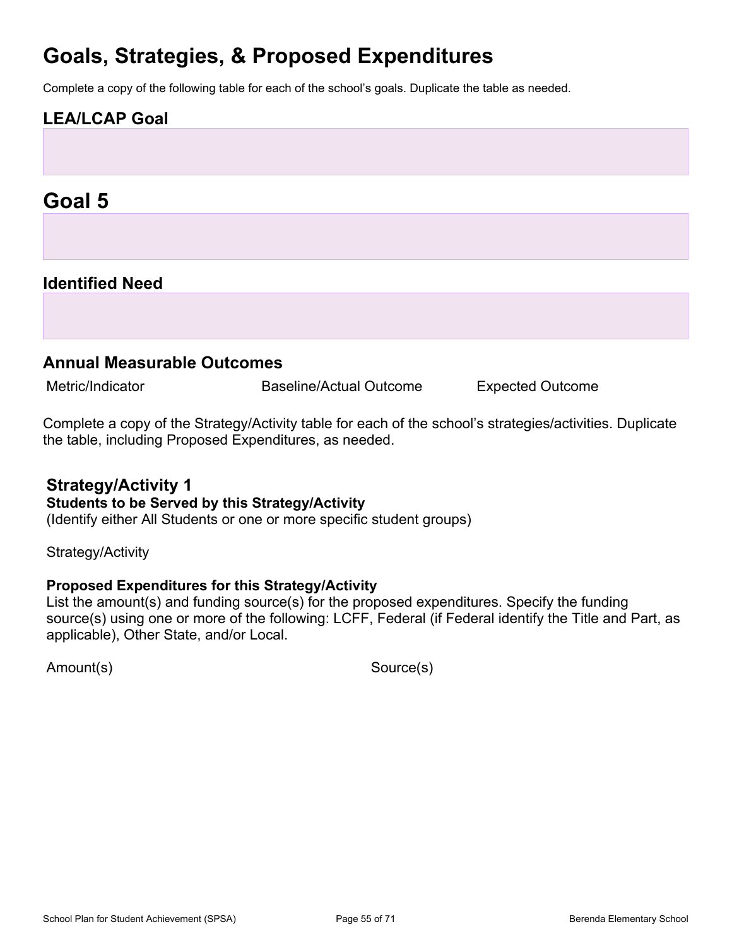## **Goals, Strategies, & Proposed Expenditures**

Complete a copy of the following table for each of the school's goals. Duplicate the table as needed.

## **LEA/LCAP Goal**

## **Goal 5**

### **Identified Need**

#### **Annual Measurable Outcomes**

Metric/Indicator **Baseline/Actual Outcome** Expected Outcome

Complete a copy of the Strategy/Activity table for each of the school's strategies/activities. Duplicate the table, including Proposed Expenditures, as needed.

#### **Strategy/Activity 1**

#### **Students to be Served by this Strategy/Activity**

(Identify either All Students or one or more specific student groups)

Strategy/Activity

#### **Proposed Expenditures for this Strategy/Activity**

List the amount(s) and funding source(s) for the proposed expenditures. Specify the funding source(s) using one or more of the following: LCFF, Federal (if Federal identify the Title and Part, as applicable), Other State, and/or Local.

Amount(s) Source(s)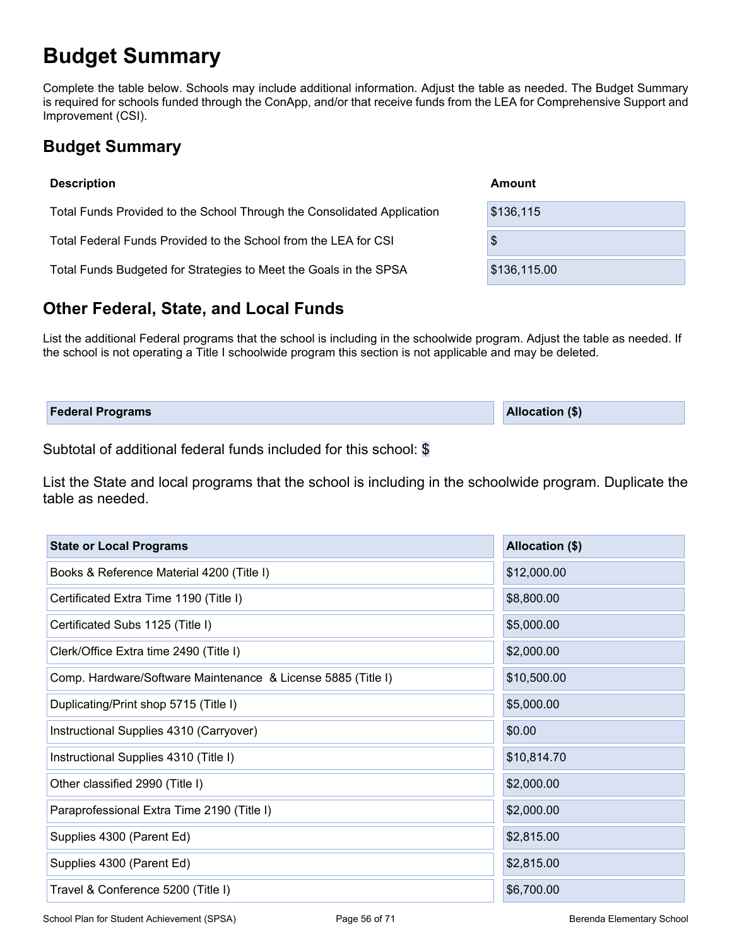# **Budget Summary**

Complete the table below. Schools may include additional information. Adjust the table as needed. The Budget Summary is required for schools funded through the ConApp, and/or that receive funds from the LEA for Comprehensive Support and Improvement (CSI).

## **Budget Summary**

| <b>Description</b>                                                      | Amount       |
|-------------------------------------------------------------------------|--------------|
| Total Funds Provided to the School Through the Consolidated Application | \$136,115    |
| Total Federal Funds Provided to the School from the LEA for CSI         | \$           |
| Total Funds Budgeted for Strategies to Meet the Goals in the SPSA       | \$136,115.00 |

## **Other Federal, State, and Local Funds**

List the additional Federal programs that the school is including in the schoolwide program. Adjust the table as needed. If the school is not operating a Title I schoolwide program this section is not applicable and may be deleted.

| <b>Federal Programs</b> | <b>Allocation (\$)</b> |
|-------------------------|------------------------|
|                         |                        |

Subtotal of additional federal funds included for this school: \$

List the State and local programs that the school is including in the schoolwide program. Duplicate the table as needed.

| <b>State or Local Programs</b>                               | Allocation (\$) |
|--------------------------------------------------------------|-----------------|
| Books & Reference Material 4200 (Title I)                    | \$12,000.00     |
| Certificated Extra Time 1190 (Title I)                       | \$8,800.00      |
| Certificated Subs 1125 (Title I)                             | \$5,000.00      |
| Clerk/Office Extra time 2490 (Title I)                       | \$2,000.00      |
| Comp. Hardware/Software Maintenance & License 5885 (Title I) | \$10,500.00     |
| Duplicating/Print shop 5715 (Title I)                        | \$5,000.00      |
| Instructional Supplies 4310 (Carryover)                      | \$0.00          |
| Instructional Supplies 4310 (Title I)                        | \$10,814.70     |
| Other classified 2990 (Title I)                              | \$2,000.00      |
| Paraprofessional Extra Time 2190 (Title I)                   | \$2,000.00      |
| Supplies 4300 (Parent Ed)                                    | \$2,815.00      |
| Supplies 4300 (Parent Ed)                                    | \$2,815.00      |
| Travel & Conference 5200 (Title I)                           | \$6,700.00      |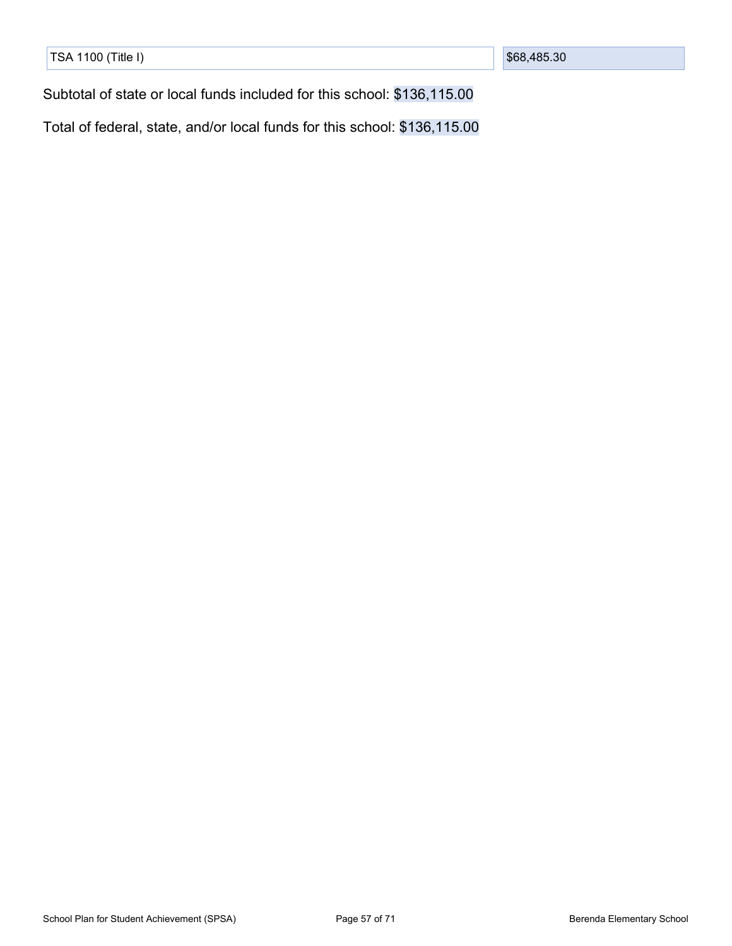| TSA 1100 (Title I) |  |
|--------------------|--|
|                    |  |
|                    |  |
|                    |  |
|                    |  |
|                    |  |
|                    |  |
|                    |  |

Subtotal of state or local funds included for this school: \$136,115.00

Total of federal, state, and/or local funds for this school: \$136,115.00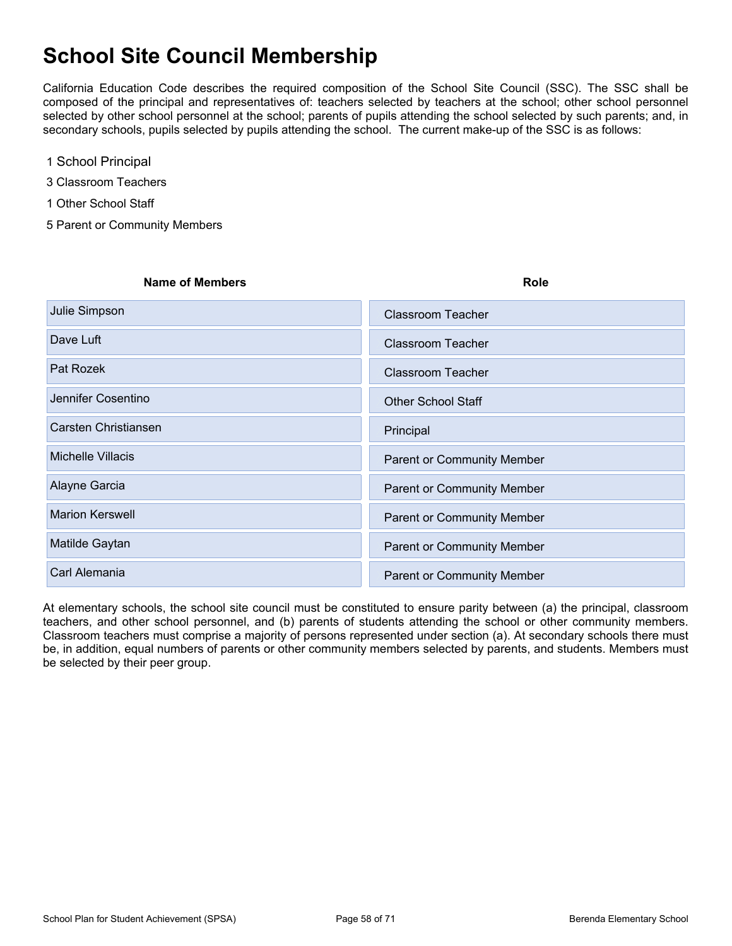# **School Site Council Membership**

California Education Code describes the required composition of the School Site Council (SSC). The SSC shall be composed of the principal and representatives of: teachers selected by teachers at the school; other school personnel selected by other school personnel at the school; parents of pupils attending the school selected by such parents; and, in secondary schools, pupils selected by pupils attending the school. The current make-up of the SSC is as follows:

- 1 School Principal
- 3 Classroom Teachers
- 1 Other School Staff
- 5 Parent or Community Members

# **Name of Members Role Julie Simpson XClassroom Teacher** XClassroom Teacher Dave Luft XClassroom Teacher Pat Rozek XClassroom Teacher Jennifer Cosentino XOTHER School Staff Carsten Christiansen XPrincipal XPrincipal XPrincipal Michelle Villacis XParent or Community Member Alayne Garcia XParent or Community Member Marion Kerswell XParent or Community Member Matilde Gaytan XParent or Community Member Carl Alemania XParent or Community Member

At elementary schools, the school site council must be constituted to ensure parity between (a) the principal, classroom teachers, and other school personnel, and (b) parents of students attending the school or other community members. Classroom teachers must comprise a majority of persons represented under section (a). At secondary schools there must be, in addition, equal numbers of parents or other community members selected by parents, and students. Members must be selected by their peer group.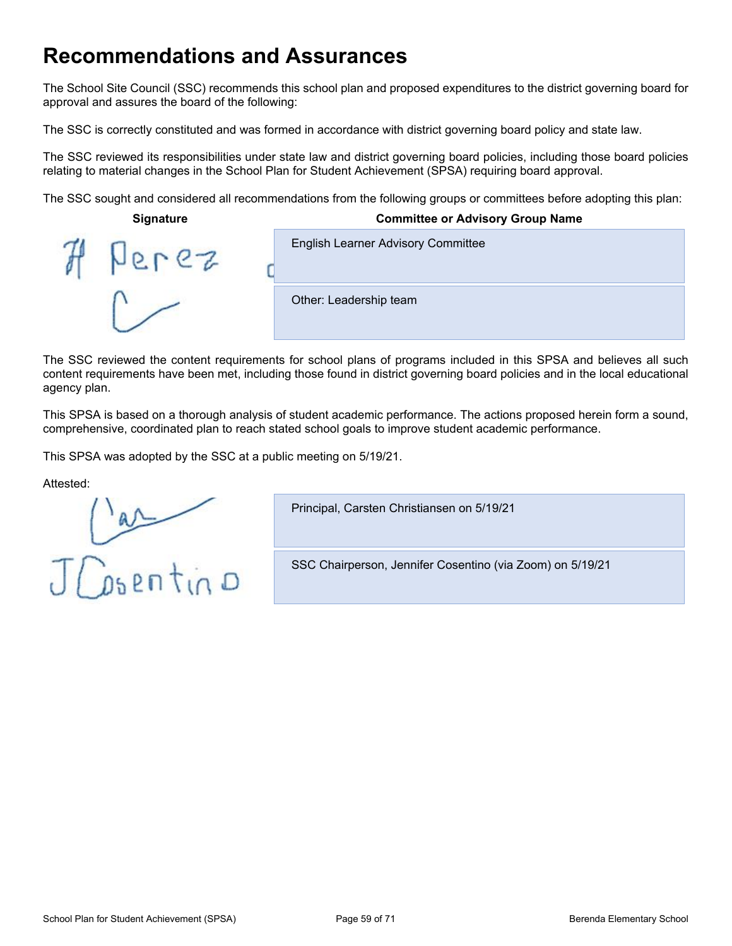## **Recommendations and Assurances**

The School Site Council (SSC) recommends this school plan and proposed expenditures to the district governing board for approval and assures the board of the following:

The SSC is correctly constituted and was formed in accordance with district governing board policy and state law.

The SSC reviewed its responsibilities under state law and district governing board policies, including those board policies relating to material changes in the School Plan for Student Achievement (SPSA) requiring board approval.

The SSC sought and considered all recommendations from the following groups or committees before adopting this plan:

| <b>Signature</b> | <b>Committee or Advisory Group Name</b>   |
|------------------|-------------------------------------------|
|                  | <b>English Learner Advisory Committee</b> |
|                  | Other: Leadership team                    |

The SSC reviewed the content requirements for school plans of programs included in this SPSA and believes all such content requirements have been met, including those found in district governing board policies and in the local educational agency plan.

This SPSA is based on a thorough analysis of student academic performance. The actions proposed herein form a sound, comprehensive, coordinated plan to reach stated school goals to improve student academic performance.

This SPSA was adopted by the SSC at a public meeting on 5/19/21.

Attested:

JCosentino

Principal, Carsten Christiansen on 5/19/21

SSC Chairperson, Jennifer Cosentino (via Zoom) on 5/19/21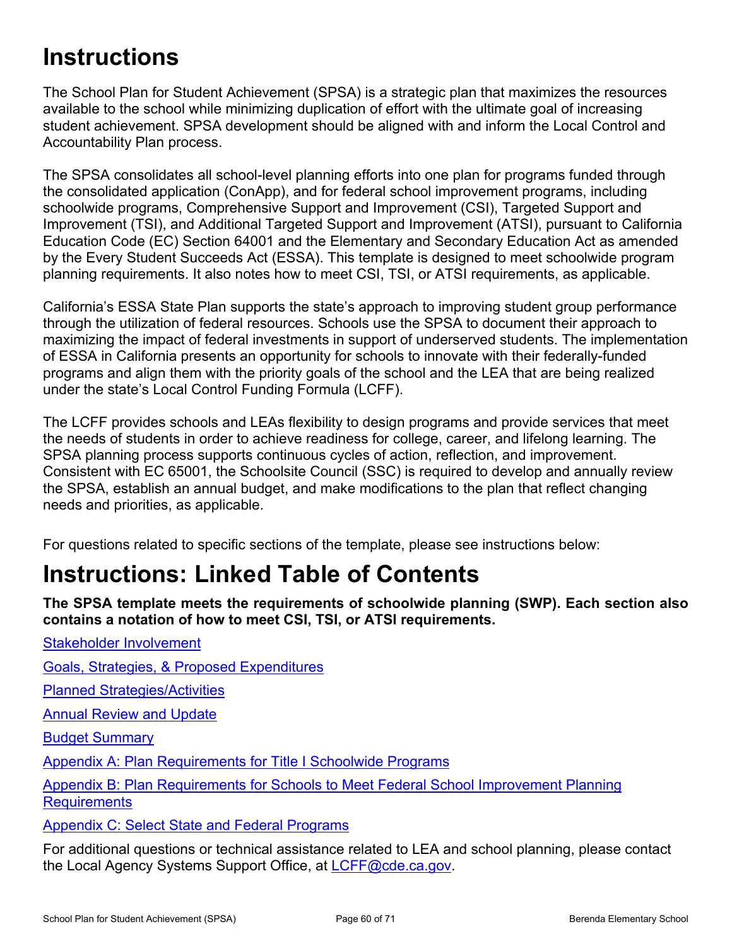# **Instructions**

The School Plan for Student Achievement (SPSA) is a strategic plan that maximizes the resources available to the school while minimizing duplication of effort with the ultimate goal of increasing student achievement. SPSA development should be aligned with and inform the Local Control and Accountability Plan process.

The SPSA consolidates all school-level planning efforts into one plan for programs funded through the consolidated application (ConApp), and for federal school improvement programs, including schoolwide programs, Comprehensive Support and Improvement (CSI), Targeted Support and Improvement (TSI), and Additional Targeted Support and Improvement (ATSI), pursuant to California Education Code (EC) Section 64001 and the Elementary and Secondary Education Act as amended by the Every Student Succeeds Act (ESSA). This template is designed to meet schoolwide program planning requirements. It also notes how to meet CSI, TSI, or ATSI requirements, as applicable.

California's ESSA State Plan supports the state's approach to improving student group performance through the utilization of federal resources. Schools use the SPSA to document their approach to maximizing the impact of federal investments in support of underserved students. The implementation of ESSA in California presents an opportunity for schools to innovate with their federally-funded programs and align them with the priority goals of the school and the LEA that are being realized under the state's Local Control Funding Formula (LCFF).

The LCFF provides schools and LEAs flexibility to design programs and provide services that meet the needs of students in order to achieve readiness for college, career, and lifelong learning. The SPSA planning process supports continuous cycles of action, reflection, and improvement. Consistent with EC 65001, the Schoolsite Council (SSC) is required to develop and annually review the SPSA, establish an annual budget, and make modifications to the plan that reflect changing needs and priorities, as applicable.

For questions related to specific sections of the template, please see instructions below:

# **Instructions: Linked Table of Contents**

**The SPSA template meets the requirements of schoolwide planning (SWP). Each section also contains a notation of how to meet CSI, TSI, or ATSI requirements.**

Stakeholder [Involvement](#page-60-0)

Goals, Strategies, & Proposed [Expenditures](#page-61-0)

Planned [Strategies/Activities](#page-61-1)

Annual [Review](#page-62-0) and Update

Budget [Summary](#page-63-0)

Appendix A: Plan [Requirements](#page-65-0) for Title I Schoolwide Programs

Appendix B: Plan [Requirements](#page-68-0) for Schools to Meet Federal School Improvement Planning **[Requirements](#page-68-0)** 

Appendix C: Select State and Federal [Programs](#page-70-0)

For additional questions or technical assistance related to LEA and school planning, please contact the Local Agency Systems Support Office, at [LCFF@cde.ca.gov.](mailto:LCFF@cde.ca.gov)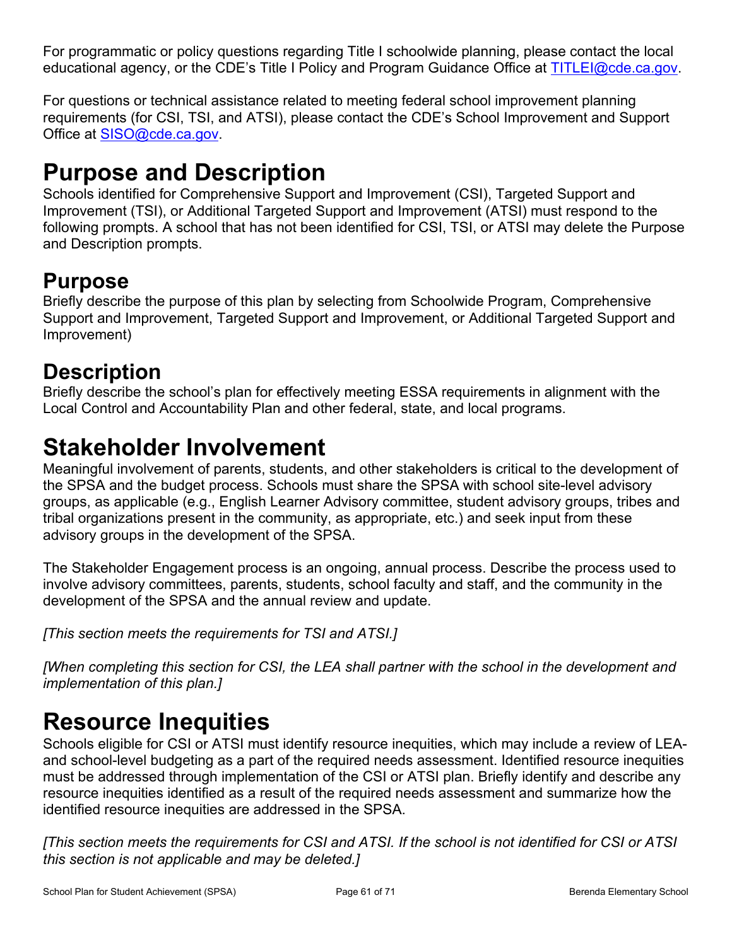For programmatic or policy questions regarding Title I schoolwide planning, please contact the local educational agency, or the CDE's Title I Policy and Program Guidance Office at [TITLEI@cde.ca.gov](mailto:TITLEI@cde.ca.gov).

For questions or technical assistance related to meeting federal school improvement planning requirements (for CSI, TSI, and ATSI), please contact the CDE's School Improvement and Support Office at [SISO@cde.ca.gov.](mailto:SISO@cde.ca.gov)

# **Purpose and Description**

Schools identified for Comprehensive Support and Improvement (CSI), Targeted Support and Improvement (TSI), or Additional Targeted Support and Improvement (ATSI) must respond to the following prompts. A school that has not been identified for CSI, TSI, or ATSI may delete the Purpose and Description prompts.

## **Purpose**

Briefly describe the purpose of this plan by selecting from Schoolwide Program, Comprehensive Support and Improvement, Targeted Support and Improvement, or Additional Targeted Support and Improvement)

## **Description**

Briefly describe the school's plan for effectively meeting ESSA requirements in alignment with the Local Control and Accountability Plan and other federal, state, and local programs.

# <span id="page-60-0"></span>**Stakeholder Involvement**

Meaningful involvement of parents, students, and other stakeholders is critical to the development of the SPSA and the budget process. Schools must share the SPSA with school site-level advisory groups, as applicable (e.g., English Learner Advisory committee, student advisory groups, tribes and tribal organizations present in the community, as appropriate, etc.) and seek input from these advisory groups in the development of the SPSA.

The Stakeholder Engagement process is an ongoing, annual process. Describe the process used to involve advisory committees, parents, students, school faculty and staff, and the community in the development of the SPSA and the annual review and update.

*[This section meets the requirements for TSI and ATSI.]*

*[When completing this section for CSI, the LEA shall partner with the school in the development and implementation of this plan.]*

# **Resource Inequities**

Schools eligible for CSI or ATSI must identify resource inequities, which may include a review of LEAand school-level budgeting as a part of the required needs assessment. Identified resource inequities must be addressed through implementation of the CSI or ATSI plan. Briefly identify and describe any resource inequities identified as a result of the required needs assessment and summarize how the identified resource inequities are addressed in the SPSA.

[This section meets the requirements for CSI and ATSI. If the school is not identified for CSI or ATSI *this section is not applicable and may be deleted.]*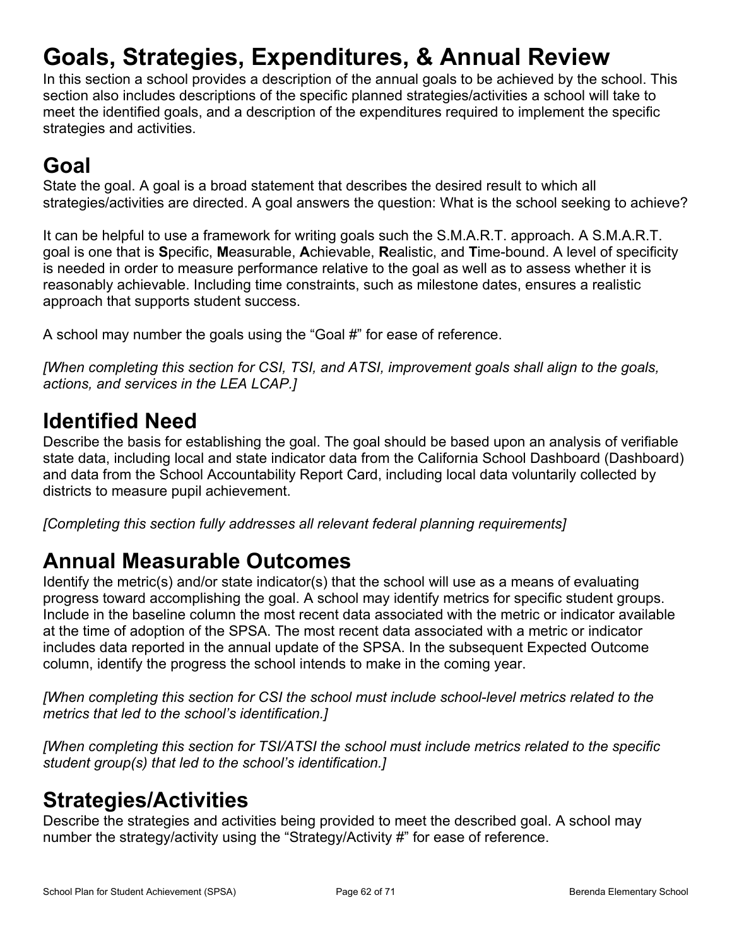# <span id="page-61-0"></span>**Goals, Strategies, Expenditures, & Annual Review**

In this section a school provides a description of the annual goals to be achieved by the school. This section also includes descriptions of the specific planned strategies/activities a school will take to meet the identified goals, and a description of the expenditures required to implement the specific strategies and activities.

# **Goal**

State the goal. A goal is a broad statement that describes the desired result to which all strategies/activities are directed. A goal answers the question: What is the school seeking to achieve?

It can be helpful to use a framework for writing goals such the S.M.A.R.T. approach. A S.M.A.R.T. goal is one that is **S**pecific, **M**easurable, **A**chievable, **R**ealistic, and **T**ime-bound. A level of specificity is needed in order to measure performance relative to the goal as well as to assess whether it is reasonably achievable. Including time constraints, such as milestone dates, ensures a realistic approach that supports student success.

A school may number the goals using the "Goal #" for ease of reference.

*[When completing this section for CSI, TSI, and ATSI, improvement goals shall align to the goals, actions, and services in the LEA LCAP.]*

## **Identified Need**

Describe the basis for establishing the goal. The goal should be based upon an analysis of verifiable state data, including local and state indicator data from the California School Dashboard (Dashboard) and data from the School Accountability Report Card, including local data voluntarily collected by districts to measure pupil achievement.

*[Completing this section fully addresses all relevant federal planning requirements]*

## **Annual Measurable Outcomes**

Identify the metric(s) and/or state indicator(s) that the school will use as a means of evaluating progress toward accomplishing the goal. A school may identify metrics for specific student groups. Include in the baseline column the most recent data associated with the metric or indicator available at the time of adoption of the SPSA. The most recent data associated with a metric or indicator includes data reported in the annual update of the SPSA. In the subsequent Expected Outcome column, identify the progress the school intends to make in the coming year.

*[When completing this section for CSI the school must include school-level metrics related to the metrics that led to the school's identification.]*

*[When completing this section for TSI/ATSI the school must include metrics related to the specific student group(s) that led to the school's identification.]*

## <span id="page-61-1"></span>**Strategies/Activities**

Describe the strategies and activities being provided to meet the described goal. A school may number the strategy/activity using the "Strategy/Activity #" for ease of reference.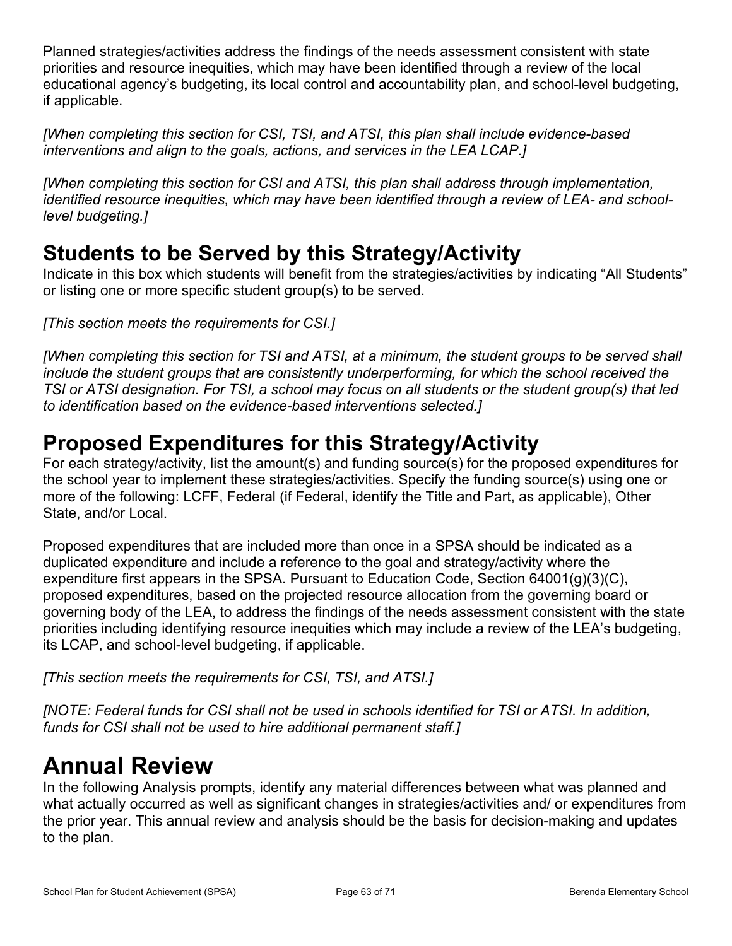Planned strategies/activities address the findings of the needs assessment consistent with state priorities and resource inequities, which may have been identified through a review of the local educational agency's budgeting, its local control and accountability plan, and school-level budgeting, if applicable.

*[When completing this section for CSI, TSI, and ATSI, this plan shall include evidence-based interventions and align to the goals, actions, and services in the LEA LCAP.]*

*[When completing this section for CSI and ATSI, this plan shall address through implementation, identified resource inequities, which may have been identified through a review of LEA- and schoollevel budgeting.]*

## **Students to be Served by this Strategy/Activity**

Indicate in this box which students will benefit from the strategies/activities by indicating "All Students" or listing one or more specific student group(s) to be served.

*[This section meets the requirements for CSI.]*

[When completing this section for TSI and ATSI, at a minimum, the student groups to be served shall *include the student groups that are consistently underperforming, for which the school received the* TSI or ATSI designation. For TSI, a school may focus on all students or the student group(s) that led *to identification based on the evidence-based interventions selected.]*

## **Proposed Expenditures for this Strategy/Activity**

For each strategy/activity, list the amount(s) and funding source(s) for the proposed expenditures for the school year to implement these strategies/activities. Specify the funding source(s) using one or more of the following: LCFF, Federal (if Federal, identify the Title and Part, as applicable), Other State, and/or Local.

Proposed expenditures that are included more than once in a SPSA should be indicated as a duplicated expenditure and include a reference to the goal and strategy/activity where the expenditure first appears in the SPSA. Pursuant to Education Code, Section 64001(g)(3)(C), proposed expenditures, based on the projected resource allocation from the governing board or governing body of the LEA, to address the findings of the needs assessment consistent with the state priorities including identifying resource inequities which may include a review of the LEA's budgeting, its LCAP, and school-level budgeting, if applicable.

*[This section meets the requirements for CSI, TSI, and ATSI.]*

*[NOTE: Federal funds for CSI shall not be used in schools identified for TSI or ATSI. In addition, funds for CSI shall not be used to hire additional permanent staff.]*

# <span id="page-62-0"></span>**Annual Review**

In the following Analysis prompts, identify any material differences between what was planned and what actually occurred as well as significant changes in strategies/activities and/ or expenditures from the prior year. This annual review and analysis should be the basis for decision-making and updates to the plan.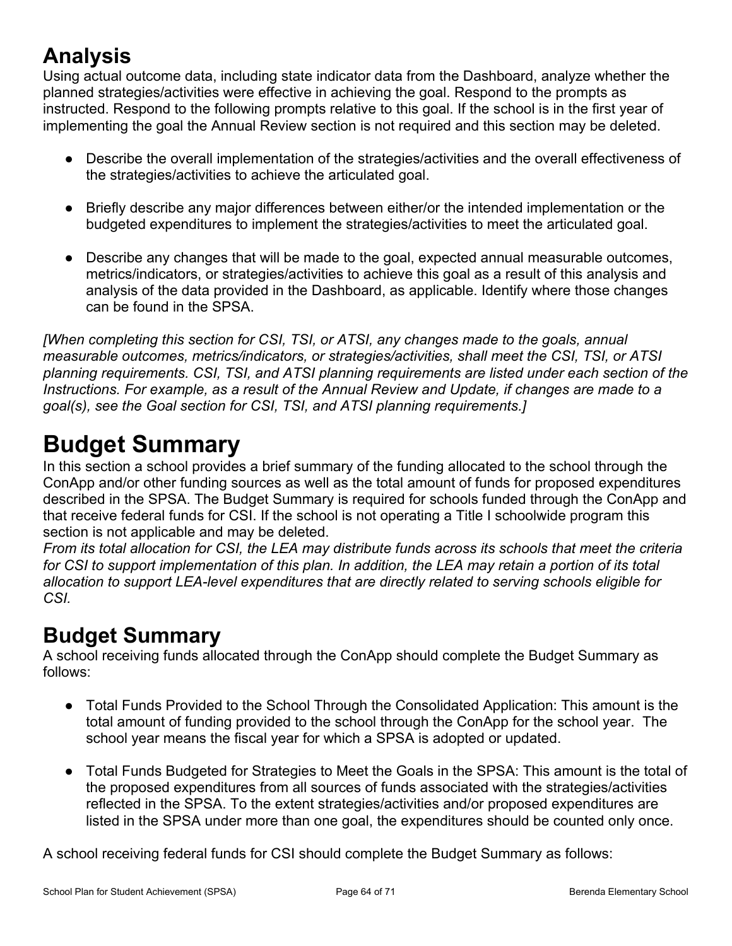# **Analysis**

Using actual outcome data, including state indicator data from the Dashboard, analyze whether the planned strategies/activities were effective in achieving the goal. Respond to the prompts as instructed. Respond to the following prompts relative to this goal. If the school is in the first year of implementing the goal the Annual Review section is not required and this section may be deleted.

- Describe the overall implementation of the strategies/activities and the overall effectiveness of the strategies/activities to achieve the articulated goal.
- Briefly describe any major differences between either/or the intended implementation or the budgeted expenditures to implement the strategies/activities to meet the articulated goal.
- Describe any changes that will be made to the goal, expected annual measurable outcomes, metrics/indicators, or strategies/activities to achieve this goal as a result of this analysis and analysis of the data provided in the Dashboard, as applicable. Identify where those changes can be found in the SPSA.

*[When completing this section for CSI, TSI, or ATSI, any changes made to the goals, annual measurable outcomes, metrics/indicators, or strategies/activities, shall meet the CSI, TSI, or ATSI planning requirements. CSI, TSI, and ATSI planning requirements are listed under each section of the Instructions. For example, as a result of the Annual Review and Update, if changes are made to a goal(s), see the Goal section for CSI, TSI, and ATSI planning requirements.]*

# <span id="page-63-0"></span>**Budget Summary**

In this section a school provides a brief summary of the funding allocated to the school through the ConApp and/or other funding sources as well as the total amount of funds for proposed expenditures described in the SPSA. The Budget Summary is required for schools funded through the ConApp and that receive federal funds for CSI. If the school is not operating a Title I schoolwide program this section is not applicable and may be deleted.

From its total allocation for CSI, the LEA may distribute funds across its schools that meet the criteria for CSI to support implementation of this plan. In addition, the LEA may retain a portion of its total *allocation to support LEA-level expenditures that are directly related to serving schools eligible for CSI.*

## **Budget Summary**

A school receiving funds allocated through the ConApp should complete the Budget Summary as follows:

- Total Funds Provided to the School Through the Consolidated Application: This amount is the total amount of funding provided to the school through the ConApp for the school year. The school year means the fiscal year for which a SPSA is adopted or updated.
- Total Funds Budgeted for Strategies to Meet the Goals in the SPSA: This amount is the total of the proposed expenditures from all sources of funds associated with the strategies/activities reflected in the SPSA. To the extent strategies/activities and/or proposed expenditures are listed in the SPSA under more than one goal, the expenditures should be counted only once.

A school receiving federal funds for CSI should complete the Budget Summary as follows: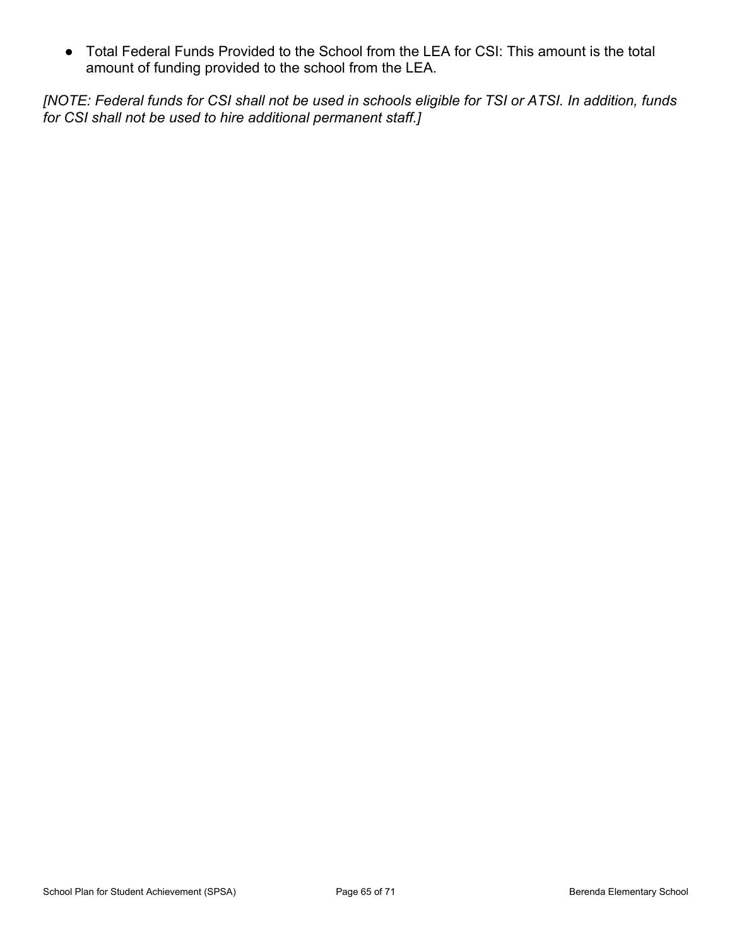● Total Federal Funds Provided to the School from the LEA for CSI: This amount is the total amount of funding provided to the school from the LEA.

[NOTE: Federal funds for CSI shall not be used in schools eligible for TSI or ATSI. In addition, funds *for CSI shall not be used to hire additional permanent staff.]*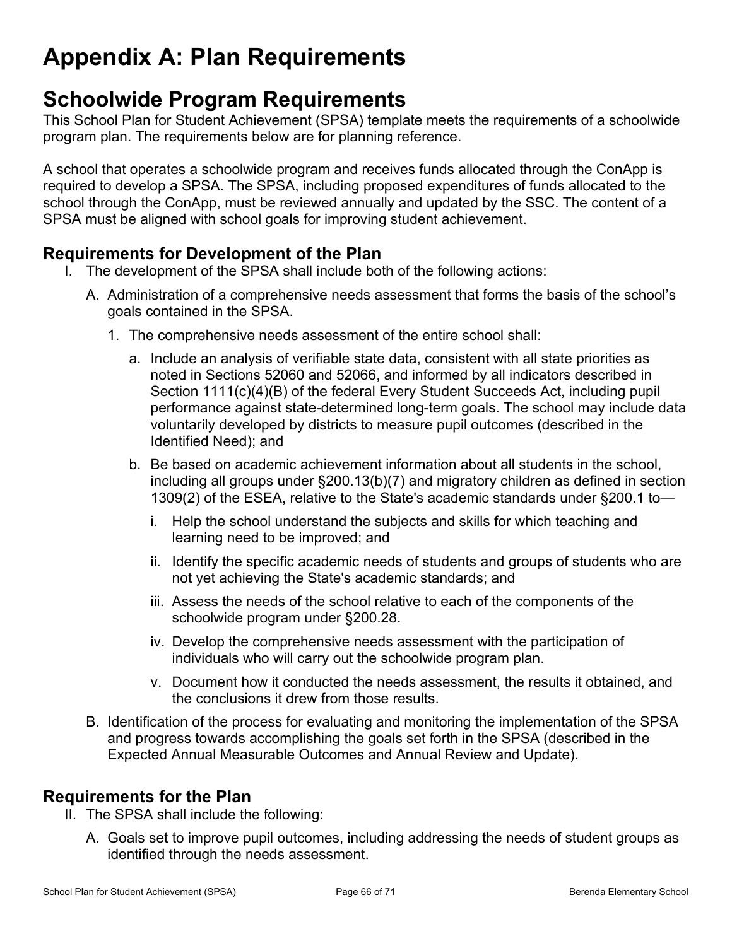# <span id="page-65-0"></span>**Appendix A: Plan Requirements**

## **Schoolwide Program Requirements**

This School Plan for Student Achievement (SPSA) template meets the requirements of a schoolwide program plan. The requirements below are for planning reference.

A school that operates a schoolwide program and receives funds allocated through the ConApp is required to develop a SPSA. The SPSA, including proposed expenditures of funds allocated to the school through the ConApp, must be reviewed annually and updated by the SSC. The content of a SPSA must be aligned with school goals for improving student achievement.

### **Requirements for Development of the Plan**

- I. The development of the SPSA shall include both of the following actions:
	- A. Administration of a comprehensive needs assessment that forms the basis of the school's goals contained in the SPSA.
		- 1. The comprehensive needs assessment of the entire school shall:
			- a. Include an analysis of verifiable state data, consistent with all state priorities as noted in Sections 52060 and 52066, and informed by all indicators described in Section 1111(c)(4)(B) of the federal Every Student Succeeds Act, including pupil performance against state-determined long-term goals. The school may include data voluntarily developed by districts to measure pupil outcomes (described in the Identified Need); and
			- b. Be based on academic achievement information about all students in the school, including all groups under §200.13(b)(7) and migratory children as defined in section 1309(2) of the ESEA, relative to the State's academic standards under §200.1 to
				- i. Help the school understand the subjects and skills for which teaching and learning need to be improved; and
				- ii. Identify the specific academic needs of students and groups of students who are not yet achieving the State's academic standards; and
				- iii. Assess the needs of the school relative to each of the components of the schoolwide program under §200.28.
				- iv. Develop the comprehensive needs assessment with the participation of individuals who will carry out the schoolwide program plan.
				- v. Document how it conducted the needs assessment, the results it obtained, and the conclusions it drew from those results.
	- B. Identification of the process for evaluating and monitoring the implementation of the SPSA and progress towards accomplishing the goals set forth in the SPSA (described in the Expected Annual Measurable Outcomes and Annual Review and Update).

### **Requirements for the Plan**

- II. The SPSA shall include the following:
	- A. Goals set to improve pupil outcomes, including addressing the needs of student groups as identified through the needs assessment.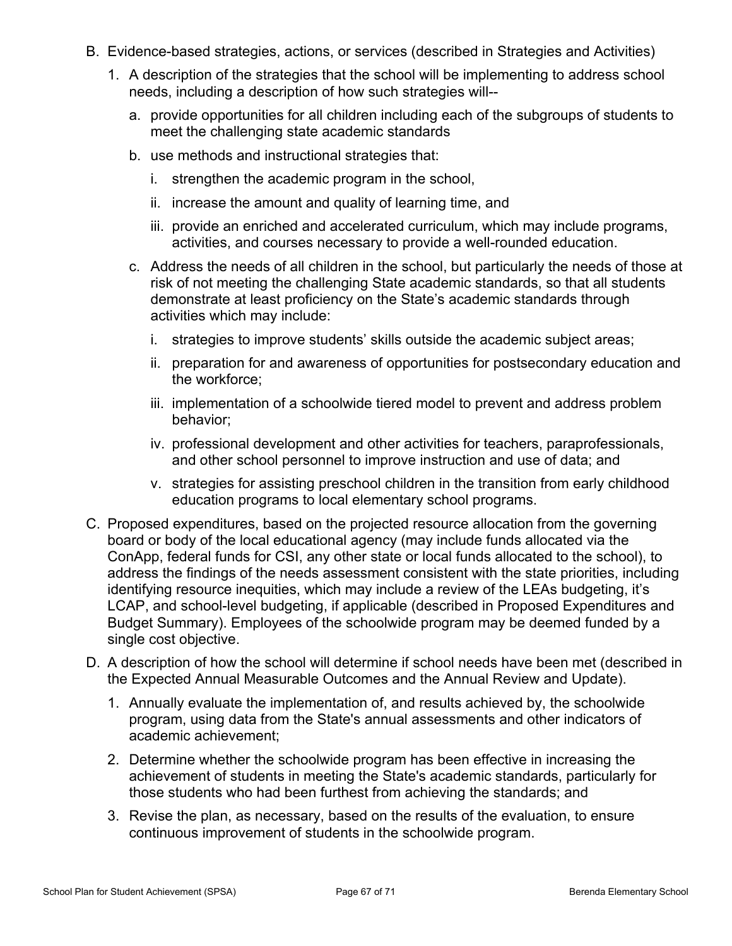- B. Evidence-based strategies, actions, or services (described in Strategies and Activities)
	- 1. A description of the strategies that the school will be implementing to address school needs, including a description of how such strategies will-
		- a. provide opportunities for all children including each of the subgroups of students to meet the challenging state academic standards
		- b. use methods and instructional strategies that:
			- i. strengthen the academic program in the school,
			- ii. increase the amount and quality of learning time, and
			- iii. provide an enriched and accelerated curriculum, which may include programs, activities, and courses necessary to provide a well-rounded education.
		- c. Address the needs of all children in the school, but particularly the needs of those at risk of not meeting the challenging State academic standards, so that all students demonstrate at least proficiency on the State's academic standards through activities which may include:
			- i. strategies to improve students' skills outside the academic subject areas;
			- ii. preparation for and awareness of opportunities for postsecondary education and the workforce;
			- iii. implementation of a schoolwide tiered model to prevent and address problem behavior;
			- iv. professional development and other activities for teachers, paraprofessionals, and other school personnel to improve instruction and use of data; and
			- v. strategies for assisting preschool children in the transition from early childhood education programs to local elementary school programs.
- C. Proposed expenditures, based on the projected resource allocation from the governing board or body of the local educational agency (may include funds allocated via the ConApp, federal funds for CSI, any other state or local funds allocated to the school), to address the findings of the needs assessment consistent with the state priorities, including identifying resource inequities, which may include a review of the LEAs budgeting, it's LCAP, and school-level budgeting, if applicable (described in Proposed Expenditures and Budget Summary). Employees of the schoolwide program may be deemed funded by a single cost objective.
- D. A description of how the school will determine if school needs have been met (described in the Expected Annual Measurable Outcomes and the Annual Review and Update).
	- 1. Annually evaluate the implementation of, and results achieved by, the schoolwide program, using data from the State's annual assessments and other indicators of academic achievement;
	- 2. Determine whether the schoolwide program has been effective in increasing the achievement of students in meeting the State's academic standards, particularly for those students who had been furthest from achieving the standards; and
	- 3. Revise the plan, as necessary, based on the results of the evaluation, to ensure continuous improvement of students in the schoolwide program.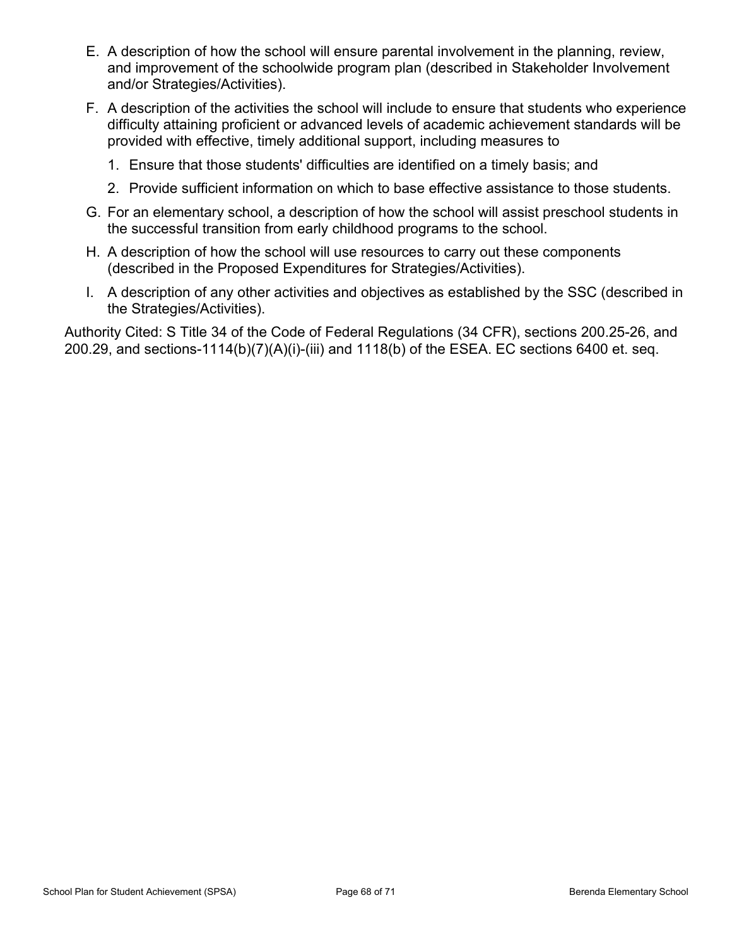- E. A description of how the school will ensure parental involvement in the planning, review, and improvement of the schoolwide program plan (described in Stakeholder Involvement and/or Strategies/Activities).
- F. A description of the activities the school will include to ensure that students who experience difficulty attaining proficient or advanced levels of academic achievement standards will be provided with effective, timely additional support, including measures to
	- 1. Ensure that those students' difficulties are identified on a timely basis; and
	- 2. Provide sufficient information on which to base effective assistance to those students.
- G. For an elementary school, a description of how the school will assist preschool students in the successful transition from early childhood programs to the school.
- H. A description of how the school will use resources to carry out these components (described in the Proposed Expenditures for Strategies/Activities).
- I. A description of any other activities and objectives as established by the SSC (described in the Strategies/Activities).

Authority Cited: S Title 34 of the Code of Federal Regulations (34 CFR), sections 200.25-26, and 200.29, and sections-1114(b)(7)(A)(i)-(iii) and 1118(b) of the ESEA. EC sections 6400 et. seq.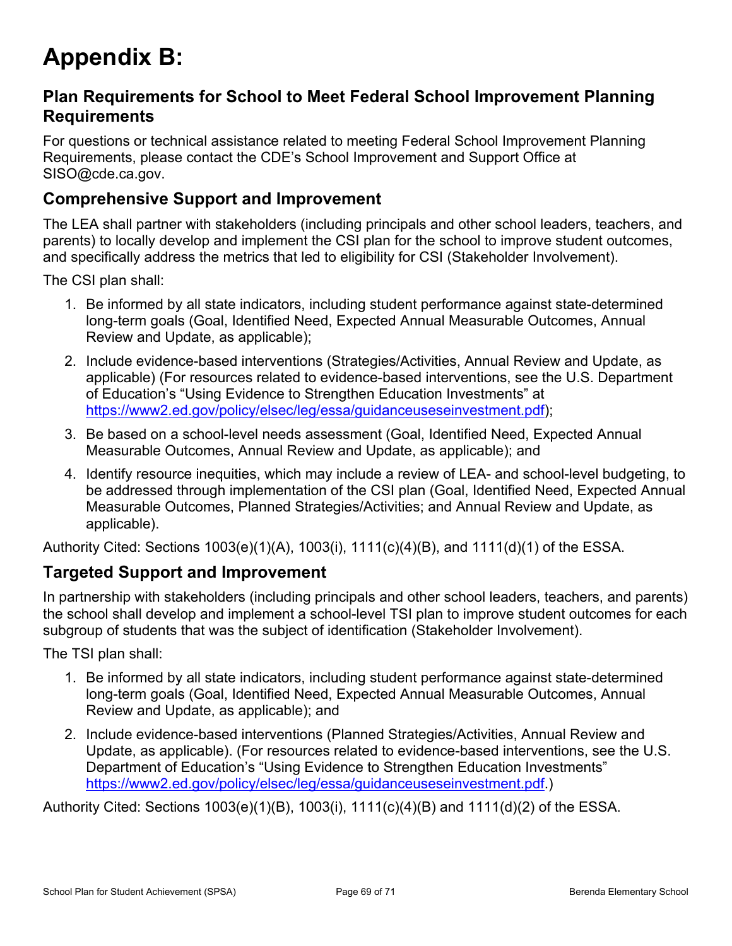# <span id="page-68-0"></span>**Appendix B:**

### **Plan Requirements for School to Meet Federal School Improvement Planning Requirements**

For questions or technical assistance related to meeting Federal School Improvement Planning Requirements, please contact the CDE's School Improvement and Support Office at SISO@cde.ca.gov.

### **Comprehensive Support and Improvement**

The LEA shall partner with stakeholders (including principals and other school leaders, teachers, and parents) to locally develop and implement the CSI plan for the school to improve student outcomes, and specifically address the metrics that led to eligibility for CSI (Stakeholder Involvement).

The CSI plan shall:

- 1. Be informed by all state indicators, including student performance against state-determined long-term goals (Goal, Identified Need, Expected Annual Measurable Outcomes, Annual Review and Update, as applicable);
- 2. Include evidence-based interventions (Strategies/Activities, Annual Review and Update, as applicable) (For resources related to evidence-based interventions, see the U.S. Department of Education's "Using Evidence to Strengthen Education Investments" at [https://www2.ed.gov/policy/elsec/leg/essa/guidanceuseseinvestment.pdf\)](https://www2.ed.gov/policy/elsec/leg/essa/guidanceuseseinvestment.pdf);
- 3. Be based on a school-level needs assessment (Goal, Identified Need, Expected Annual Measurable Outcomes, Annual Review and Update, as applicable); and
- 4. Identify resource inequities, which may include a review of LEA- and school-level budgeting, to be addressed through implementation of the CSI plan (Goal, Identified Need, Expected Annual Measurable Outcomes, Planned Strategies/Activities; and Annual Review and Update, as applicable).

Authority Cited: Sections 1003(e)(1)(A), 1003(i), 1111(c)(4)(B), and 1111(d)(1) of the ESSA.

### **Targeted Support and Improvement**

In partnership with stakeholders (including principals and other school leaders, teachers, and parents) the school shall develop and implement a school-level TSI plan to improve student outcomes for each subgroup of students that was the subject of identification (Stakeholder Involvement).

The TSI plan shall:

- 1. Be informed by all state indicators, including student performance against state-determined long-term goals (Goal, Identified Need, Expected Annual Measurable Outcomes, Annual Review and Update, as applicable); and
- 2. Include evidence-based interventions (Planned Strategies/Activities, Annual Review and Update, as applicable). (For resources related to evidence-based interventions, see the U.S. Department of Education's "Using Evidence to Strengthen Education Investments" [https://www2.ed.gov/policy/elsec/leg/essa/guidanceuseseinvestment.pdf.](https://www2.ed.gov/policy/elsec/leg/essa/guidanceuseseinvestment.pdf))

Authority Cited: Sections 1003(e)(1)(B), 1003(i), 1111(c)(4)(B) and 1111(d)(2) of the ESSA.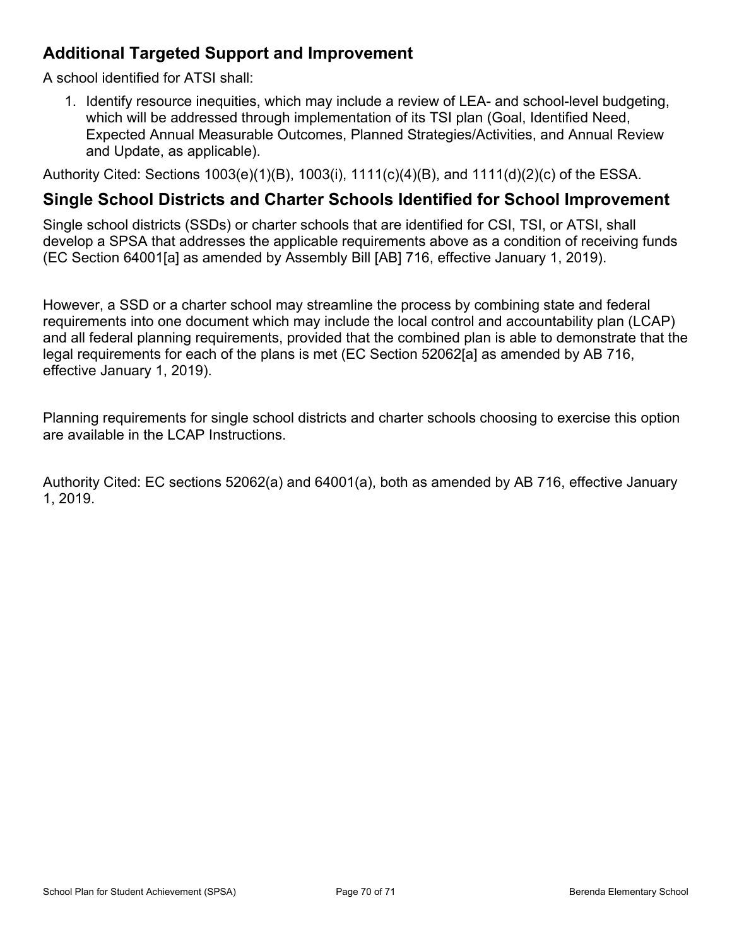## **Additional Targeted Support and Improvement**

A school identified for ATSI shall:

1. Identify resource inequities, which may include a review of LEA- and school-level budgeting, which will be addressed through implementation of its TSI plan (Goal, Identified Need, Expected Annual Measurable Outcomes, Planned Strategies/Activities, and Annual Review and Update, as applicable).

Authority Cited: Sections 1003(e)(1)(B), 1003(i), 1111(c)(4)(B), and 1111(d)(2)(c) of the ESSA.

### **Single School Districts and Charter Schools Identified for School Improvement**

Single school districts (SSDs) or charter schools that are identified for CSI, TSI, or ATSI, shall develop a SPSA that addresses the applicable requirements above as a condition of receiving funds (EC Section 64001[a] as amended by Assembly Bill [AB] 716, effective January 1, 2019).

However, a SSD or a charter school may streamline the process by combining state and federal requirements into one document which may include the local control and accountability plan (LCAP) and all federal planning requirements, provided that the combined plan is able to demonstrate that the legal requirements for each of the plans is met (EC Section 52062[a] as amended by AB 716, effective January 1, 2019).

Planning requirements for single school districts and charter schools choosing to exercise this option are available in the LCAP Instructions.

Authority Cited: EC sections 52062(a) and 64001(a), both as amended by AB 716, effective January 1, 2019.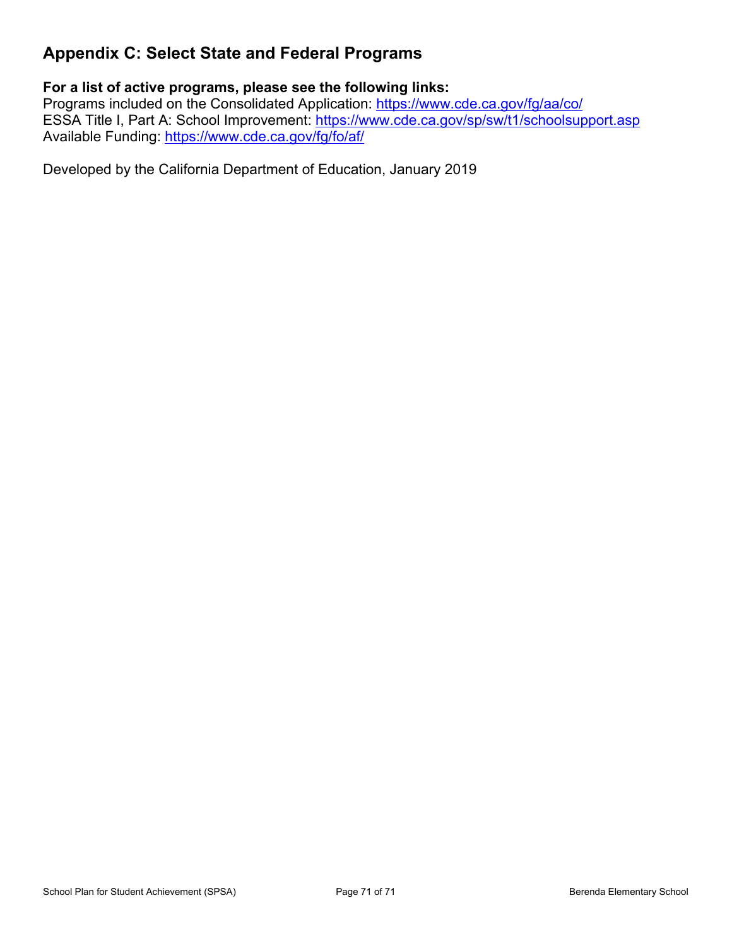## <span id="page-70-0"></span>**Appendix C: Select State and Federal Programs**

### **For a list of active programs, please see the following links:**

Programs included on the Consolidated Application: <https://www.cde.ca.gov/fg/aa/co/> ESSA Title I, Part A: School Improvement: <https://www.cde.ca.gov/sp/sw/t1/schoolsupport.asp> Available Funding: <https://www.cde.ca.gov/fg/fo/af/>

Developed by the California Department of Education, January 2019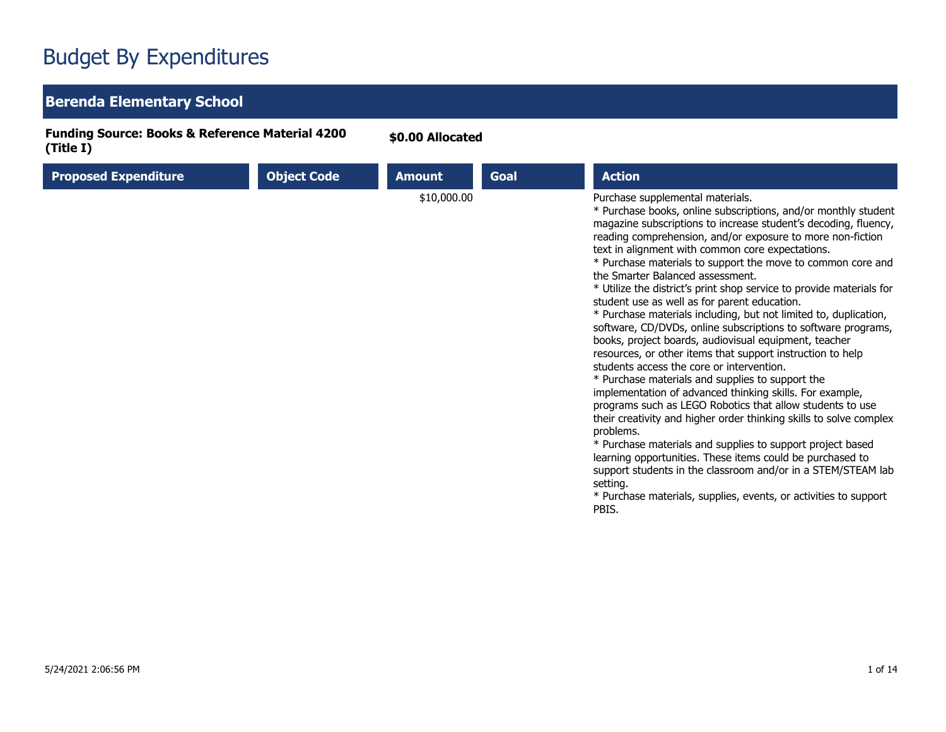## Budget By Expenditures

## **Berenda Elementary School**

**Funding Source: Books & Reference Material 4200 (Title I)**

**\$0.00 Allocated**

| <b>Proposed Expenditure</b> | <b>Object Code</b> | <b>Amount</b> | Goal | <b>Action</b>                                                                                                                                                                                                                                                                                                                                                                                                                                                                                                                                                                                                                                                                                                                                                                                                                                                                                                                                                                                                                                                                                                                                                                                                                                                                                                                                                                   |
|-----------------------------|--------------------|---------------|------|---------------------------------------------------------------------------------------------------------------------------------------------------------------------------------------------------------------------------------------------------------------------------------------------------------------------------------------------------------------------------------------------------------------------------------------------------------------------------------------------------------------------------------------------------------------------------------------------------------------------------------------------------------------------------------------------------------------------------------------------------------------------------------------------------------------------------------------------------------------------------------------------------------------------------------------------------------------------------------------------------------------------------------------------------------------------------------------------------------------------------------------------------------------------------------------------------------------------------------------------------------------------------------------------------------------------------------------------------------------------------------|
|                             |                    | \$10,000.00   |      | Purchase supplemental materials.<br>* Purchase books, online subscriptions, and/or monthly student<br>magazine subscriptions to increase student's decoding, fluency,<br>reading comprehension, and/or exposure to more non-fiction<br>text in alignment with common core expectations.<br>* Purchase materials to support the move to common core and<br>the Smarter Balanced assessment.<br>* Utilize the district's print shop service to provide materials for<br>student use as well as for parent education.<br>* Purchase materials including, but not limited to, duplication,<br>software, CD/DVDs, online subscriptions to software programs,<br>books, project boards, audiovisual equipment, teacher<br>resources, or other items that support instruction to help<br>students access the core or intervention.<br>* Purchase materials and supplies to support the<br>implementation of advanced thinking skills. For example,<br>programs such as LEGO Robotics that allow students to use<br>their creativity and higher order thinking skills to solve complex<br>problems.<br>* Purchase materials and supplies to support project based<br>learning opportunities. These items could be purchased to<br>support students in the classroom and/or in a STEM/STEAM lab<br>setting.<br>* Purchase materials, supplies, events, or activities to support<br>PBIS. |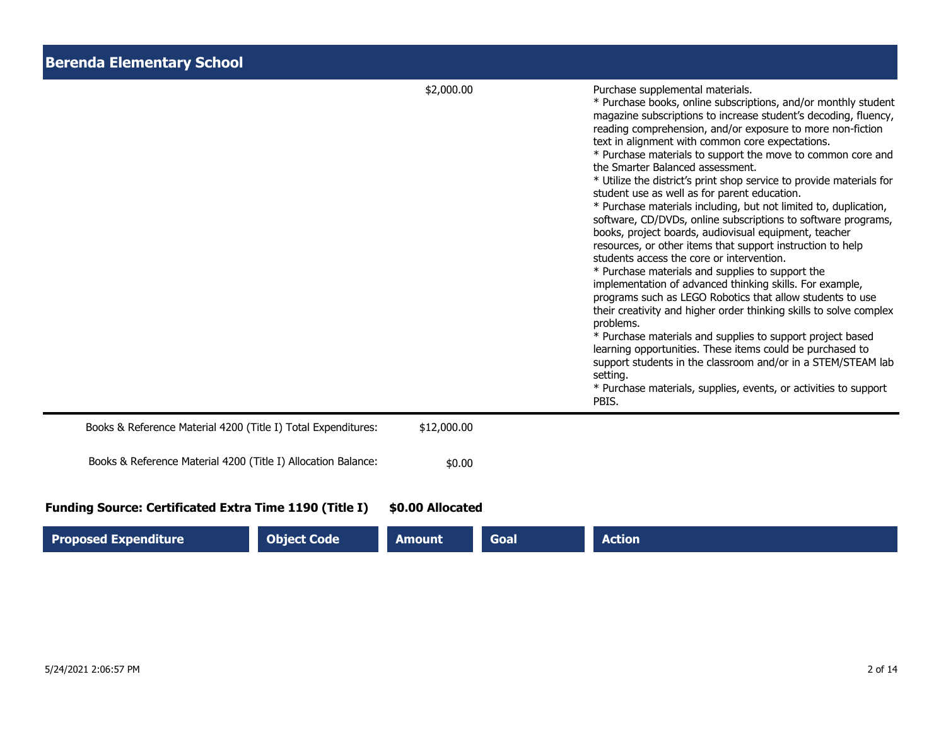| <b>Berenda Elementary School</b>                              |                  |      |                                                                                                                                                                                                                                                                                                                                                                                                                                                                                                                                                                                                                                                                                                                                                                                                                                                                                                                                                                                                                                                                                                                                                                                                                                                                                                                                                                                 |
|---------------------------------------------------------------|------------------|------|---------------------------------------------------------------------------------------------------------------------------------------------------------------------------------------------------------------------------------------------------------------------------------------------------------------------------------------------------------------------------------------------------------------------------------------------------------------------------------------------------------------------------------------------------------------------------------------------------------------------------------------------------------------------------------------------------------------------------------------------------------------------------------------------------------------------------------------------------------------------------------------------------------------------------------------------------------------------------------------------------------------------------------------------------------------------------------------------------------------------------------------------------------------------------------------------------------------------------------------------------------------------------------------------------------------------------------------------------------------------------------|
|                                                               | \$2,000.00       |      | Purchase supplemental materials.<br>* Purchase books, online subscriptions, and/or monthly student<br>magazine subscriptions to increase student's decoding, fluency,<br>reading comprehension, and/or exposure to more non-fiction<br>text in alignment with common core expectations.<br>* Purchase materials to support the move to common core and<br>the Smarter Balanced assessment.<br>* Utilize the district's print shop service to provide materials for<br>student use as well as for parent education.<br>* Purchase materials including, but not limited to, duplication,<br>software, CD/DVDs, online subscriptions to software programs,<br>books, project boards, audiovisual equipment, teacher<br>resources, or other items that support instruction to help<br>students access the core or intervention.<br>* Purchase materials and supplies to support the<br>implementation of advanced thinking skills. For example,<br>programs such as LEGO Robotics that allow students to use<br>their creativity and higher order thinking skills to solve complex<br>problems.<br>* Purchase materials and supplies to support project based<br>learning opportunities. These items could be purchased to<br>support students in the classroom and/or in a STEM/STEAM lab<br>setting.<br>* Purchase materials, supplies, events, or activities to support<br>PBIS. |
| Books & Reference Material 4200 (Title I) Total Expenditures: | \$12,000.00      |      |                                                                                                                                                                                                                                                                                                                                                                                                                                                                                                                                                                                                                                                                                                                                                                                                                                                                                                                                                                                                                                                                                                                                                                                                                                                                                                                                                                                 |
| Books & Reference Material 4200 (Title I) Allocation Balance: | \$0.00           |      |                                                                                                                                                                                                                                                                                                                                                                                                                                                                                                                                                                                                                                                                                                                                                                                                                                                                                                                                                                                                                                                                                                                                                                                                                                                                                                                                                                                 |
| <b>Funding Source: Certificated Extra Time 1190 (Title I)</b> | \$0.00 Allocated |      |                                                                                                                                                                                                                                                                                                                                                                                                                                                                                                                                                                                                                                                                                                                                                                                                                                                                                                                                                                                                                                                                                                                                                                                                                                                                                                                                                                                 |
| <b>Object Code</b><br><b>Proposed Expenditure</b>             | <b>Amount</b>    | Goal | <b>Action</b>                                                                                                                                                                                                                                                                                                                                                                                                                                                                                                                                                                                                                                                                                                                                                                                                                                                                                                                                                                                                                                                                                                                                                                                                                                                                                                                                                                   |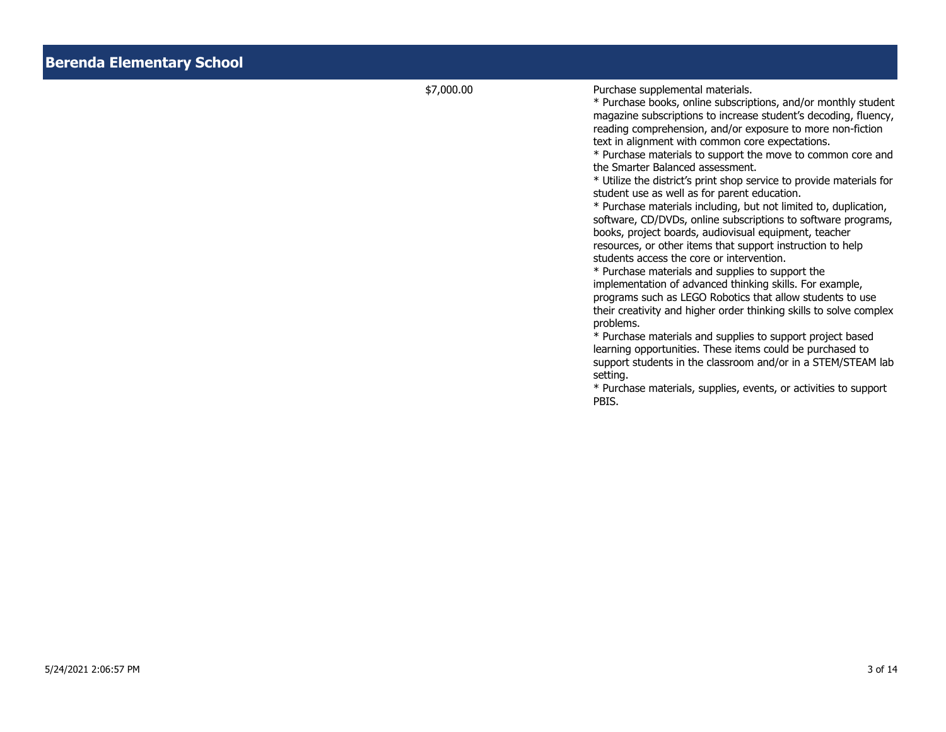\$7,000.00 Purchase supplemental materials.

\* Purchase books, online subscriptions, and/or monthly student magazine subscriptions to increase student's decoding, fluency, reading comprehension, and/or exposure to more non-fiction text in alignment with common core expectations.

\* Purchase materials to support the move to common core and the Smarter Balanced assessment.

\* Utilize the district's print shop service to provide materials for student use as well as for parent education.

\* Purchase materials including, but not limited to, duplication, software, CD/DVDs, online subscriptions to software programs, books, project boards, audiovisual equipment, teacher resources, or other items that support instruction to help students access the core or intervention.

\* Purchase materials and supplies to support the implementation of advanced thinking skills. For example, programs such as LEGO Robotics that allow students to use their creativity and higher order thinking skills to solve complex problems.

\* Purchase materials and supplies to support project based learning opportunities. These items could be purchased to support students in the classroom and/or in a STEM/STEAM lab setting.

\* Purchase materials, supplies, events, or activities to support PBIS.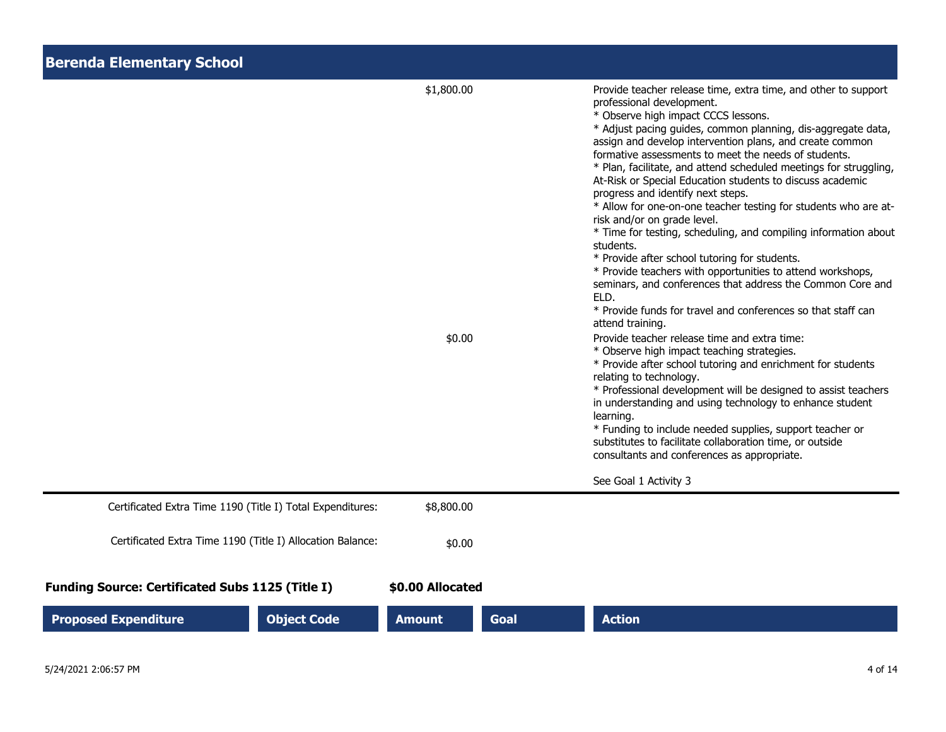| <b>Berenda Elementary School</b>                           |                      |                                                                                                                                                                                                                                                                                                                                                                                                                                                                                                                                                                                                                                                                                                                                                                                                                                                                                                                                                                                                                                                                                                                                                                                                                                                                                                                                                                                                                                                                                             |
|------------------------------------------------------------|----------------------|---------------------------------------------------------------------------------------------------------------------------------------------------------------------------------------------------------------------------------------------------------------------------------------------------------------------------------------------------------------------------------------------------------------------------------------------------------------------------------------------------------------------------------------------------------------------------------------------------------------------------------------------------------------------------------------------------------------------------------------------------------------------------------------------------------------------------------------------------------------------------------------------------------------------------------------------------------------------------------------------------------------------------------------------------------------------------------------------------------------------------------------------------------------------------------------------------------------------------------------------------------------------------------------------------------------------------------------------------------------------------------------------------------------------------------------------------------------------------------------------|
|                                                            | \$1,800.00<br>\$0.00 | Provide teacher release time, extra time, and other to support<br>professional development.<br>* Observe high impact CCCS lessons.<br>* Adjust pacing guides, common planning, dis-aggregate data,<br>assign and develop intervention plans, and create common<br>formative assessments to meet the needs of students.<br>* Plan, facilitate, and attend scheduled meetings for struggling,<br>At-Risk or Special Education students to discuss academic<br>progress and identify next steps.<br>* Allow for one-on-one teacher testing for students who are at-<br>risk and/or on grade level.<br>* Time for testing, scheduling, and compiling information about<br>students.<br>* Provide after school tutoring for students.<br>* Provide teachers with opportunities to attend workshops,<br>seminars, and conferences that address the Common Core and<br>ELD.<br>* Provide funds for travel and conferences so that staff can<br>attend training.<br>Provide teacher release time and extra time:<br>* Observe high impact teaching strategies.<br>* Provide after school tutoring and enrichment for students<br>relating to technology.<br>* Professional development will be designed to assist teachers<br>in understanding and using technology to enhance student<br>learning.<br>* Funding to include needed supplies, support teacher or<br>substitutes to facilitate collaboration time, or outside<br>consultants and conferences as appropriate.<br>See Goal 1 Activity 3 |
| Certificated Extra Time 1190 (Title I) Total Expenditures: | \$8,800.00           |                                                                                                                                                                                                                                                                                                                                                                                                                                                                                                                                                                                                                                                                                                                                                                                                                                                                                                                                                                                                                                                                                                                                                                                                                                                                                                                                                                                                                                                                                             |
| Certificated Extra Time 1190 (Title I) Allocation Balance: | \$0.00               |                                                                                                                                                                                                                                                                                                                                                                                                                                                                                                                                                                                                                                                                                                                                                                                                                                                                                                                                                                                                                                                                                                                                                                                                                                                                                                                                                                                                                                                                                             |
| <b>Funding Source: Certificated Subs 1125 (Title I)</b>    | \$0.00 Allocated     |                                                                                                                                                                                                                                                                                                                                                                                                                                                                                                                                                                                                                                                                                                                                                                                                                                                                                                                                                                                                                                                                                                                                                                                                                                                                                                                                                                                                                                                                                             |
| <b>Proposed Expenditure</b><br><b>Object Code</b>          | <b>Amount</b>        | <b>Action</b><br><b>Goal</b>                                                                                                                                                                                                                                                                                                                                                                                                                                                                                                                                                                                                                                                                                                                                                                                                                                                                                                                                                                                                                                                                                                                                                                                                                                                                                                                                                                                                                                                                |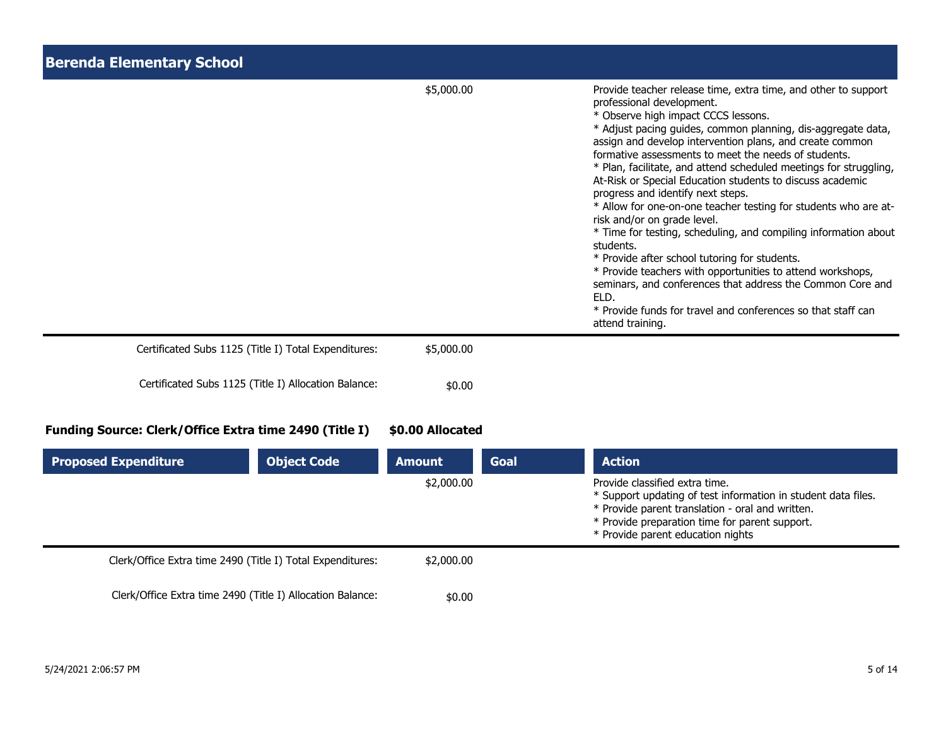| <b>Berenda Elementary School</b>                       |                            |                                                                                                                                                                                                                                                                                                                                                                                                                                                                                                                                                                                                                                                                                                                                                                                                                                                                                                                                                          |  |
|--------------------------------------------------------|----------------------------|----------------------------------------------------------------------------------------------------------------------------------------------------------------------------------------------------------------------------------------------------------------------------------------------------------------------------------------------------------------------------------------------------------------------------------------------------------------------------------------------------------------------------------------------------------------------------------------------------------------------------------------------------------------------------------------------------------------------------------------------------------------------------------------------------------------------------------------------------------------------------------------------------------------------------------------------------------|--|
|                                                        | \$5,000.00                 | Provide teacher release time, extra time, and other to support<br>professional development.<br>* Observe high impact CCCS lessons.<br>* Adjust pacing guides, common planning, dis-aggregate data,<br>assign and develop intervention plans, and create common<br>formative assessments to meet the needs of students.<br>* Plan, facilitate, and attend scheduled meetings for struggling,<br>At-Risk or Special Education students to discuss academic<br>progress and identify next steps.<br>* Allow for one-on-one teacher testing for students who are at-<br>risk and/or on grade level.<br>* Time for testing, scheduling, and compiling information about<br>students.<br>* Provide after school tutoring for students.<br>* Provide teachers with opportunities to attend workshops,<br>seminars, and conferences that address the Common Core and<br>ELD.<br>* Provide funds for travel and conferences so that staff can<br>attend training. |  |
| Certificated Subs 1125 (Title I) Total Expenditures:   | \$5,000.00                 |                                                                                                                                                                                                                                                                                                                                                                                                                                                                                                                                                                                                                                                                                                                                                                                                                                                                                                                                                          |  |
| Certificated Subs 1125 (Title I) Allocation Balance:   | \$0.00                     |                                                                                                                                                                                                                                                                                                                                                                                                                                                                                                                                                                                                                                                                                                                                                                                                                                                                                                                                                          |  |
| Funding Source: Clerk/Office Extra time 2490 (Title I) | \$0.00 Allocated           |                                                                                                                                                                                                                                                                                                                                                                                                                                                                                                                                                                                                                                                                                                                                                                                                                                                                                                                                                          |  |
| <b>Proposed Expenditure</b><br><b>Object Code</b>      | <b>Amount</b><br>ራን ሰሰሰ ሰሰ | <b>Action</b><br><b>Goal</b><br>Drovido classified ovtra timo                                                                                                                                                                                                                                                                                                                                                                                                                                                                                                                                                                                                                                                                                                                                                                                                                                                                                            |  |

|                                                            | \$2,000.00 | Provide classified extra time.<br>* Support updating of test information in student data files.<br>* Provide parent translation - oral and written.<br>* Provide preparation time for parent support.<br>* Provide parent education nights |
|------------------------------------------------------------|------------|--------------------------------------------------------------------------------------------------------------------------------------------------------------------------------------------------------------------------------------------|
| Clerk/Office Extra time 2490 (Title I) Total Expenditures: | \$2,000,00 |                                                                                                                                                                                                                                            |
| Clerk/Office Extra time 2490 (Title I) Allocation Balance: | \$0.00     |                                                                                                                                                                                                                                            |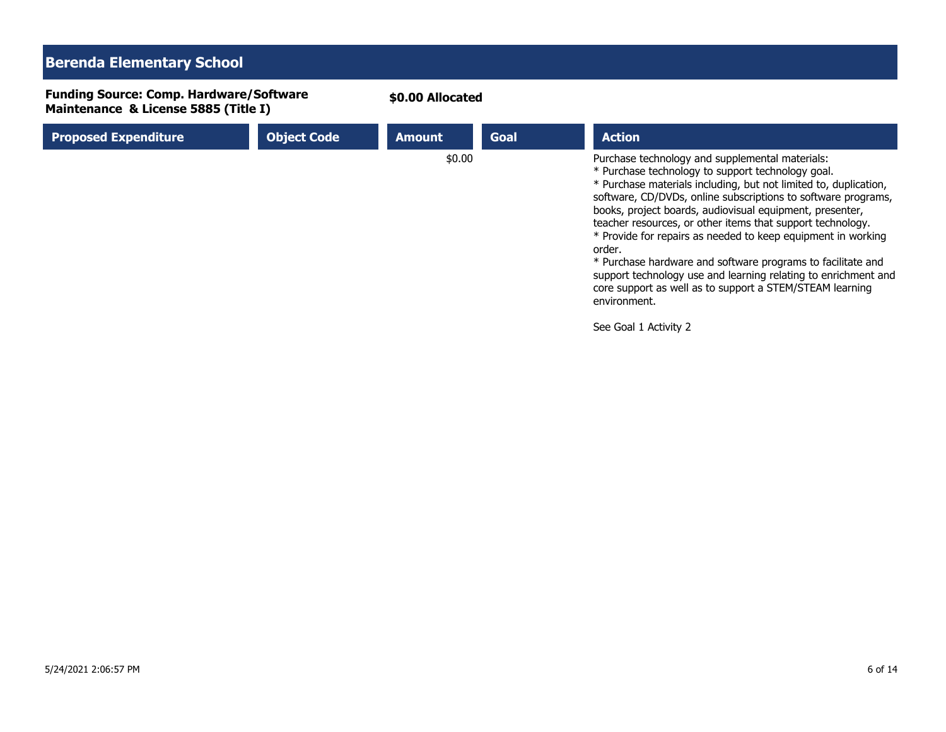## **Berenda Elementary School**

**Funding Source: Comp. Hardware/Software Maintenance & License 5885 (Title I)**

|  | \$0.00 Allocated |
|--|------------------|
|--|------------------|

| <b>Proposed Expenditure</b> | <b>Object Code</b> | <b>Amount</b> | Goal | <b>Action</b>                                                                                                                                                                                                                                                                                                                                                                                                                                                                                                                                                                                                                                              |
|-----------------------------|--------------------|---------------|------|------------------------------------------------------------------------------------------------------------------------------------------------------------------------------------------------------------------------------------------------------------------------------------------------------------------------------------------------------------------------------------------------------------------------------------------------------------------------------------------------------------------------------------------------------------------------------------------------------------------------------------------------------------|
|                             |                    | \$0.00        |      | Purchase technology and supplemental materials:<br>* Purchase technology to support technology goal.<br>* Purchase materials including, but not limited to, duplication,<br>software, CD/DVDs, online subscriptions to software programs,<br>books, project boards, audiovisual equipment, presenter,<br>teacher resources, or other items that support technology.<br>* Provide for repairs as needed to keep equipment in working<br>order.<br>* Purchase hardware and software programs to facilitate and<br>support technology use and learning relating to enrichment and<br>core support as well as to support a STEM/STEAM learning<br>environment. |

See Goal 1 Activity 2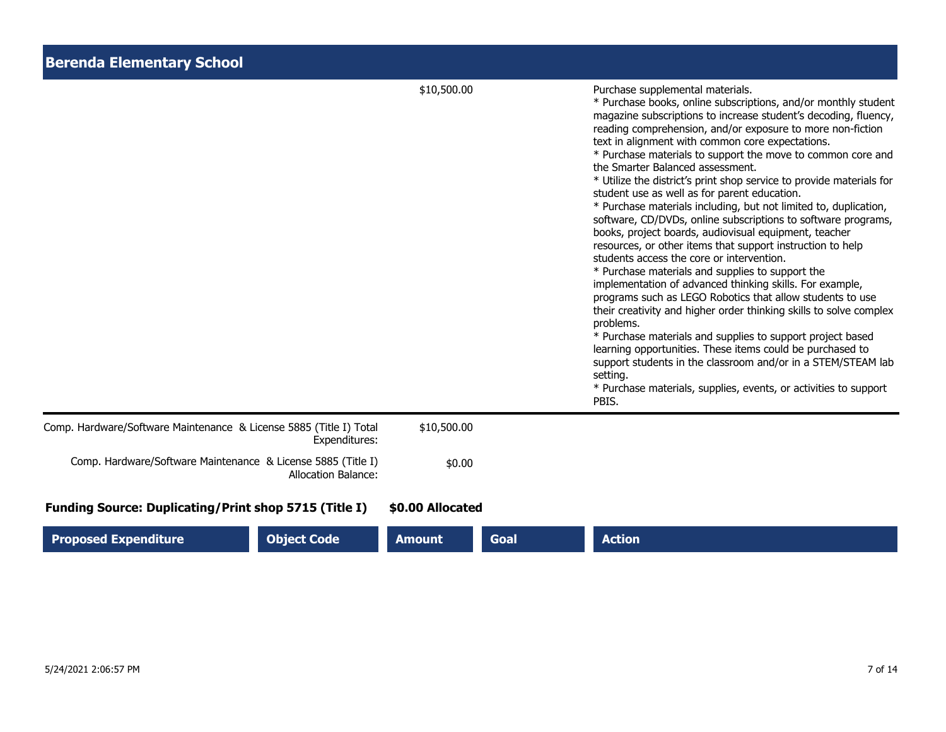| <b>Berenda Elementary School</b>                                                           |                  |             |                                                                                                                                                                                                                                                                                                                                                                                                                                                                                                                                                                                                                                                                                                                                                                                                                                                                                                                                                                                                                                                                                                                                                                                                                                                                                                                                                                                 |
|--------------------------------------------------------------------------------------------|------------------|-------------|---------------------------------------------------------------------------------------------------------------------------------------------------------------------------------------------------------------------------------------------------------------------------------------------------------------------------------------------------------------------------------------------------------------------------------------------------------------------------------------------------------------------------------------------------------------------------------------------------------------------------------------------------------------------------------------------------------------------------------------------------------------------------------------------------------------------------------------------------------------------------------------------------------------------------------------------------------------------------------------------------------------------------------------------------------------------------------------------------------------------------------------------------------------------------------------------------------------------------------------------------------------------------------------------------------------------------------------------------------------------------------|
|                                                                                            | \$10,500.00      |             | Purchase supplemental materials.<br>* Purchase books, online subscriptions, and/or monthly student<br>magazine subscriptions to increase student's decoding, fluency,<br>reading comprehension, and/or exposure to more non-fiction<br>text in alignment with common core expectations.<br>* Purchase materials to support the move to common core and<br>the Smarter Balanced assessment.<br>* Utilize the district's print shop service to provide materials for<br>student use as well as for parent education.<br>* Purchase materials including, but not limited to, duplication,<br>software, CD/DVDs, online subscriptions to software programs,<br>books, project boards, audiovisual equipment, teacher<br>resources, or other items that support instruction to help<br>students access the core or intervention.<br>* Purchase materials and supplies to support the<br>implementation of advanced thinking skills. For example,<br>programs such as LEGO Robotics that allow students to use<br>their creativity and higher order thinking skills to solve complex<br>problems.<br>* Purchase materials and supplies to support project based<br>learning opportunities. These items could be purchased to<br>support students in the classroom and/or in a STEM/STEAM lab<br>setting.<br>* Purchase materials, supplies, events, or activities to support<br>PBIS. |
| Comp. Hardware/Software Maintenance & License 5885 (Title I) Total<br>Expenditures:        | \$10,500.00      |             |                                                                                                                                                                                                                                                                                                                                                                                                                                                                                                                                                                                                                                                                                                                                                                                                                                                                                                                                                                                                                                                                                                                                                                                                                                                                                                                                                                                 |
| Comp. Hardware/Software Maintenance & License 5885 (Title I)<br><b>Allocation Balance:</b> | \$0.00           |             |                                                                                                                                                                                                                                                                                                                                                                                                                                                                                                                                                                                                                                                                                                                                                                                                                                                                                                                                                                                                                                                                                                                                                                                                                                                                                                                                                                                 |
| <b>Funding Source: Duplicating/Print shop 5715 (Title I)</b>                               | \$0.00 Allocated |             |                                                                                                                                                                                                                                                                                                                                                                                                                                                                                                                                                                                                                                                                                                                                                                                                                                                                                                                                                                                                                                                                                                                                                                                                                                                                                                                                                                                 |
| <b>Proposed Expenditure</b><br><b>Object Code</b>                                          | <b>Amount</b>    | <b>Goal</b> | <b>Action</b>                                                                                                                                                                                                                                                                                                                                                                                                                                                                                                                                                                                                                                                                                                                                                                                                                                                                                                                                                                                                                                                                                                                                                                                                                                                                                                                                                                   |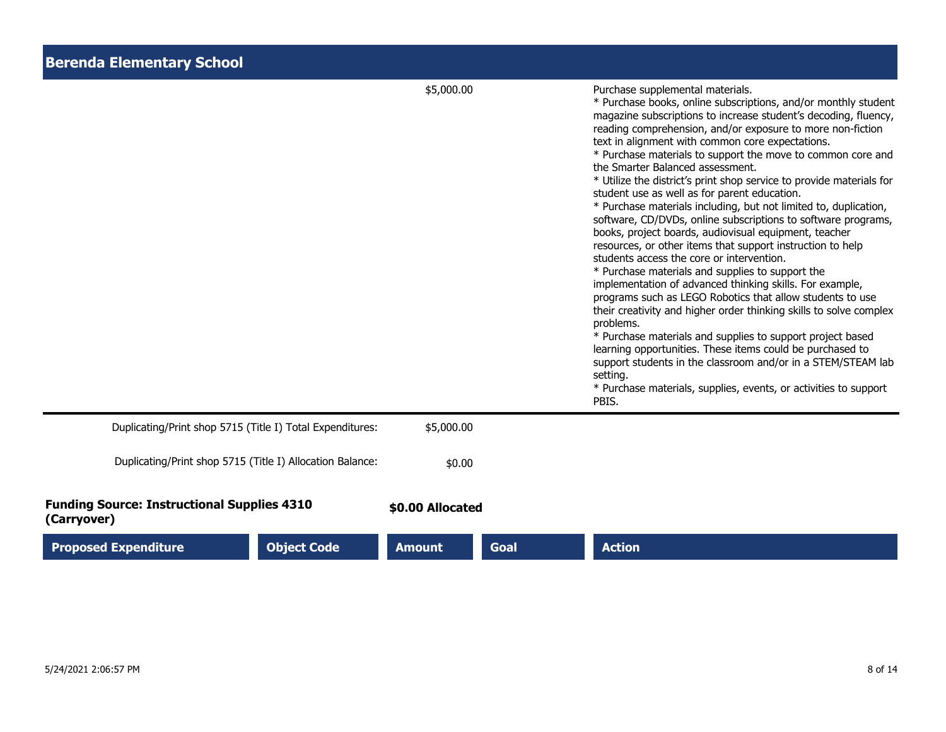| <b>Berenda Elementary School</b>                                  |                  |      |                                                                                                                                                                                                                                                                                                                                                                                                                                                                                                                                                                                                                                                                                                                                                                                                                                                                                                                                                                                                                                                                                                                                                                                                                                                                                                                                                                                 |
|-------------------------------------------------------------------|------------------|------|---------------------------------------------------------------------------------------------------------------------------------------------------------------------------------------------------------------------------------------------------------------------------------------------------------------------------------------------------------------------------------------------------------------------------------------------------------------------------------------------------------------------------------------------------------------------------------------------------------------------------------------------------------------------------------------------------------------------------------------------------------------------------------------------------------------------------------------------------------------------------------------------------------------------------------------------------------------------------------------------------------------------------------------------------------------------------------------------------------------------------------------------------------------------------------------------------------------------------------------------------------------------------------------------------------------------------------------------------------------------------------|
|                                                                   | \$5,000.00       |      | Purchase supplemental materials.<br>* Purchase books, online subscriptions, and/or monthly student<br>magazine subscriptions to increase student's decoding, fluency,<br>reading comprehension, and/or exposure to more non-fiction<br>text in alignment with common core expectations.<br>* Purchase materials to support the move to common core and<br>the Smarter Balanced assessment.<br>* Utilize the district's print shop service to provide materials for<br>student use as well as for parent education.<br>* Purchase materials including, but not limited to, duplication,<br>software, CD/DVDs, online subscriptions to software programs,<br>books, project boards, audiovisual equipment, teacher<br>resources, or other items that support instruction to help<br>students access the core or intervention.<br>* Purchase materials and supplies to support the<br>implementation of advanced thinking skills. For example,<br>programs such as LEGO Robotics that allow students to use<br>their creativity and higher order thinking skills to solve complex<br>problems.<br>* Purchase materials and supplies to support project based<br>learning opportunities. These items could be purchased to<br>support students in the classroom and/or in a STEM/STEAM lab<br>setting.<br>* Purchase materials, supplies, events, or activities to support<br>PBIS. |
| Duplicating/Print shop 5715 (Title I) Total Expenditures:         | \$5,000.00       |      |                                                                                                                                                                                                                                                                                                                                                                                                                                                                                                                                                                                                                                                                                                                                                                                                                                                                                                                                                                                                                                                                                                                                                                                                                                                                                                                                                                                 |
| Duplicating/Print shop 5715 (Title I) Allocation Balance:         | \$0.00           |      |                                                                                                                                                                                                                                                                                                                                                                                                                                                                                                                                                                                                                                                                                                                                                                                                                                                                                                                                                                                                                                                                                                                                                                                                                                                                                                                                                                                 |
| <b>Funding Source: Instructional Supplies 4310</b><br>(Carryover) | \$0.00 Allocated |      |                                                                                                                                                                                                                                                                                                                                                                                                                                                                                                                                                                                                                                                                                                                                                                                                                                                                                                                                                                                                                                                                                                                                                                                                                                                                                                                                                                                 |
| <b>Object Code</b><br><b>Proposed Expenditure</b>                 | <b>Amount</b>    | Goal | <b>Action</b>                                                                                                                                                                                                                                                                                                                                                                                                                                                                                                                                                                                                                                                                                                                                                                                                                                                                                                                                                                                                                                                                                                                                                                                                                                                                                                                                                                   |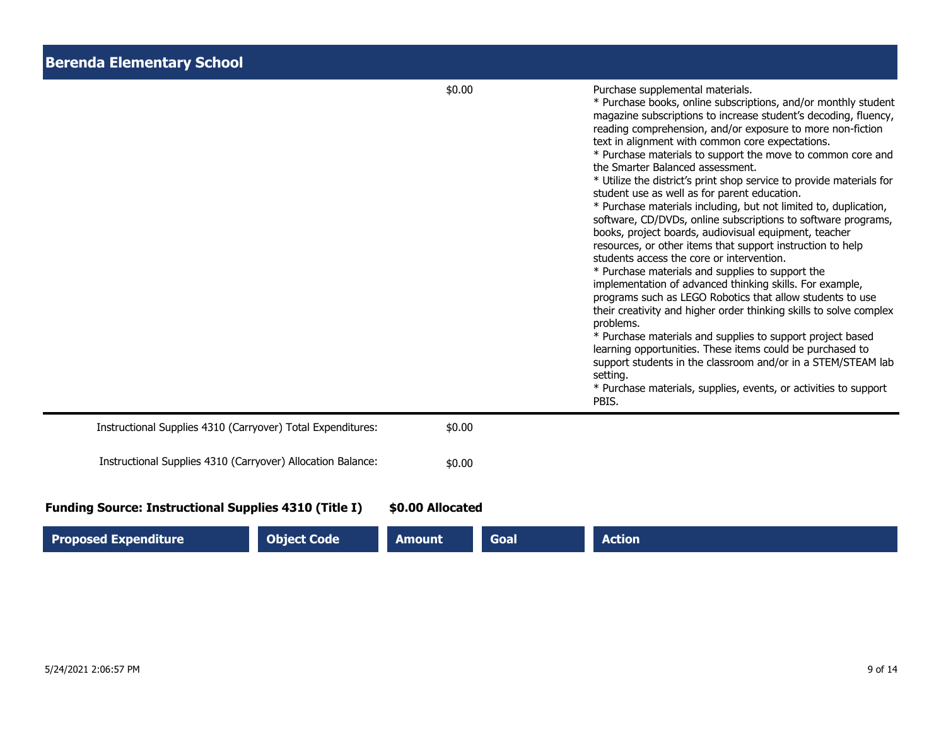| <b>Berenda Elementary School</b> |  |
|----------------------------------|--|
|----------------------------------|--|

|                                                                                                                   | \$0.00                                           | Purchase supplemental materials.<br>* Purchase books, online subscriptions, and/or monthly student<br>magazine subscriptions to increase student's decoding, fluency,<br>reading comprehension, and/or exposure to more non-fiction<br>text in alignment with common core expectations.<br>* Purchase materials to support the move to common core and<br>the Smarter Balanced assessment.<br>* Utilize the district's print shop service to provide materials for<br>student use as well as for parent education.<br>* Purchase materials including, but not limited to, duplication,<br>software, CD/DVDs, online subscriptions to software programs,<br>books, project boards, audiovisual equipment, teacher<br>resources, or other items that support instruction to help<br>students access the core or intervention.<br>* Purchase materials and supplies to support the<br>implementation of advanced thinking skills. For example,<br>programs such as LEGO Robotics that allow students to use<br>their creativity and higher order thinking skills to solve complex<br>problems.<br>* Purchase materials and supplies to support project based<br>learning opportunities. These items could be purchased to<br>support students in the classroom and/or in a STEM/STEAM lab<br>setting.<br>* Purchase materials, supplies, events, or activities to support<br>PBIS. |
|-------------------------------------------------------------------------------------------------------------------|--------------------------------------------------|---------------------------------------------------------------------------------------------------------------------------------------------------------------------------------------------------------------------------------------------------------------------------------------------------------------------------------------------------------------------------------------------------------------------------------------------------------------------------------------------------------------------------------------------------------------------------------------------------------------------------------------------------------------------------------------------------------------------------------------------------------------------------------------------------------------------------------------------------------------------------------------------------------------------------------------------------------------------------------------------------------------------------------------------------------------------------------------------------------------------------------------------------------------------------------------------------------------------------------------------------------------------------------------------------------------------------------------------------------------------------------|
| Instructional Supplies 4310 (Carryover) Total Expenditures:                                                       | \$0.00                                           |                                                                                                                                                                                                                                                                                                                                                                                                                                                                                                                                                                                                                                                                                                                                                                                                                                                                                                                                                                                                                                                                                                                                                                                                                                                                                                                                                                                 |
| Instructional Supplies 4310 (Carryover) Allocation Balance:                                                       | \$0.00                                           |                                                                                                                                                                                                                                                                                                                                                                                                                                                                                                                                                                                                                                                                                                                                                                                                                                                                                                                                                                                                                                                                                                                                                                                                                                                                                                                                                                                 |
| <b>Funding Source: Instructional Supplies 4310 (Title I)</b><br><b>Proposed Expenditure</b><br><b>Object Code</b> | \$0.00 Allocated<br><b>Amount</b><br><b>Goal</b> | <b>Action</b>                                                                                                                                                                                                                                                                                                                                                                                                                                                                                                                                                                                                                                                                                                                                                                                                                                                                                                                                                                                                                                                                                                                                                                                                                                                                                                                                                                   |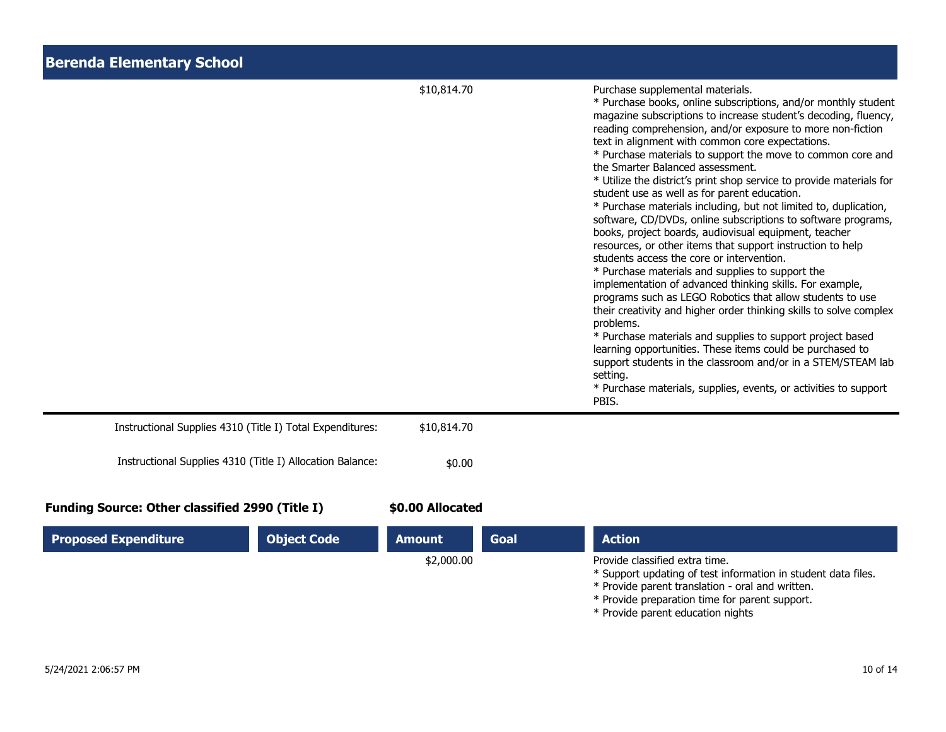| <b>Berenda Elementary School</b>                          |                  |      |                                                                                                                                                                                                                                                                                                                                                                                                                                                                                                                                                                                                                                                                                                                                                                                                                                                                                                                                                                                                                                                                                                                                                                                                                                                                                                                                                                                 |
|-----------------------------------------------------------|------------------|------|---------------------------------------------------------------------------------------------------------------------------------------------------------------------------------------------------------------------------------------------------------------------------------------------------------------------------------------------------------------------------------------------------------------------------------------------------------------------------------------------------------------------------------------------------------------------------------------------------------------------------------------------------------------------------------------------------------------------------------------------------------------------------------------------------------------------------------------------------------------------------------------------------------------------------------------------------------------------------------------------------------------------------------------------------------------------------------------------------------------------------------------------------------------------------------------------------------------------------------------------------------------------------------------------------------------------------------------------------------------------------------|
|                                                           | \$10,814.70      |      | Purchase supplemental materials.<br>* Purchase books, online subscriptions, and/or monthly student<br>magazine subscriptions to increase student's decoding, fluency,<br>reading comprehension, and/or exposure to more non-fiction<br>text in alignment with common core expectations.<br>* Purchase materials to support the move to common core and<br>the Smarter Balanced assessment.<br>* Utilize the district's print shop service to provide materials for<br>student use as well as for parent education.<br>* Purchase materials including, but not limited to, duplication,<br>software, CD/DVDs, online subscriptions to software programs,<br>books, project boards, audiovisual equipment, teacher<br>resources, or other items that support instruction to help<br>students access the core or intervention.<br>* Purchase materials and supplies to support the<br>implementation of advanced thinking skills. For example,<br>programs such as LEGO Robotics that allow students to use<br>their creativity and higher order thinking skills to solve complex<br>problems.<br>* Purchase materials and supplies to support project based<br>learning opportunities. These items could be purchased to<br>support students in the classroom and/or in a STEM/STEAM lab<br>setting.<br>* Purchase materials, supplies, events, or activities to support<br>PBIS. |
| Instructional Supplies 4310 (Title I) Total Expenditures: | \$10,814.70      |      |                                                                                                                                                                                                                                                                                                                                                                                                                                                                                                                                                                                                                                                                                                                                                                                                                                                                                                                                                                                                                                                                                                                                                                                                                                                                                                                                                                                 |
| Instructional Supplies 4310 (Title I) Allocation Balance: | \$0.00           |      |                                                                                                                                                                                                                                                                                                                                                                                                                                                                                                                                                                                                                                                                                                                                                                                                                                                                                                                                                                                                                                                                                                                                                                                                                                                                                                                                                                                 |
| <b>Funding Source: Other classified 2990 (Title I)</b>    | \$0.00 Allocated |      |                                                                                                                                                                                                                                                                                                                                                                                                                                                                                                                                                                                                                                                                                                                                                                                                                                                                                                                                                                                                                                                                                                                                                                                                                                                                                                                                                                                 |
| <b>Proposed Expenditure</b><br><b>Object Code</b>         | <b>Amount</b>    | Goal | <b>Action</b>                                                                                                                                                                                                                                                                                                                                                                                                                                                                                                                                                                                                                                                                                                                                                                                                                                                                                                                                                                                                                                                                                                                                                                                                                                                                                                                                                                   |
|                                                           | \$2,000.00       |      | Provide classified extra time.<br>* Support updating of test information in student data files.<br>* Provide parent translation - oral and written.<br>* Provide preparation time for parent support.<br>* Provide parent education nights                                                                                                                                                                                                                                                                                                                                                                                                                                                                                                                                                                                                                                                                                                                                                                                                                                                                                                                                                                                                                                                                                                                                      |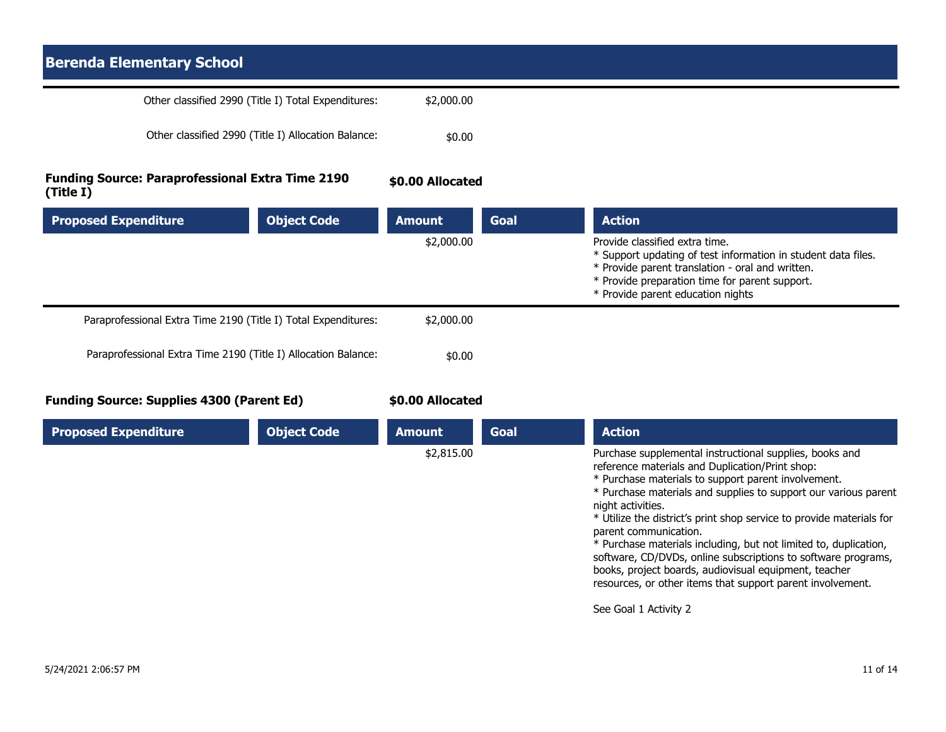## **Berenda Elementary School** Other classified 2990 (Title I) Total Expenditures: \$2,000.00 Other classified 2990 (Title I) Allocation Balance:  $$0.00$ **Funding Source: Paraprofessional Extra Time 2190 (Title I) \$0.00 Allocated**

| <b>Proposed Expenditure</b>                                    | <b>Object Code</b> | <b>Amount</b> | Goal | <b>Action</b>                                                                                                                                                                                                                              |
|----------------------------------------------------------------|--------------------|---------------|------|--------------------------------------------------------------------------------------------------------------------------------------------------------------------------------------------------------------------------------------------|
|                                                                |                    | \$2,000.00    |      | Provide classified extra time.<br>* Support updating of test information in student data files.<br>* Provide parent translation - oral and written.<br>* Provide preparation time for parent support.<br>* Provide parent education nights |
| Paraprofessional Extra Time 2190 (Title I) Total Expenditures: |                    | \$2,000.00    |      |                                                                                                                                                                                                                                            |
| Paraprofessional Extra Time 2190 (Title I) Allocation Balance: |                    | \$0.00        |      |                                                                                                                                                                                                                                            |

**Funding Source: Supplies 4300 (Parent Ed)**

**\$0.00 Allocated**

| <b>Proposed Expenditure</b> | <b>Object Code</b> | <b>Amount</b> | <b>Goal</b> | <b>Action</b>                                                                                                                                                                                                                                                                                                                                                                                                                                                                                                                                                                                                                                   |
|-----------------------------|--------------------|---------------|-------------|-------------------------------------------------------------------------------------------------------------------------------------------------------------------------------------------------------------------------------------------------------------------------------------------------------------------------------------------------------------------------------------------------------------------------------------------------------------------------------------------------------------------------------------------------------------------------------------------------------------------------------------------------|
|                             |                    | \$2,815.00    |             | Purchase supplemental instructional supplies, books and<br>reference materials and Duplication/Print shop:<br>* Purchase materials to support parent involvement.<br>* Purchase materials and supplies to support our various parent<br>night activities.<br>* Utilize the district's print shop service to provide materials for<br>parent communication.<br>* Purchase materials including, but not limited to, duplication,<br>software, CD/DVDs, online subscriptions to software programs,<br>books, project boards, audiovisual equipment, teacher<br>resources, or other items that support parent involvement.<br>See Goal 1 Activity 2 |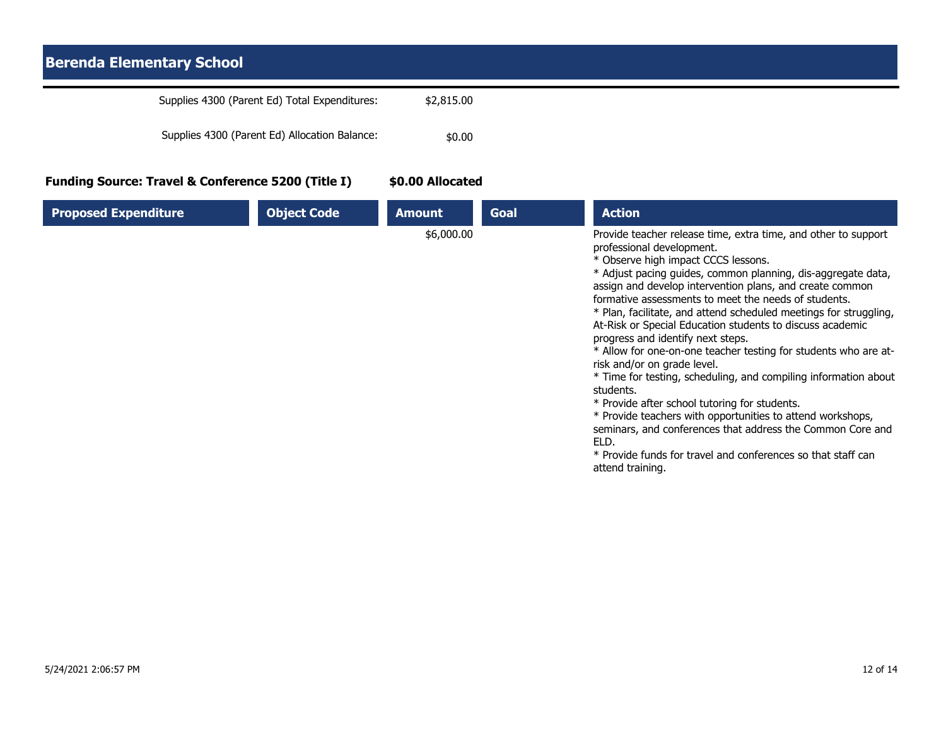## **Berenda Elementary School** Supplies 4300 (Parent Ed) Total Expenditures: \$2,815.00 Supplies 4300 (Parent Ed) Allocation Balance:  $$0.00$ **Funding Source: Travel & Conference 5200 (Title I) \$0.00 Allocated**

| <b>Proposed Expenditure</b> | <b>Object Code</b> | <b>Amount</b> | Goal | <b>Action</b>                                                                                                                                                                                                                                                                                                                                                                                                                                                                                                                                                                                                                                                                                                                                                                                                                                                                                                                                            |
|-----------------------------|--------------------|---------------|------|----------------------------------------------------------------------------------------------------------------------------------------------------------------------------------------------------------------------------------------------------------------------------------------------------------------------------------------------------------------------------------------------------------------------------------------------------------------------------------------------------------------------------------------------------------------------------------------------------------------------------------------------------------------------------------------------------------------------------------------------------------------------------------------------------------------------------------------------------------------------------------------------------------------------------------------------------------|
|                             |                    | \$6,000.00    |      | Provide teacher release time, extra time, and other to support<br>professional development.<br>* Observe high impact CCCS lessons.<br>* Adjust pacing guides, common planning, dis-aggregate data,<br>assign and develop intervention plans, and create common<br>formative assessments to meet the needs of students.<br>* Plan, facilitate, and attend scheduled meetings for struggling,<br>At-Risk or Special Education students to discuss academic<br>progress and identify next steps.<br>* Allow for one-on-one teacher testing for students who are at-<br>risk and/or on grade level.<br>* Time for testing, scheduling, and compiling information about<br>students.<br>* Provide after school tutoring for students.<br>* Provide teachers with opportunities to attend workshops,<br>seminars, and conferences that address the Common Core and<br>ELD.<br>* Provide funds for travel and conferences so that staff can<br>attend training. |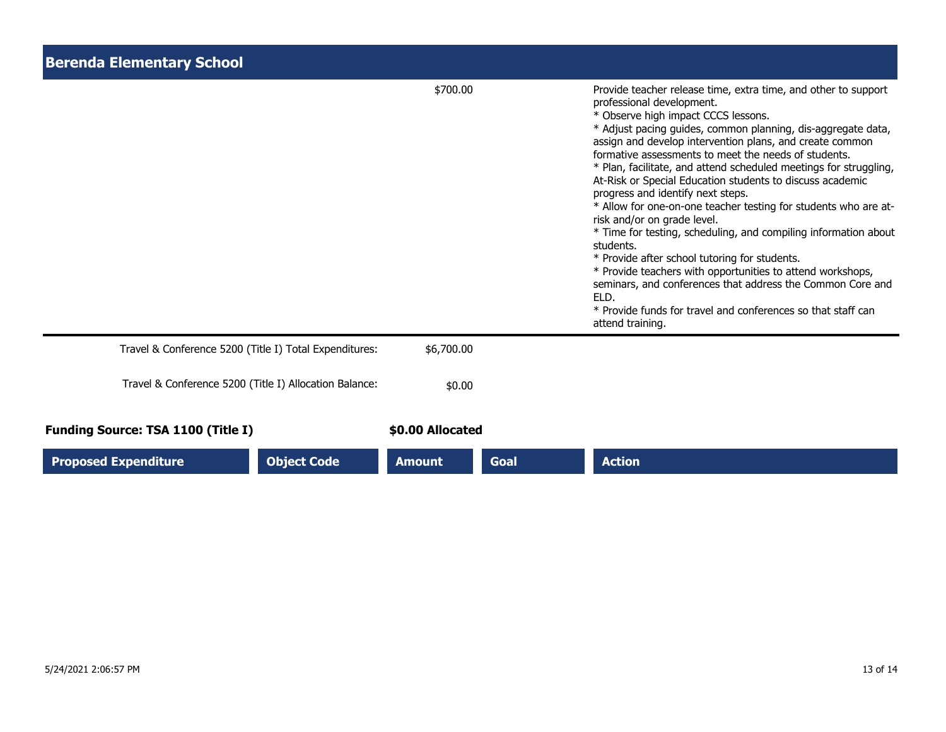| <b>Berenda Elementary School</b>                       |                  |      |                                                                                                                                                                                                                                                                                                                                                                                                                                                                                                                                                                                                                                                                                                                                                                                                                                                                                                                                                          |  |
|--------------------------------------------------------|------------------|------|----------------------------------------------------------------------------------------------------------------------------------------------------------------------------------------------------------------------------------------------------------------------------------------------------------------------------------------------------------------------------------------------------------------------------------------------------------------------------------------------------------------------------------------------------------------------------------------------------------------------------------------------------------------------------------------------------------------------------------------------------------------------------------------------------------------------------------------------------------------------------------------------------------------------------------------------------------|--|
|                                                        | \$700.00         |      | Provide teacher release time, extra time, and other to support<br>professional development.<br>* Observe high impact CCCS lessons.<br>* Adjust pacing guides, common planning, dis-aggregate data,<br>assign and develop intervention plans, and create common<br>formative assessments to meet the needs of students.<br>* Plan, facilitate, and attend scheduled meetings for struggling,<br>At-Risk or Special Education students to discuss academic<br>progress and identify next steps.<br>* Allow for one-on-one teacher testing for students who are at-<br>risk and/or on grade level.<br>* Time for testing, scheduling, and compiling information about<br>students.<br>* Provide after school tutoring for students.<br>* Provide teachers with opportunities to attend workshops,<br>seminars, and conferences that address the Common Core and<br>ELD.<br>* Provide funds for travel and conferences so that staff can<br>attend training. |  |
| Travel & Conference 5200 (Title I) Total Expenditures: | \$6,700.00       |      |                                                                                                                                                                                                                                                                                                                                                                                                                                                                                                                                                                                                                                                                                                                                                                                                                                                                                                                                                          |  |
| Travel & Conference 5200 (Title I) Allocation Balance: | \$0.00           |      |                                                                                                                                                                                                                                                                                                                                                                                                                                                                                                                                                                                                                                                                                                                                                                                                                                                                                                                                                          |  |
| <b>Funding Source: TSA 1100 (Title I)</b>              | \$0.00 Allocated |      |                                                                                                                                                                                                                                                                                                                                                                                                                                                                                                                                                                                                                                                                                                                                                                                                                                                                                                                                                          |  |
| <b>Proposed Expenditure</b><br><b>Object Code</b>      | <b>Amount</b>    | Goal | <b>Action</b>                                                                                                                                                                                                                                                                                                                                                                                                                                                                                                                                                                                                                                                                                                                                                                                                                                                                                                                                            |  |